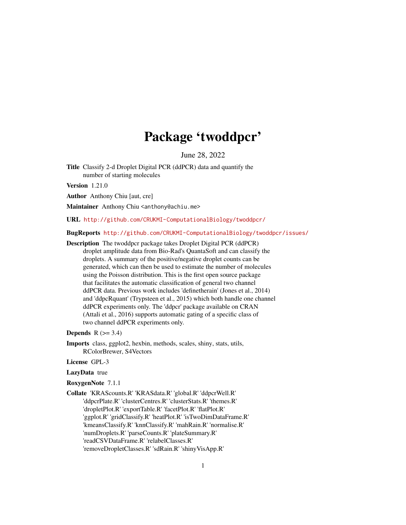# Package 'twoddpcr'

June 28, 2022

<span id="page-0-0"></span>Title Classify 2-d Droplet Digital PCR (ddPCR) data and quantify the number of starting molecules

Version 1.21.0

Author Anthony Chiu [aut, cre]

Maintainer Anthony Chiu <anthony@achiu.me>

URL <http://github.com/CRUKMI-ComputationalBiology/twoddpcr/>

BugReports <http://github.com/CRUKMI-ComputationalBiology/twoddpcr/issues/>

Description The twoddpcr package takes Droplet Digital PCR (ddPCR) droplet amplitude data from Bio-Rad's QuantaSoft and can classify the droplets. A summary of the positive/negative droplet counts can be generated, which can then be used to estimate the number of molecules using the Poisson distribution. This is the first open source package that facilitates the automatic classification of general two channel ddPCR data. Previous work includes 'definetherain' (Jones et al., 2014) and 'ddpcRquant' (Trypsteen et al., 2015) which both handle one channel ddPCR experiments only. The 'ddpcr' package available on CRAN (Attali et al., 2016) supports automatic gating of a specific class of two channel ddPCR experiments only.

### **Depends**  $R$  ( $>= 3.4$ )

- Imports class, ggplot2, hexbin, methods, scales, shiny, stats, utils, RColorBrewer, S4Vectors
- License GPL-3

#### LazyData true

### RoxygenNote 7.1.1

Collate 'KRAScounts.R' 'KRASdata.R' 'global.R' 'ddpcrWell.R' 'ddpcrPlate.R' 'clusterCentres.R' 'clusterStats.R' 'themes.R' 'dropletPlot.R' 'exportTable.R' 'facetPlot.R' 'flatPlot.R' 'ggplot.R' 'gridClassify.R' 'heatPlot.R' 'isTwoDimDataFrame.R' 'kmeansClassify.R' 'knnClassify.R' 'mahRain.R' 'normalise.R' 'numDroplets.R' 'parseCounts.R' 'plateSummary.R' 'readCSVDataFrame.R' 'relabelClasses.R' 'removeDropletClasses.R' 'sdRain.R' 'shinyVisApp.R'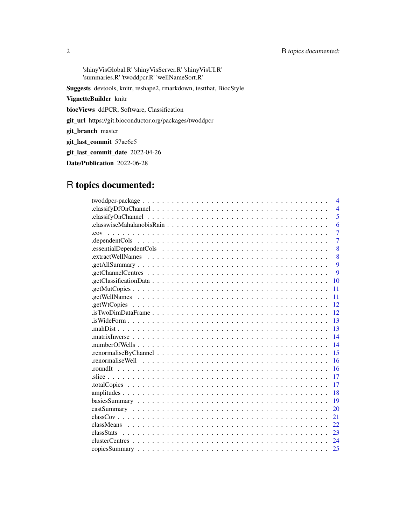'shinyVisGlobal.R' 'shinyVisServer.R' 'shinyVisUI.R' 'summaries.R' 'twoddpcr.R' 'wellNameSort.R'

Suggests devtools, knitr, reshape2, rmarkdown, testthat, BiocStyle

VignetteBuilder knitr

biocViews ddPCR, Software, Classification

git\_url https://git.bioconductor.org/packages/twoddpcr

git\_branch master

git\_last\_commit 57ac6e5

git\_last\_commit\_date 2022-04-26

Date/Publication 2022-06-28

## R topics documented:

|                                                                                                                      | $\overline{4}$ |
|----------------------------------------------------------------------------------------------------------------------|----------------|
|                                                                                                                      | $\overline{4}$ |
|                                                                                                                      | 5              |
|                                                                                                                      | 6              |
|                                                                                                                      | $\overline{7}$ |
| $\alpha$ dependent Cols $\ldots \ldots \ldots \ldots \ldots \ldots \ldots \ldots \ldots \ldots \ldots \ldots \ldots$ | $\overline{7}$ |
|                                                                                                                      | 8              |
| 8                                                                                                                    |                |
| $\mathbf Q$                                                                                                          |                |
| $\mathbf Q$                                                                                                          |                |
| 10                                                                                                                   |                |
| 11                                                                                                                   |                |
| 11                                                                                                                   |                |
| 12                                                                                                                   |                |
| 12                                                                                                                   |                |
| 13                                                                                                                   |                |
| 13                                                                                                                   |                |
| 14                                                                                                                   |                |
| 14                                                                                                                   |                |
| 15                                                                                                                   |                |
| 16                                                                                                                   |                |
| 16                                                                                                                   |                |
| 17                                                                                                                   |                |
| 17                                                                                                                   |                |
| 18                                                                                                                   |                |
| 19                                                                                                                   |                |
| 20                                                                                                                   |                |
| 21                                                                                                                   |                |
| 22                                                                                                                   |                |
| 23                                                                                                                   |                |
| 24                                                                                                                   |                |
| 25                                                                                                                   |                |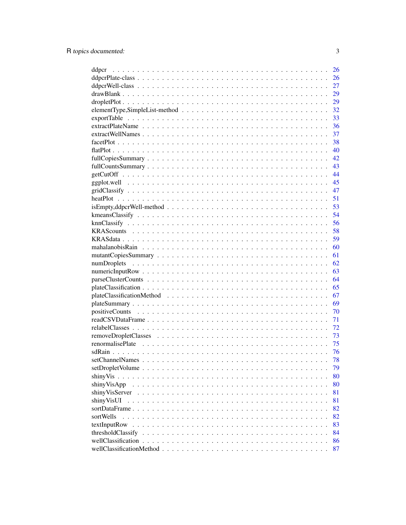| ddpcr                                                                                                           | 26 |
|-----------------------------------------------------------------------------------------------------------------|----|
|                                                                                                                 | 26 |
|                                                                                                                 | 27 |
|                                                                                                                 | 29 |
|                                                                                                                 | 29 |
|                                                                                                                 | 32 |
|                                                                                                                 | 33 |
|                                                                                                                 | 36 |
|                                                                                                                 | 37 |
|                                                                                                                 | 38 |
|                                                                                                                 | 40 |
|                                                                                                                 | 42 |
|                                                                                                                 | 43 |
|                                                                                                                 | 44 |
|                                                                                                                 |    |
|                                                                                                                 | 45 |
|                                                                                                                 | 47 |
|                                                                                                                 | 51 |
| $isEmpty, ddpcrWell-method \dots \dots \dots \dots \dots \dots \dots \dots \dots \dots \dots \dots \dots \dots$ | 53 |
|                                                                                                                 | 54 |
|                                                                                                                 | 56 |
|                                                                                                                 | 58 |
|                                                                                                                 | 59 |
|                                                                                                                 | 60 |
|                                                                                                                 | 61 |
|                                                                                                                 | 62 |
|                                                                                                                 | 63 |
|                                                                                                                 | 64 |
|                                                                                                                 | 65 |
|                                                                                                                 | 67 |
|                                                                                                                 | 69 |
|                                                                                                                 | 70 |
|                                                                                                                 | 71 |
|                                                                                                                 | 72 |
|                                                                                                                 | 73 |
|                                                                                                                 | 75 |
|                                                                                                                 | 76 |
|                                                                                                                 | 78 |
|                                                                                                                 |    |
|                                                                                                                 | 79 |
| shinyVis                                                                                                        | 80 |
| shinyVisApp                                                                                                     | 80 |
| shinyVisServer                                                                                                  | 81 |
| shinyVisUI                                                                                                      | 81 |
| sortDataFrame                                                                                                   | 82 |
| sortWells                                                                                                       | 82 |
| textInputRow                                                                                                    | 83 |
| thresholdClassify                                                                                               | 84 |
|                                                                                                                 | 86 |
|                                                                                                                 | 87 |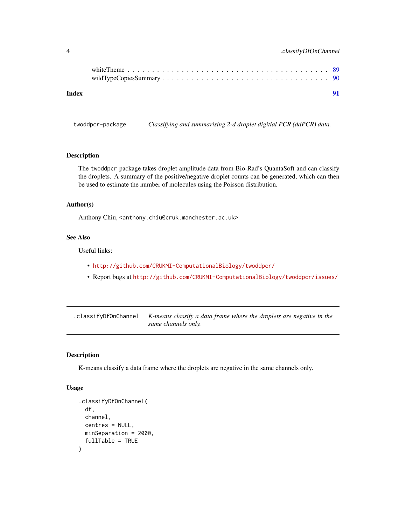<span id="page-3-0"></span>

|       | white Theme $\ldots$ , $\ldots$ , $\ldots$ , $\ldots$ , $\ldots$ , $\ldots$ , $\ldots$ , $\ldots$ , $\ldots$ , $\ldots$ , $\ldots$ , $\ldots$ , $\sim$ 89 |
|-------|-----------------------------------------------------------------------------------------------------------------------------------------------------------|
| Index | 91                                                                                                                                                        |

twoddpcr-package *Classifying and summarising 2-d droplet digitial PCR (ddPCR) data.*

#### Description

The twoddpcr package takes droplet amplitude data from Bio-Rad's QuantaSoft and can classify the droplets. A summary of the positive/negative droplet counts can be generated, which can then be used to estimate the number of molecules using the Poisson distribution.

#### Author(s)

Anthony Chiu, <anthony.chiu@cruk.manchester.ac.uk>

### See Also

Useful links:

- <http://github.com/CRUKMI-ComputationalBiology/twoddpcr/>
- Report bugs at <http://github.com/CRUKMI-ComputationalBiology/twoddpcr/issues/>

| .classifyDfOnChannel K-means classify a data frame where the droplets are negative in the |
|-------------------------------------------------------------------------------------------|
| same channels only.                                                                       |

### Description

K-means classify a data frame where the droplets are negative in the same channels only.

#### Usage

```
.classifyDfOnChannel(
  df,
 channel,
 centres = NULL,
 minSeparation = 2000,
  fullTable = TRUE
)
```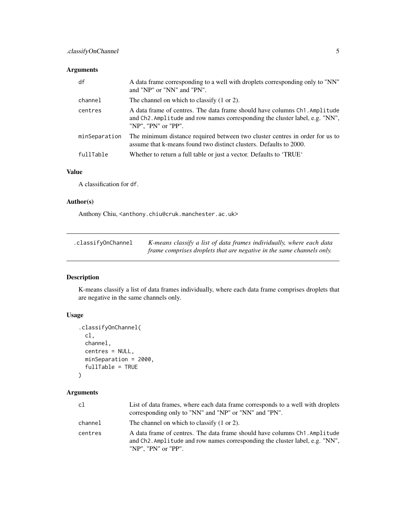### <span id="page-4-0"></span>Arguments

| df            | A data frame corresponding to a well with droplets corresponding only to "NN"<br>and "NP" or "NN" and "PN".                                                                       |
|---------------|-----------------------------------------------------------------------------------------------------------------------------------------------------------------------------------|
| channel       | The channel on which to classify (1 or 2).                                                                                                                                        |
| centres       | A data frame of centres. The data frame should have columns Ch1. Amplitude<br>and Ch2. Amplitude and row names corresponding the cluster label, e.g. "NN",<br>"NP", "PN" or "PP". |
| minSeparation | The minimum distance required between two cluster centres in order for us to<br>assume that k-means found two distinct clusters. Defaults to 2000.                                |
| fullTable     | Whether to return a full table or just a vector. Defaults to 'TRUE'                                                                                                               |

### Value

A classification for df.

### Author(s)

Anthony Chiu, <anthony.chiu@cruk.manchester.ac.uk>

| .classifyOnChannel | K-means classify a list of data frames individually, where each data  |
|--------------------|-----------------------------------------------------------------------|
|                    | frame comprises droplets that are negative in the same channels only. |

### Description

K-means classify a list of data frames individually, where each data frame comprises droplets that are negative in the same channels only.

### Usage

```
.classifyOnChannel(
 cl,
 channel,
 centres = NULL,
 minSeparation = 2000,
 fullTable = TRUE
)
```
### Arguments

| c1      | List of data frames, where each data frame corresponds to a well with droplets<br>corresponding only to "NN" and "NP" or "NN" and "PN".                                                        |
|---------|------------------------------------------------------------------------------------------------------------------------------------------------------------------------------------------------|
| channel | The channel on which to classify (1 or 2).                                                                                                                                                     |
| centres | A data frame of centres. The data frame should have columns Ch1. Amplitude<br>and Ch <sub>2</sub> . Amplitude and row names corresponding the cluster label, e.g. "NN",<br>"NP", "PN" or "PP". |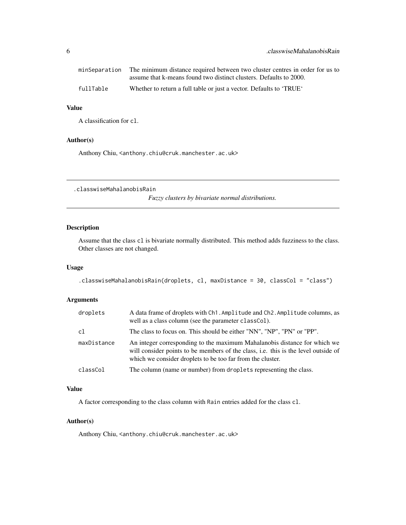<span id="page-5-0"></span>

|           | minSeparation The minimum distance required between two cluster centres in order for us to |
|-----------|--------------------------------------------------------------------------------------------|
|           | assume that k-means found two distinct clusters. Defaults to 2000.                         |
| fullTable | Whether to return a full table or just a vector. Defaults to 'TRUE'                        |

### Value

A classification for cl.

### Author(s)

Anthony Chiu, <anthony.chiu@cruk.manchester.ac.uk>

.classwiseMahalanobisRain

*Fuzzy clusters by bivariate normal distributions.*

### Description

Assume that the class cl is bivariate normally distributed. This method adds fuzziness to the class. Other classes are not changed.

#### Usage

```
.classwiseMahalanobisRain(droplets, cl, maxDistance = 30, classCol = "class")
```
### Arguments

| droplets    | A data frame of droplets with Ch1. Amplitude and Ch2. Amplitude columns, as<br>well as a class column (see the parameter class Col).                                                                                          |
|-------------|-------------------------------------------------------------------------------------------------------------------------------------------------------------------------------------------------------------------------------|
| c1          | The class to focus on. This should be either "NN", "NP", "PN" or "PP".                                                                                                                                                        |
| maxDistance | An integer corresponding to the maximum Mahalanobis distance for which we<br>will consider points to be members of the class, i.e. this is the level outside of<br>which we consider droplets to be too far from the cluster. |
| classCol    | The column (name or number) from droplets representing the class.                                                                                                                                                             |

### Value

A factor corresponding to the class column with Rain entries added for the class cl.

### Author(s)

Anthony Chiu, <anthony.chiu@cruk.manchester.ac.uk>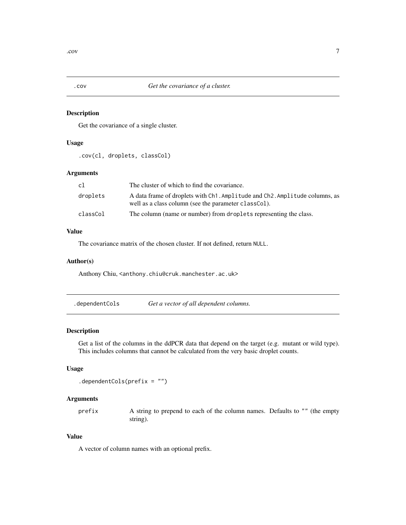<span id="page-6-0"></span>

Get the covariance of a single cluster.

#### Usage

.cov(cl, droplets, classCol)

### Arguments

| cl       | The cluster of which to find the covariance.                                                                                        |
|----------|-------------------------------------------------------------------------------------------------------------------------------------|
| droplets | A data frame of droplets with Ch1. Amplitude and Ch2. Amplitude columns, as<br>well as a class column (see the parameter classCol). |
| classCol | The column (name or number) from droplets representing the class.                                                                   |

### Value

The covariance matrix of the chosen cluster. If not defined, return NULL.

#### Author(s)

Anthony Chiu, <anthony.chiu@cruk.manchester.ac.uk>

.dependentCols *Get a vector of all dependent columns.*

#### Description

Get a list of the columns in the ddPCR data that depend on the target (e.g. mutant or wild type). This includes columns that cannot be calculated from the very basic droplet counts.

### Usage

.dependentCols(prefix = "")

### Arguments

prefix A string to prepend to each of the column names. Defaults to "" (the empty string).

#### Value

A vector of column names with an optional prefix.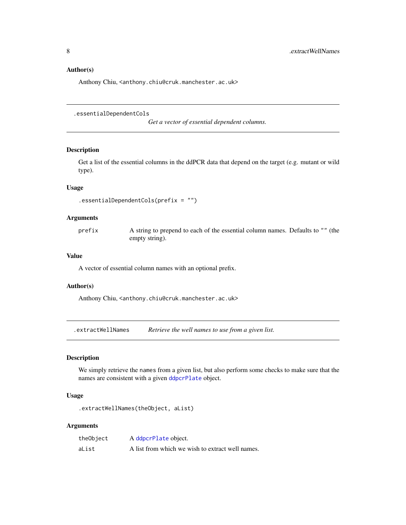#### <span id="page-7-0"></span>Author(s)

Anthony Chiu, <anthony.chiu@cruk.manchester.ac.uk>

.essentialDependentCols

*Get a vector of essential dependent columns.*

### Description

Get a list of the essential columns in the ddPCR data that depend on the target (e.g. mutant or wild type).

### Usage

```
.essentialDependentCols(prefix = "")
```
### Arguments

prefix A string to prepend to each of the essential column names. Defaults to "" (the empty string).

#### Value

A vector of essential column names with an optional prefix.

#### Author(s)

Anthony Chiu, <anthony.chiu@cruk.manchester.ac.uk>

.extractWellNames *Retrieve the well names to use from a given list.*

### Description

We simply retrieve the names from a given list, but also perform some checks to make sure that the names are consistent with a given [ddpcrPlate](#page-25-1) object.

### Usage

.extractWellNames(theObject, aList)

### Arguments

| theObject | A ddpcrPlate object.                             |
|-----------|--------------------------------------------------|
| aList     | A list from which we wish to extract well names. |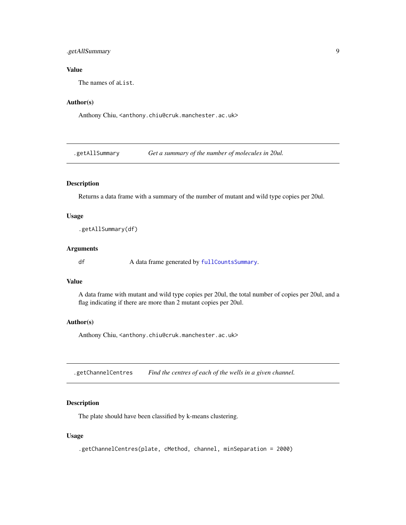### <span id="page-8-0"></span>.getAllSummary 9

### Value

The names of aList.

### Author(s)

Anthony Chiu, <anthony.chiu@cruk.manchester.ac.uk>

.getAllSummary *Get a summary of the number of molecules in 20ul.*

#### Description

Returns a data frame with a summary of the number of mutant and wild type copies per 20ul.

### Usage

.getAllSummary(df)

### Arguments

df A data frame generated by [fullCountsSummary](#page-42-1).

### Value

A data frame with mutant and wild type copies per 20ul, the total number of copies per 20ul, and a flag indicating if there are more than 2 mutant copies per 20ul.

#### Author(s)

Anthony Chiu, <anthony.chiu@cruk.manchester.ac.uk>

.getChannelCentres *Find the centres of each of the wells in a given channel.*

### Description

The plate should have been classified by k-means clustering.

#### Usage

.getChannelCentres(plate, cMethod, channel, minSeparation = 2000)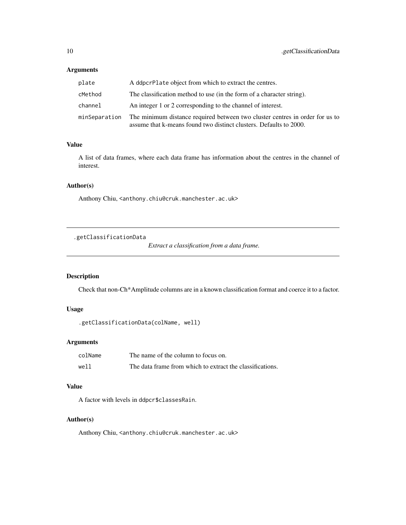### <span id="page-9-0"></span>Arguments

| plate         | A ddpcrPlate object from which to extract the centres.                                                                                             |
|---------------|----------------------------------------------------------------------------------------------------------------------------------------------------|
| cMethod       | The classification method to use (in the form of a character string).                                                                              |
| channel       | An integer 1 or 2 corresponding to the channel of interest.                                                                                        |
| minSeparation | The minimum distance required between two cluster centres in order for us to<br>assume that k-means found two distinct clusters. Defaults to 2000. |

### Value

A list of data frames, where each data frame has information about the centres in the channel of interest.

### Author(s)

Anthony Chiu, <anthony.chiu@cruk.manchester.ac.uk>

### .getClassificationData

*Extract a classification from a data frame.*

### Description

Check that non-Ch\*Amplitude columns are in a known classification format and coerce it to a factor.

### Usage

```
.getClassificationData(colName, well)
```
### Arguments

| colName | The name of the column to focus on.                       |
|---------|-----------------------------------------------------------|
| well    | The data frame from which to extract the classifications. |

### Value

A factor with levels in ddpcr\$classesRain.

### Author(s)

Anthony Chiu, <anthony.chiu@cruk.manchester.ac.uk>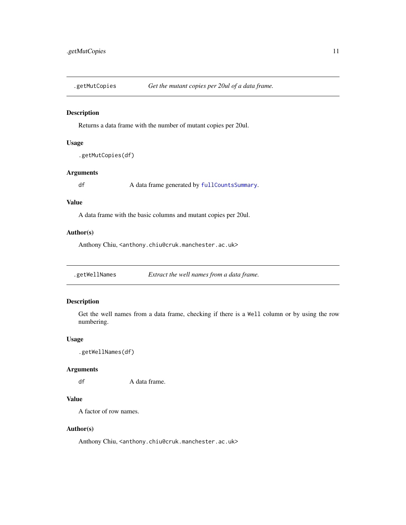<span id="page-10-0"></span>

Returns a data frame with the number of mutant copies per 20ul.

#### Usage

.getMutCopies(df)

### Arguments

df A data frame generated by [fullCountsSummary](#page-42-1).

#### Value

A data frame with the basic columns and mutant copies per 20ul.

#### Author(s)

Anthony Chiu, <anthony.chiu@cruk.manchester.ac.uk>

.getWellNames *Extract the well names from a data frame.*

### Description

Get the well names from a data frame, checking if there is a Well column or by using the row numbering.

### Usage

.getWellNames(df)

### Arguments

df A data frame.

### Value

A factor of row names.

#### Author(s)

Anthony Chiu, <anthony.chiu@cruk.manchester.ac.uk>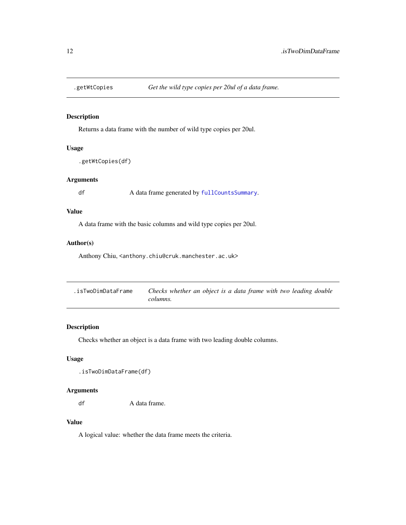<span id="page-11-0"></span>

Returns a data frame with the number of wild type copies per 20ul.

### Usage

.getWtCopies(df)

### Arguments

df A data frame generated by [fullCountsSummary](#page-42-1).

### Value

A data frame with the basic columns and wild type copies per 20ul.

### Author(s)

Anthony Chiu, <anthony.chiu@cruk.manchester.ac.uk>

| .isTwoDimDataFrame | Checks whether an object is a data frame with two leading double |  |
|--------------------|------------------------------------------------------------------|--|
|                    | columns.                                                         |  |

### Description

Checks whether an object is a data frame with two leading double columns.

### Usage

.isTwoDimDataFrame(df)

### Arguments

df A data frame.

#### Value

A logical value: whether the data frame meets the criteria.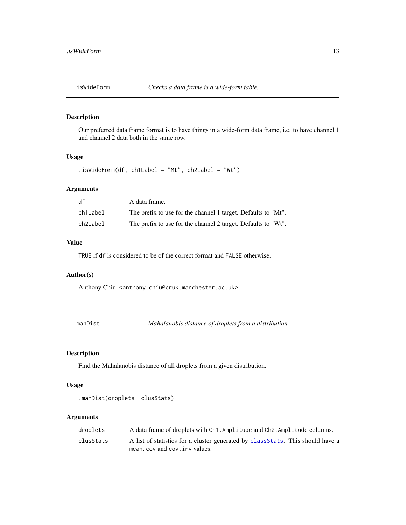<span id="page-12-0"></span>

Our preferred data frame format is to have things in a wide-form data frame, i.e. to have channel 1 and channel 2 data both in the same row.

### Usage

```
.isWideForm(df, ch1Label = "Mt", ch2Label = "Wt")
```
#### Arguments

| df       | A data frame.                                                 |
|----------|---------------------------------------------------------------|
| ch1Label | The prefix to use for the channel 1 target. Defaults to "Mt". |
| ch2Label | The prefix to use for the channel 2 target. Defaults to "Wt". |

### Value

TRUE if df is considered to be of the correct format and FALSE otherwise.

### Author(s)

Anthony Chiu, <anthony.chiu@cruk.manchester.ac.uk>

.mahDist *Mahalanobis distance of droplets from a distribution.*

### Description

Find the Mahalanobis distance of all droplets from a given distribution.

#### Usage

```
.mahDist(droplets, clusStats)
```
### Arguments

| droplets  | A data frame of droplets with Ch1. Amplitude and Ch2. Amplitude columns.        |
|-----------|---------------------------------------------------------------------------------|
| clusStats | A list of statistics for a cluster generated by class Stats. This should have a |
|           | mean, cov and cov. inv values.                                                  |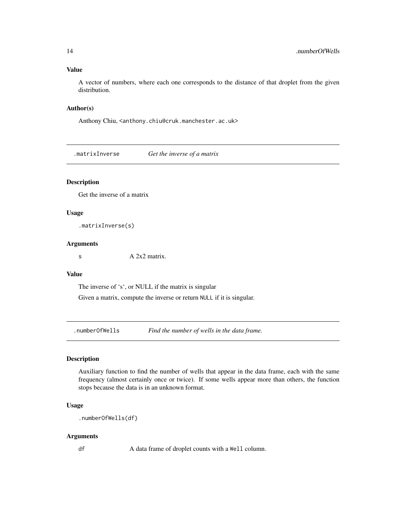#### <span id="page-13-0"></span>Value

A vector of numbers, where each one corresponds to the distance of that droplet from the given distribution.

#### Author(s)

Anthony Chiu, <anthony.chiu@cruk.manchester.ac.uk>

.matrixInverse *Get the inverse of a matrix*

### Description

Get the inverse of a matrix

#### Usage

.matrixInverse(s)

#### **Arguments**

 $A 2x2$  matrix.

### Value

The inverse of 's', or NULL if the matrix is singular

Given a matrix, compute the inverse or return NULL if it is singular.

.numberOfWells *Find the number of wells in the data frame.*

#### Description

Auxiliary function to find the number of wells that appear in the data frame, each with the same frequency (almost certainly once or twice). If some wells appear more than others, the function stops because the data is in an unknown format.

### Usage

```
.numberOfWells(df)
```
#### Arguments

df A data frame of droplet counts with a Well column.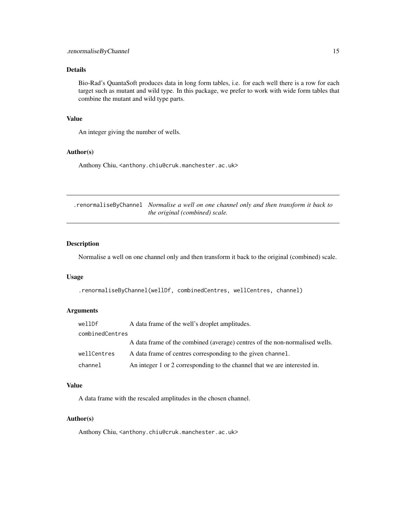### <span id="page-14-0"></span>Details

Bio-Rad's QuantaSoft produces data in long form tables, i.e. for each well there is a row for each target such as mutant and wild type. In this package, we prefer to work with wide form tables that combine the mutant and wild type parts.

#### Value

An integer giving the number of wells.

#### Author(s)

Anthony Chiu, <anthony.chiu@cruk.manchester.ac.uk>

.renormaliseByChannel *Normalise a well on one channel only and then transform it back to the original (combined) scale.*

### Description

Normalise a well on one channel only and then transform it back to the original (combined) scale.

#### Usage

.renormaliseByChannel(wellDf, combinedCentres, wellCentres, channel)

### Arguments

| wellDf          | A data frame of the well's droplet amplitudes.                              |
|-----------------|-----------------------------------------------------------------------------|
| combinedCentres |                                                                             |
|                 | A data frame of the combined (average) centres of the non-normalised wells. |
| wellCentres     | A data frame of centres corresponding to the given channel.                 |
| channel         | An integer 1 or 2 corresponding to the channel that we are interested in.   |

#### Value

A data frame with the rescaled amplitudes in the chosen channel.

#### Author(s)

Anthony Chiu, <anthony.chiu@cruk.manchester.ac.uk>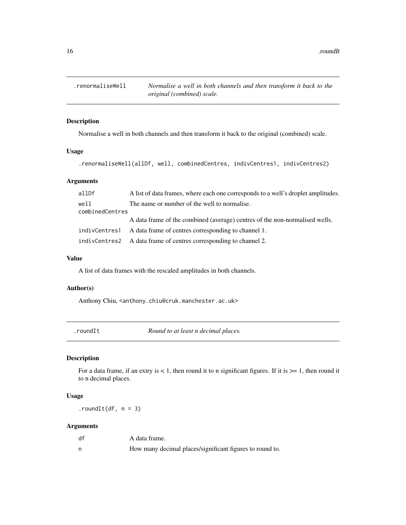<span id="page-15-0"></span>16 . In the state of the state of the state of the state of the state of the state of the state of the state of the state of the state of the state of the state of the state of the state of the state of the state of the st

.renormaliseWell *Normalise a well in both channels and then transform it back to the original (combined) scale.*

### Description

Normalise a well in both channels and then transform it back to the original (combined) scale.

#### Usage

.renormaliseWell(allDf, well, combinedCentres, indivCentres1, indivCentres2)

#### Arguments

| allDf                   | A list of data frames, where each one corresponds to a well's droplet amplitudes. |
|-------------------------|-----------------------------------------------------------------------------------|
| well<br>combinedCentres | The name or number of the well to normalise.                                      |
|                         | A data frame of the combined (average) centres of the non-normalised wells.       |
| indivCentres1           | A data frame of centres corresponding to channel 1.                               |
|                         | indivCentres2 A data frame of centres corresponding to channel 2.                 |

#### Value

A list of data frames with the rescaled amplitudes in both channels.

### Author(s)

Anthony Chiu, <anthony.chiu@cruk.manchester.ac.uk>

.roundIt *Round to at least n decimal places.*

### Description

For a data frame, if an extry is  $< 1$ , then round it to n significant figures. If it is  $>= 1$ , then round it to n decimal places.

### Usage

 $.roundIt(df, n = 3)$ 

### Arguments

| df | A data frame.                                            |
|----|----------------------------------------------------------|
|    | How many decimal places/significant figures to round to. |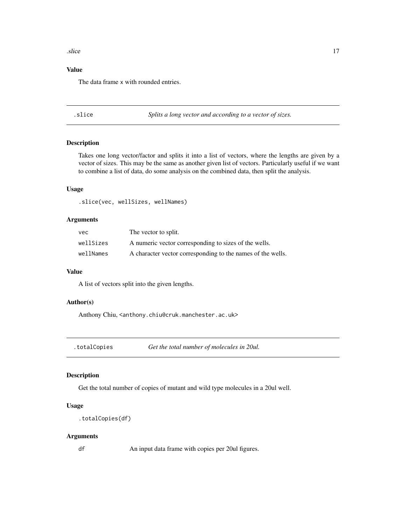#### <span id="page-16-0"></span>slice that the set of the set of the set of the set of the set of the set of the set of the set of the set of the set of the set of the set of the set of the set of the set of the set of the set of the set of the set of th

### Value

The data frame x with rounded entries.

.slice *Splits a long vector and according to a vector of sizes.*

#### Description

Takes one long vector/factor and splits it into a list of vectors, where the lengths are given by a vector of sizes. This may be the same as another given list of vectors. Particularly useful if we want to combine a list of data, do some analysis on the combined data, then split the analysis.

### Usage

.slice(vec, wellSizes, wellNames)

### Arguments

| vec.      | The vector to split.                                        |
|-----------|-------------------------------------------------------------|
| wellSizes | A numeric vector corresponding to sizes of the wells.       |
| wellNames | A character vector corresponding to the names of the wells. |

#### Value

A list of vectors split into the given lengths.

### Author(s)

Anthony Chiu, <anthony.chiu@cruk.manchester.ac.uk>

.totalCopies *Get the total number of molecules in 20ul.*

### Description

Get the total number of copies of mutant and wild type molecules in a 20ul well.

#### Usage

```
.totalCopies(df)
```
#### Arguments

df An input data frame with copies per 20ul figures.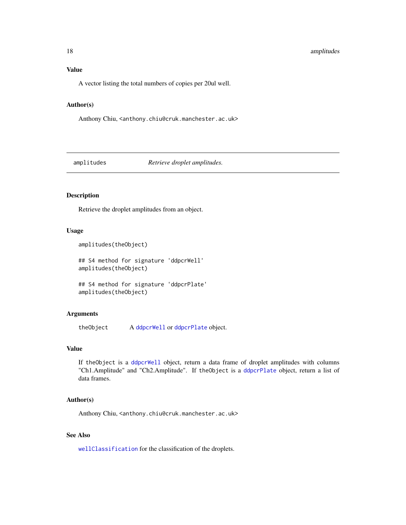### <span id="page-17-0"></span>18 amplitudes

### Value

A vector listing the total numbers of copies per 20ul well.

#### Author(s)

Anthony Chiu, <anthony.chiu@cruk.manchester.ac.uk>

amplitudes *Retrieve droplet amplitudes.*

#### Description

Retrieve the droplet amplitudes from an object.

#### Usage

```
amplitudes(theObject)
```
## S4 method for signature 'ddpcrWell' amplitudes(theObject)

## S4 method for signature 'ddpcrPlate' amplitudes(theObject)

### Arguments

theObject A [ddpcrWell](#page-26-1) or [ddpcrPlate](#page-25-1) object.

### Value

If theObject is a [ddpcrWell](#page-26-1) object, return a data frame of droplet amplitudes with columns "Ch1.Amplitude" and "Ch2.Amplitude". If theObject is a [ddpcrPlate](#page-25-1) object, return a list of data frames.

#### Author(s)

Anthony Chiu, <anthony.chiu@cruk.manchester.ac.uk>

### See Also

[wellClassification](#page-85-1) for the classification of the droplets.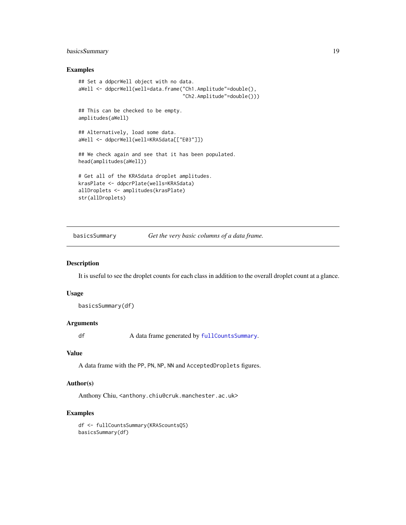### <span id="page-18-0"></span>basicsSummary 19

#### Examples

```
## Set a ddpcrWell object with no data.
aWell <- ddpcrWell(well=data.frame("Ch1.Amplitude"=double(),
                                   "Ch2.Amplitude"=double()))
## This can be checked to be empty.
amplitudes(aWell)
## Alternatively, load some data.
aWell <- ddpcrWell(well=KRASdata[["E03"]])
## We check again and see that it has been populated.
head(amplitudes(aWell))
# Get all of the KRASdata droplet amplitudes.
krasPlate <- ddpcrPlate(wells=KRASdata)
allDroplets <- amplitudes(krasPlate)
str(allDroplets)
```
basicsSummary *Get the very basic columns of a data frame.*

### Description

It is useful to see the droplet counts for each class in addition to the overall droplet count at a glance.

#### Usage

basicsSummary(df)

#### Arguments

df A data frame generated by [fullCountsSummary](#page-42-1).

### Value

A data frame with the PP, PN, NP, NN and AcceptedDroplets figures.

#### Author(s)

Anthony Chiu, <anthony.chiu@cruk.manchester.ac.uk>

#### Examples

df <- fullCountsSummary(KRAScountsQS) basicsSummary(df)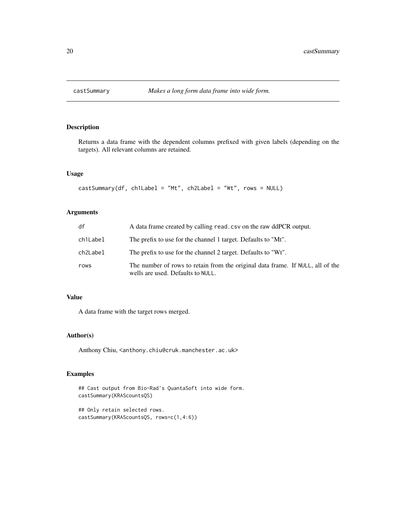<span id="page-19-0"></span>

Returns a data frame with the dependent columns prefixed with given labels (depending on the targets). All relevant columns are retained.

### Usage

```
castSummary(df, ch1Label = "Mt", ch2Label = "Wt", rows = NULL)
```
### Arguments

| df       | A data frame created by calling read. csv on the raw ddPCR output.                                                  |
|----------|---------------------------------------------------------------------------------------------------------------------|
| ch1Label | The prefix to use for the channel 1 target. Defaults to "Mt".                                                       |
| ch2Label | The prefix to use for the channel 2 target. Defaults to "Wt".                                                       |
| rows     | The number of rows to retain from the original data frame. If NULL, all of the<br>wells are used. Defaults to NULL. |

### Value

A data frame with the target rows merged.

### Author(s)

Anthony Chiu, <anthony.chiu@cruk.manchester.ac.uk>

```
## Cast output from Bio-Rad's QuantaSoft into wide form.
castSummary(KRAScountsQS)
```

```
## Only retain selected rows.
castSummary(KRAScountsQS, rows=c(1,4:6))
```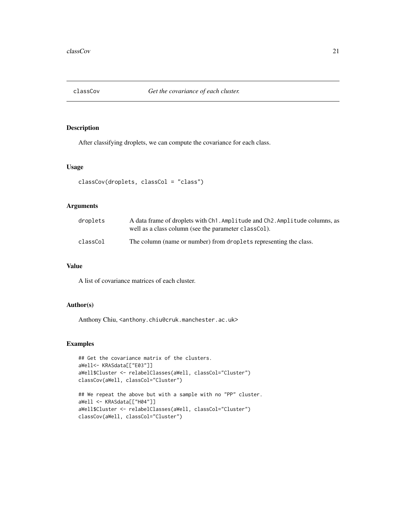<span id="page-20-0"></span>

After classifying droplets, we can compute the covariance for each class.

#### Usage

```
classCov(droplets, classCol = "class")
```
#### Arguments

| droplets | A data frame of droplets with Ch1. Amplitude and Ch2. Amplitude columns, as<br>well as a class column (see the parameter classCol). |
|----------|-------------------------------------------------------------------------------------------------------------------------------------|
| classCol | The column (name or number) from droplets representing the class.                                                                   |

### Value

A list of covariance matrices of each cluster.

### Author(s)

Anthony Chiu, <anthony.chiu@cruk.manchester.ac.uk>

```
## Get the covariance matrix of the clusters.
aWell<- KRASdata[["E03"]]
aWell$Cluster <- relabelClasses(aWell, classCol="Cluster")
classCov(aWell, classCol="Cluster")
## We repeat the above but with a sample with no "PP" cluster.
```

```
aWell <- KRASdata[["H04"]]
aWell$Cluster <- relabelClasses(aWell, classCol="Cluster")
classCov(aWell, classCol="Cluster")
```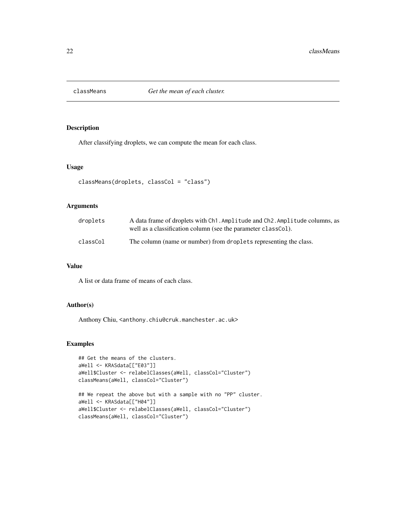<span id="page-21-0"></span>

After classifying droplets, we can compute the mean for each class.

### Usage

```
classMeans(droplets, classCol = "class")
```
#### Arguments

| droplets | A data frame of droplets with Ch1. Amplitude and Ch2. Amplitude columns, as<br>well as a classification column (see the parameter classCol). |
|----------|----------------------------------------------------------------------------------------------------------------------------------------------|
| classCol | The column (name or number) from droplets representing the class.                                                                            |

### Value

A list or data frame of means of each class.

### Author(s)

Anthony Chiu, <anthony.chiu@cruk.manchester.ac.uk>

```
## Get the means of the clusters.
aWell <- KRASdata[["E03"]]
aWell$Cluster <- relabelClasses(aWell, classCol="Cluster")
classMeans(aWell, classCol="Cluster")
## We repeat the above but with a sample with no "PP" cluster.
aWell <- KRASdata[["H04"]]
aWell$Cluster <- relabelClasses(aWell, classCol="Cluster")
classMeans(aWell, classCol="Cluster")
```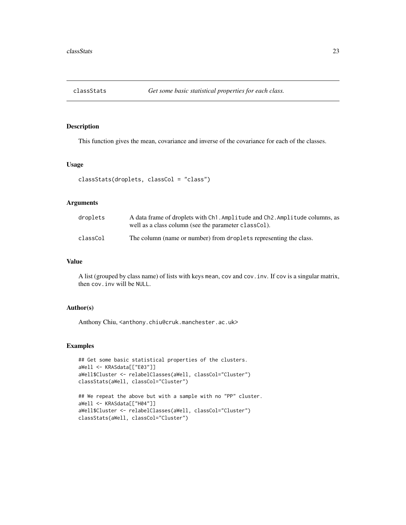<span id="page-22-1"></span><span id="page-22-0"></span>

This function gives the mean, covariance and inverse of the covariance for each of the classes.

#### Usage

```
classStats(droplets, classCol = "class")
```
#### Arguments

| droplets | A data frame of droplets with Ch1. Amplitude and Ch2. Amplitude columns, as<br>well as a class column (see the parameter class Col). |
|----------|--------------------------------------------------------------------------------------------------------------------------------------|
| classCol | The column (name or number) from droplets representing the class.                                                                    |

### Value

A list (grouped by class name) of lists with keys mean, cov and cov.inv. If cov is a singular matrix, then cov.inv will be NULL.

#### Author(s)

Anthony Chiu, <anthony.chiu@cruk.manchester.ac.uk>

```
## Get some basic statistical properties of the clusters.
aWell <- KRASdata[["E03"]]
aWell$Cluster <- relabelClasses(aWell, classCol="Cluster")
classStats(aWell, classCol="Cluster")
```

```
## We repeat the above but with a sample with no "PP" cluster.
aWell <- KRASdata[["H04"]]
aWell$Cluster <- relabelClasses(aWell, classCol="Cluster")
classStats(aWell, classCol="Cluster")
```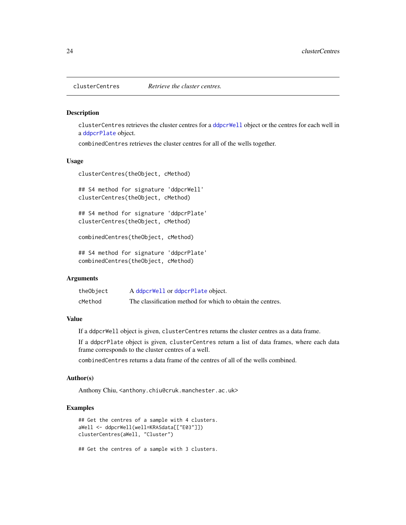clusterCentres retrieves the cluster centres for a [ddpcrWell](#page-26-1) object or the centres for each well in a [ddpcrPlate](#page-25-1) object.

combinedCentres retrieves the cluster centres for all of the wells together.

#### Usage

```
clusterCentres(theObject, cMethod)
```
## S4 method for signature 'ddpcrWell' clusterCentres(theObject, cMethod)

## S4 method for signature 'ddpcrPlate' clusterCentres(theObject, cMethod)

combinedCentres(theObject, cMethod)

## S4 method for signature 'ddpcrPlate' combinedCentres(theObject, cMethod)

#### **Arguments**

| theObject | A ddpcrWell or ddpcrPlate object.                          |
|-----------|------------------------------------------------------------|
| cMethod   | The classification method for which to obtain the centres. |

### Value

If a ddpcrWell object is given, clusterCentres returns the cluster centres as a data frame.

If a ddpcrPlate object is given, clusterCentres return a list of data frames, where each data frame corresponds to the cluster centres of a well.

combinedCentres returns a data frame of the centres of all of the wells combined.

#### Author(s)

Anthony Chiu, <anthony.chiu@cruk.manchester.ac.uk>

### Examples

```
## Get the centres of a sample with 4 clusters.
aWell <- ddpcrWell(well=KRASdata[["E03"]])
clusterCentres(aWell, "Cluster")
```
## Get the centres of a sample with 3 clusters.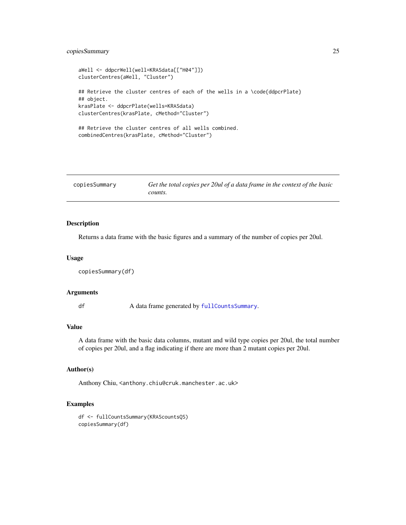### <span id="page-24-0"></span>copiesSummary 25

```
aWell <- ddpcrWell(well=KRASdata[["H04"]])
clusterCentres(aWell, "Cluster")
## Retrieve the cluster centres of each of the wells in a \code{ddpcrPlate}
## object.
krasPlate <- ddpcrPlate(wells=KRASdata)
clusterCentres(krasPlate, cMethod="Cluster")
## Retrieve the cluster centres of all wells combined.
combinedCentres(krasPlate, cMethod="Cluster")
```

| copiesSummary | Get the total copies per 20ul of a data frame in the context of the basic |
|---------------|---------------------------------------------------------------------------|
|               | counts.                                                                   |

#### Description

Returns a data frame with the basic figures and a summary of the number of copies per 20ul.

#### Usage

```
copiesSummary(df)
```
#### Arguments

df A data frame generated by [fullCountsSummary](#page-42-1).

#### Value

A data frame with the basic data columns, mutant and wild type copies per 20ul, the total number of copies per 20ul, and a flag indicating if there are more than 2 mutant copies per 20ul.

#### Author(s)

Anthony Chiu, <anthony.chiu@cruk.manchester.ac.uk>

```
df <- fullCountsSummary(KRAScountsQS)
copiesSummary(df)
```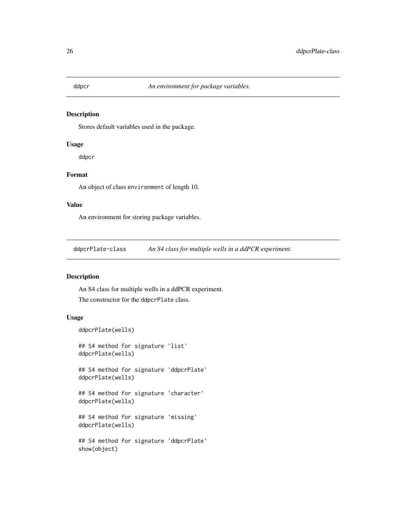<span id="page-25-0"></span>

Stores default variables used in the package.

#### Usage

ddpcr

### Format

An object of class environment of length 10.

#### Value

An environment for storing package variables.

ddpcrPlate-class *An S4 class for multiple wells in a ddPCR experiment.*

### <span id="page-25-1"></span>Description

An S4 class for multiple wells in a ddPCR experiment. The constructor for the ddpcrPlate class.

### Usage

```
ddpcrPlate(wells)
```
## S4 method for signature 'list' ddpcrPlate(wells)

## S4 method for signature 'ddpcrPlate' ddpcrPlate(wells)

## S4 method for signature 'character' ddpcrPlate(wells)

## S4 method for signature 'missing' ddpcrPlate(wells)

## S4 method for signature 'ddpcrPlate' show(object)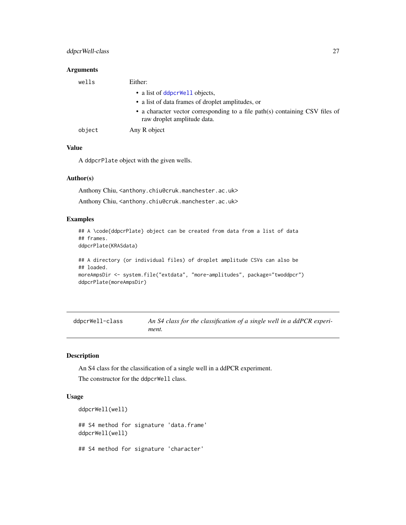#### <span id="page-26-0"></span>Arguments

| wells  | Either:                                                                                                     |
|--------|-------------------------------------------------------------------------------------------------------------|
|        | • a list of ddpcrWell objects,                                                                              |
|        | • a list of data frames of droplet amplitudes, or                                                           |
|        | • a character vector corresponding to a file path(s) containing CSV files of<br>raw droplet amplitude data. |
| object | Any R object                                                                                                |

#### Value

A ddpcrPlate object with the given wells.

#### Author(s)

Anthony Chiu, <anthony.chiu@cruk.manchester.ac.uk> Anthony Chiu, <anthony.chiu@cruk.manchester.ac.uk>

### Examples

```
## A \code{ddpcrPlate} object can be created from data from a list of data
## frames.
```
ddpcrPlate(KRASdata)

```
## A directory (or individual files) of droplet amplitude CSVs can also be
## loaded.
moreAmpsDir <- system.file("extdata", "more-amplitudes", package="twoddpcr")
ddpcrPlate(moreAmpsDir)
```
ddpcrWell-class *An S4 class for the classification of a single well in a ddPCR experiment.*

### <span id="page-26-1"></span>Description

An S4 class for the classification of a single well in a ddPCR experiment. The constructor for the ddpcrWell class.

#### Usage

```
ddpcrWell(well)
## S4 method for signature 'data.frame'
ddpcrWell(well)
## S4 method for signature 'character'
```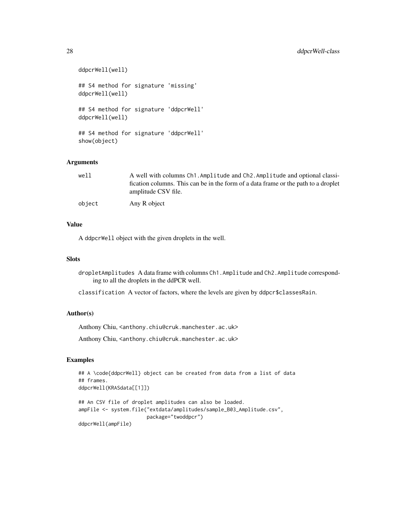```
ddpcrWell(well)
## S4 method for signature 'missing'
ddpcrWell(well)
## S4 method for signature 'ddpcrWell'
ddpcrWell(well)
## S4 method for signature 'ddpcrWell'
show(object)
```
#### Arguments

| well   | A well with columns Ch1. Amplitude and Ch2. Amplitude and optional classi-<br>fication columns. This can be in the form of a data frame or the path to a droplet |
|--------|------------------------------------------------------------------------------------------------------------------------------------------------------------------|
|        | amplitude CSV file.                                                                                                                                              |
| object | Any R object                                                                                                                                                     |

### Value

A ddpcrWell object with the given droplets in the well.

### Slots

dropletAmplitudes A data frame with columns Ch1.Amplitude and Ch2.Amplitude corresponding to all the droplets in the ddPCR well.

classification A vector of factors, where the levels are given by ddpcr\$classesRain.

### Author(s)

Anthony Chiu, <anthony.chiu@cruk.manchester.ac.uk>

Anthony Chiu, <anthony.chiu@cruk.manchester.ac.uk>

```
## A \code{ddpcrWell} object can be created from data from a list of data
## frames.
ddpcrWell(KRASdata[[1]])
## An CSV file of droplet amplitudes can also be loaded.
```

```
ampFile <- system.file("extdata/amplitudes/sample_B03_Amplitude.csv",
                      package="twoddpcr")
ddpcrWell(ampFile)
```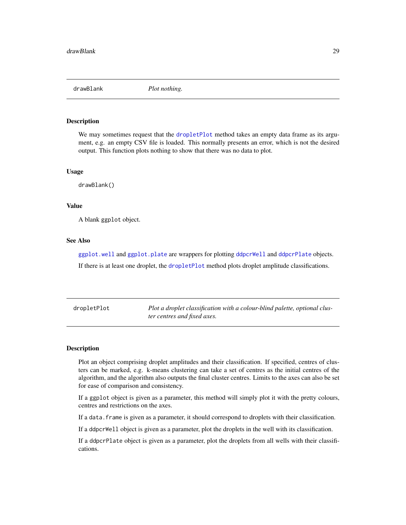<span id="page-28-0"></span>drawBlank *Plot nothing.*

### **Description**

We may sometimes request that the [dropletPlot](#page-28-1) method takes an empty data frame as its argument, e.g. an empty CSV file is loaded. This normally presents an error, which is not the desired output. This function plots nothing to show that there was no data to plot.

#### Usage

drawBlank()

#### Value

A blank ggplot object.

### See Also

[ggplot.well](#page-44-1) and [ggplot.plate](#page-44-1) are wrappers for plotting [ddpcrWell](#page-26-1) and [ddpcrPlate](#page-25-1) objects.

If there is at least one droplet, the [dropletPlot](#page-28-1) method plots droplet amplitude classifications.

<span id="page-28-1"></span>

| dropletPlot | Plot a droplet classification with a colour-blind palette, optional clus- |
|-------------|---------------------------------------------------------------------------|
|             | ter centres and fixed axes.                                               |

#### Description

Plot an object comprising droplet amplitudes and their classification. If specified, centres of clusters can be marked, e.g. k-means clustering can take a set of centres as the initial centres of the algorithm, and the algorithm also outputs the final cluster centres. Limits to the axes can also be set for ease of comparison and consistency.

If a ggplot object is given as a parameter, this method will simply plot it with the pretty colours, centres and restrictions on the axes.

If a data. frame is given as a parameter, it should correspond to droplets with their classification.

If a ddpcrWell object is given as a parameter, plot the droplets in the well with its classification.

If a ddpcrPlate object is given as a parameter, plot the droplets from all wells with their classifications.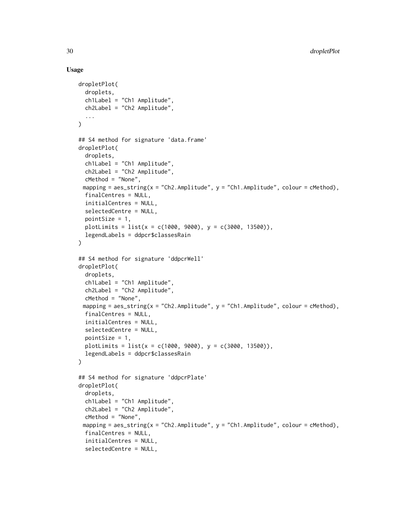#### Usage

```
dropletPlot(
  droplets,
  ch1Label = "Ch1 Amplitude",
  ch2Label = "Ch2 Amplitude",
  ...
\mathcal{L}## S4 method for signature 'data.frame'
dropletPlot(
  droplets,
  ch1Label = "Ch1 Amplitude",
  ch2Label = "Ch2 Amplitude",
  cMethod = "None",
 mapping = aes_string(x = "Ch2.Amplitude", y = "Ch1.Amplitude", colour = cMethod),
  finalCentres = NULL,
  initialCentres = NULL,
  selectedCentre = NULL,
  pointSize = 1,
  plotLimits = list(x = c(1000, 9000), y = c(3000, 13500)),legendLabels = ddpcr$classesRain
)
## S4 method for signature 'ddpcrWell'
dropletPlot(
  droplets,
  ch1Label = "Ch1 Amplitude",
  ch2Label = "Ch2 Amplitude",
  cMethod = "None",
 mapping = aes_string(x = "Ch2.Amplitude", y = "Ch1.Amplitude", colour = cMethod),
  finalCentres = NULL,
  initialCentres = NULL,
  selectedCentre = NULL,
  pointSize = 1,
  plotLimits = list(x = c(1000, 9000), y = c(3000, 13500)),
  legendLabels = ddpcr$classesRain
)
## S4 method for signature 'ddpcrPlate'
dropletPlot(
  droplets,
  ch1Label = "Ch1 Amplitude",
  ch2Label = "Ch2 Amplitude",
  cMethod = "None",
 mapping = aes\_string(x = "Ch2.Amplitude", y = "Ch1.Amplitude", colour = cMethod),finalCentres = NULL,
  initialCentres = NULL,
  selectedCentre = NULL,
```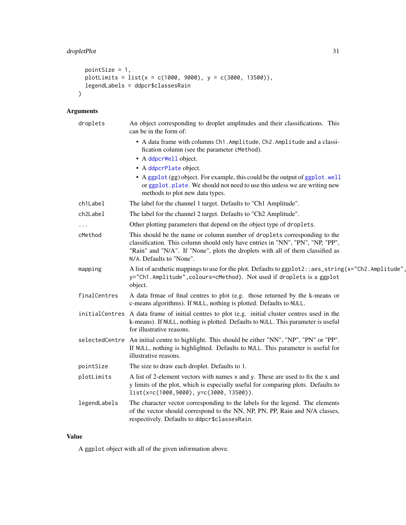### dropletPlot 31

```
pointSize = 1,
 plotLimits = list(x = c(1000, 9000), y = c(3000, 13500)),legendLabels = ddpcr$classesRain
\mathcal{L}
```
### Arguments

| droplets     | An object corresponding to droplet amplitudes and their classifications. This<br>can be in the form of:                                                                                                                                                                   |
|--------------|---------------------------------------------------------------------------------------------------------------------------------------------------------------------------------------------------------------------------------------------------------------------------|
|              | • A data frame with columns Ch1. Amplitude, Ch2. Amplitude and a classi-<br>fication column (see the parameter cMethod).                                                                                                                                                  |
|              | • A ddpcrWell object.                                                                                                                                                                                                                                                     |
|              | • A ddpcrPlate object.                                                                                                                                                                                                                                                    |
|              | • A ggplot (gg) object. For example, this could be the output of ggplot . well<br>or ggplot. plate. We should not need to use this unless we are writing new<br>methods to plot new data types.                                                                           |
| ch1Label     | The label for the channel 1 target. Defaults to "Ch1 Amplitude".                                                                                                                                                                                                          |
| ch2Label     | The label for the channel 2 target. Defaults to "Ch2 Amplitude".                                                                                                                                                                                                          |
|              | Other plotting parameters that depend on the object type of droplets.                                                                                                                                                                                                     |
| cMethod      | This should be the name or column number of droplets corresponding to the<br>classification. This column should only have entries in "NN", "PN", "NP, "PP",<br>"Rain" and "N/A". If "None", plots the droplets with all of them classified as<br>N/A. Defaults to "None". |
| mapping      | A list of aesthetic mappings to use for the plot. Defaults to ggplot2::aes_string(x="Ch2.Amplitude",<br>y="Ch1.Amplitude", colours=cMethod). Not used if droplets is a ggplot<br>object.                                                                                  |
| finalCentres | A data frmae of final centres to plot (e.g. those returned by the k-means or<br>c-means algorithms). If NULL, nothing is plotted. Defaults to NULL.                                                                                                                       |
|              | initialCentres A data frame of initial centres to plot (e.g. initial cluster centres used in the<br>k-means). If NULL, nothing is plotted. Defaults to NULL. This parameter is useful<br>for illustrative reasons.                                                        |
|              | selectedCentre An initial centre to highlight. This should be either "NN", "NP", "PN" or "PP".<br>If NULL, nothing is highlighted. Defaults to NULL. This parameter is useful for<br>illustrative reasons.                                                                |
| pointSize    | The size to draw each droplet. Defaults to 1.                                                                                                                                                                                                                             |
| plotLimits   | A list of 2-element vectors with names x and y. These are used to fix the x and<br>y limits of the plot, which is especially useful for comparing plots. Defaults to<br>$list(x=c(1000, 9000), y=c(3000, 13500)).$                                                        |
| legendLabels | The character vector corresponding to the labels for the legend. The elements<br>of the vector should correspond to the NN, NP, PN, PP, Rain and N/A classes,<br>respectively. Defaults to ddpcr\$classesRain.                                                            |

### Value

A ggplot object with all of the given information above.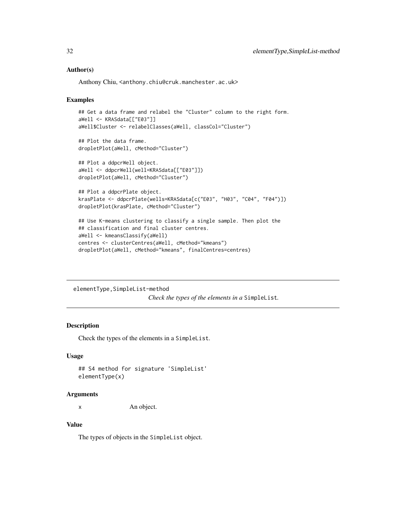#### Author(s)

Anthony Chiu, <anthony.chiu@cruk.manchester.ac.uk>

#### Examples

```
## Get a data frame and relabel the "Cluster" column to the right form.
aWell <- KRASdata[["E03"]]
aWell$Cluster <- relabelClasses(aWell, classCol="Cluster")
## Plot the data frame.
dropletPlot(aWell, cMethod="Cluster")
## Plot a ddpcrWell object.
aWell <- ddpcrWell(well=KRASdata[["E03"]])
dropletPlot(aWell, cMethod="Cluster")
```

```
## Plot a ddpcrPlate object.
krasPlate <- ddpcrPlate(wells=KRASdata[c("E03", "H03", "C04", "F04")])
dropletPlot(krasPlate, cMethod="Cluster")
```

```
## Use K-means clustering to classify a single sample. Then plot the
## classification and final cluster centres.
aWell <- kmeansClassify(aWell)
centres <- clusterCentres(aWell, cMethod="kmeans")
dropletPlot(aWell, cMethod="kmeans", finalCentres=centres)
```
elementType,SimpleList-method *Check the types of the elements in a* SimpleList*.*

#### **Description**

Check the types of the elements in a SimpleList.

#### Usage

```
## S4 method for signature 'SimpleList'
elementType(x)
```
#### Arguments

x An object.

#### Value

The types of objects in the SimpleList object.

<span id="page-31-0"></span>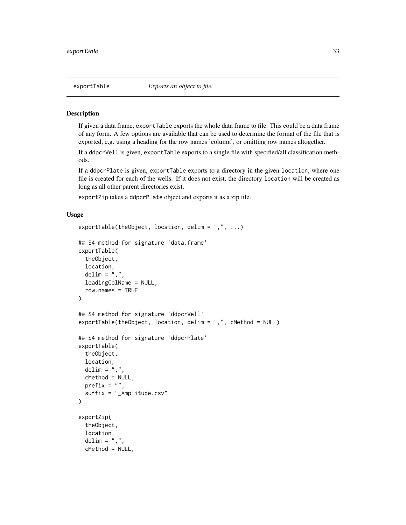<span id="page-32-0"></span>If given a data frame, exportTable exports the whole data frame to file. This could be a data frame of any form. A few options are available that can be used to determine the format of the file that is exported, e.g. using a heading for the row names 'column', or omitting row names altogether.

If a ddpcrWell is given, exportTable exports to a single file with specified/all classification methods.

If a ddpcrPlate is given, exportTable exports to a directory in the given location, where one file is created for each of the wells. If it does not exist, the directory location will be created as long as all other parent directories exist.

exportZip takes a ddpcrPlate object and exports it as a zip file.

#### Usage

```
exportTable(theObject, location, delim = ",", \ldots)## S4 method for signature 'data.frame'
exportTable(
  theObject,
  location,
  delim = ","leadingColName = NULL,
  row.names = TRUE
)
## S4 method for signature 'ddpcrWell'
exportTable(theObject, location, delim = ",", cMethod = NULL)
## S4 method for signature 'ddpcrPlate'
exportTable(
  theObject,
  location,
  delim = ", "cMethod = NULL,
 prefix = "",suffix = "_Amplitude.csv"
\mathcal{L}exportZip(
  theObject,
  location,
 delim = ",",cMethod = NULL,
```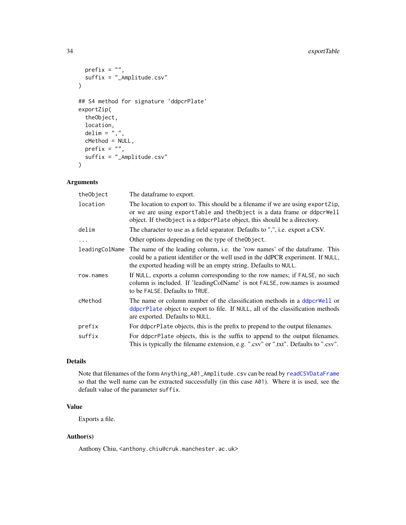```
prefix = ",
  suffix = "_Amplitude.csv"
\lambda## S4 method for signature 'ddpcrPlate'
exportZip(
  theObject,
  location,
  delim = \dot{''},",
  cMethod = NULL,
  prefix = "",\text{suffix} = "_{\text{Amplitude}} \text{.csv"})
```
### Arguments

| theObject      | The dataframe to export.                                                                                                                                                                                                                   |
|----------------|--------------------------------------------------------------------------------------------------------------------------------------------------------------------------------------------------------------------------------------------|
| location       | The location to export to. This should be a filename if we are using export Zip,<br>or we are using export Table and the Object is a data frame or ddpcr Well<br>object. If the Object is a ddpcrPlate object, this should be a directory. |
| delim          | The character to use as a field separator. Defaults to ",", i.e. export a CSV.                                                                                                                                                             |
| .              | Other options depending on the type of the Object.                                                                                                                                                                                         |
| leadingColName | The name of the leading column, i.e. the 'row names' of the data frame. This<br>could be a patient identifier or the well used in the ddPCR experiment. If NULL,<br>the exported heading will be an empty string. Defaults to NULL.        |
| row.names      | If NULL, exports a column corresponding to the row names; if FALSE, no such<br>column is included. If 'leadingColName' is not FALSE, row.names is assumed<br>to be FALSE. Defaults to TRUE.                                                |
| cMethod        | The name or column number of the classification methods in a deperwell or<br>ddpcrPlate object to export to file. If NULL, all of the classification methods<br>are exported. Defaults to NULL.                                            |
| prefix         | For deperplate objects, this is the prefix to prepend to the output filenames.                                                                                                                                                             |
| suffix         | For ddpcrPlate objects, this is the suffix to append to the output filenames.<br>This is typically the filename extension, e.g. ".csv" or ".txt". Defaults to ".csv".                                                                      |

### Details

Note that filenames of the form Anything\_A01\_Amplitude.csv can be read by [readCSVDataFrame](#page-70-1) so that the well name can be extracted successfully (in this case A01). Where it is used, see the default value of the parameter suffix.

### Value

Exports a file.

### Author(s)

Anthony Chiu, <anthony.chiu@cruk.manchester.ac.uk>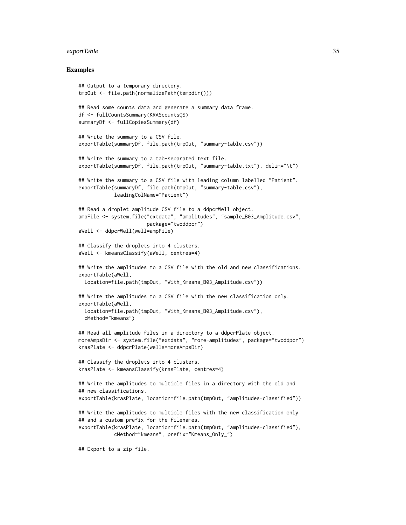#### exportTable 35

#### Examples

```
## Output to a temporary directory.
tmpOut <- file.path(normalizePath(tempdir()))
## Read some counts data and generate a summary data frame.
df <- fullCountsSummary(KRAScountsQS)
summaryDf <- fullCopiesSummary(df)
## Write the summary to a CSV file.
exportTable(summaryDf, file.path(tmpOut, "summary-table.csv"))
## Write the summary to a tab-separated text file.
exportTable(summaryDf, file.path(tmpOut, "summary-table.txt"), delim="\t")
## Write the summary to a CSV file with leading column labelled "Patient".
exportTable(summaryDf, file.path(tmpOut, "summary-table.csv"),
            leadingColName="Patient")
## Read a droplet amplitude CSV file to a ddpcrWell object.
ampFile <- system.file("extdata", "amplitudes", "sample_B03_Amplitude.csv",
                       package="twoddpcr")
aWell <- ddpcrWell(well=ampFile)
## Classify the droplets into 4 clusters.
aWell <- kmeansClassify(aWell, centres=4)
## Write the amplitudes to a CSV file with the old and new classifications.
exportTable(aWell,
 location=file.path(tmpOut, "With_Kmeans_B03_Amplitude.csv"))
## Write the amplitudes to a CSV file with the new classification only.
exportTable(aWell,
 location=file.path(tmpOut, "With_Kmeans_B03_Amplitude.csv"),
 cMethod="kmeans")
## Read all amplitude files in a directory to a ddpcrPlate object.
moreAmpsDir <- system.file("extdata", "more-amplitudes", package="twoddpcr")
krasPlate <- ddpcrPlate(wells=moreAmpsDir)
## Classify the droplets into 4 clusters.
krasPlate <- kmeansClassify(krasPlate, centres=4)
## Write the amplitudes to multiple files in a directory with the old and
## new classifications.
exportTable(krasPlate, location=file.path(tmpOut, "amplitudes-classified"))
## Write the amplitudes to multiple files with the new classification only
## and a custom prefix for the filenames.
exportTable(krasPlate, location=file.path(tmpOut, "amplitudes-classified"),
            cMethod="kmeans", prefix="Kmeans_Only_")
```
## Export to a zip file.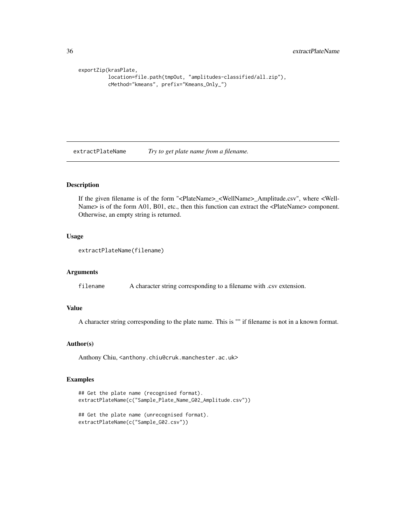```
exportZip(krasPlate,
         location=file.path(tmpOut, "amplitudes-classified/all.zip"),
         cMethod="kmeans", prefix="Kmeans_Only_")
```
extractPlateName *Try to get plate name from a filename.*

#### Description

If the given filename is of the form "<PlateName>\_<WellName>\_Amplitude.csv", where <Well-Name> is of the form A01, B01, etc., then this function can extract the <PlateName> component. Otherwise, an empty string is returned.

### Usage

```
extractPlateName(filename)
```
#### Arguments

filename A character string corresponding to a filename with .csv extension.

#### Value

A character string corresponding to the plate name. This is "" if filename is not in a known format.

#### Author(s)

Anthony Chiu, <anthony.chiu@cruk.manchester.ac.uk>

```
## Get the plate name (recognised format).
extractPlateName(c("Sample_Plate_Name_G02_Amplitude.csv"))
```

```
## Get the plate name (unrecognised format).
extractPlateName(c("Sample_G02.csv"))
```
<span id="page-35-0"></span>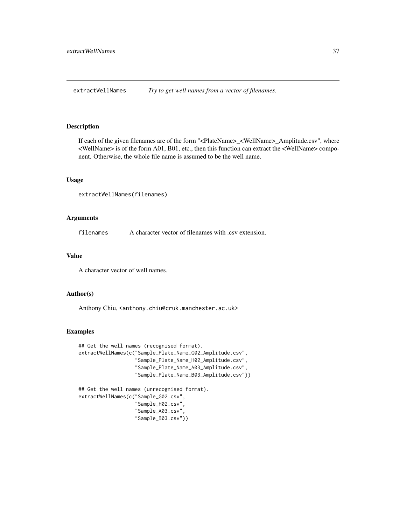extractWellNames *Try to get well names from a vector of filenames.*

#### Description

If each of the given filenames are of the form "<PlateName>\_<WellName>\_Amplitude.csv", where <WellName> is of the form A01, B01, etc., then this function can extract the <WellName> component. Otherwise, the whole file name is assumed to be the well name.

#### Usage

```
extractWellNames(filenames)
```
## Arguments

filenames A character vector of filenames with .csv extension.

## Value

A character vector of well names.

#### Author(s)

Anthony Chiu, <anthony.chiu@cruk.manchester.ac.uk>

```
## Get the well names (recognised format).
extractWellNames(c("Sample_Plate_Name_G02_Amplitude.csv",
                   "Sample_Plate_Name_H02_Amplitude.csv",
                   "Sample_Plate_Name_A03_Amplitude.csv",
                   "Sample_Plate_Name_B03_Amplitude.csv"))
## Get the well names (unrecognised format).
```

```
extractWellNames(c("Sample_G02.csv",
                   "Sample_H02.csv",
                   "Sample_A03.csv",
                   "Sample_B03.csv"))
```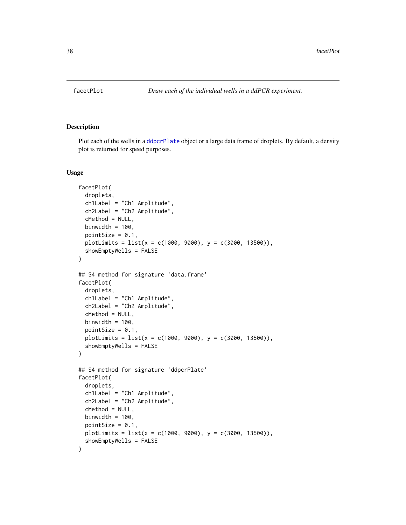#### Description

Plot each of the wells in a [ddpcrPlate](#page-25-0) object or a large data frame of droplets. By default, a density plot is returned for speed purposes.

## Usage

```
facetPlot(
  droplets,
  ch1Label = "Ch1 Amplitude",
 ch2Label = "Ch2 Amplitude",
  cMethod = NULL,
 binwidth = 100,
 pointSize = 0.1,
 plotLimits = list(x = c(1000, 9000), y = c(3000, 13500)),showEmptyWells = FALSE
)
## S4 method for signature 'data.frame'
facetPlot(
  droplets,
  ch1Label = "Ch1 Amplitude",
  ch2Label = "Ch2 Amplitude",
  cMethod = NULL,
 binwidth = 100,
 pointSize = 0.1,
 plotLimits = list(x = c(1000, 9000), y = c(3000, 13500)),showEmptyWells = FALSE
)
## S4 method for signature 'ddpcrPlate'
facetPlot(
 droplets,
  ch1Label = "Ch1 Amplitude",
 ch2Label = "Ch2 Amplitude",
  cMethod = NULL,
 binwidth = 100,
 pointSize = 0.1,
 plotLimits = list(x = c(1000, 9000), y = c(3000, 13500)),showEmptyWells = FALSE
)
```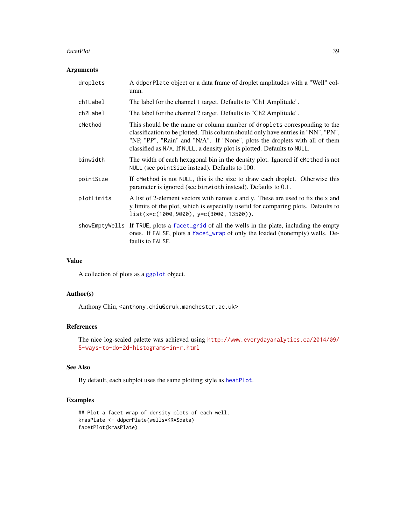#### facetPlot 39

## Arguments

| droplets   | A ddpcrPlate object or a data frame of droplet amplitudes with a "Well" col-<br>umn.                                                                                                                                                                                                                                      |
|------------|---------------------------------------------------------------------------------------------------------------------------------------------------------------------------------------------------------------------------------------------------------------------------------------------------------------------------|
| ch1Label   | The label for the channel 1 target. Defaults to "Ch1 Amplitude".                                                                                                                                                                                                                                                          |
| ch2Label   | The label for the channel 2 target. Defaults to "Ch2 Amplitude".                                                                                                                                                                                                                                                          |
| cMethod    | This should be the name or column number of droplets corresponding to the<br>classification to be plotted. This column should only have entries in "NN", "PN",<br>"NP, "PP", "Rain" and "N/A". If "None", plots the droplets with all of them<br>classified as N/A. If NULL, a density plot is plotted. Defaults to NULL. |
| binwidth   | The width of each hexagonal bin in the density plot. Ignored if cMethod is not<br>NULL (see point Size instead). Defaults to 100.                                                                                                                                                                                         |
| pointSize  | If cMethod is not NULL, this is the size to draw each droplet. Otherwise this<br>parameter is ignored (see binwidth instead). Defaults to 0.1.                                                                                                                                                                            |
| plotLimits | A list of 2-element vectors with names x and y. These are used to fix the x and<br>y limits of the plot, which is especially useful for comparing plots. Defaults to<br>$list(x=c(1000, 9000), y=c(3000, 13500)).$                                                                                                        |
|            | showEmptyWells If TRUE, plots a facet_grid of all the wells in the plate, including the empty<br>ones. If FALSE, plots a facet_wrap of only the loaded (nonempty) wells. De-<br>faults to FALSE.                                                                                                                          |
|            |                                                                                                                                                                                                                                                                                                                           |

## Value

A collection of plots as a [ggplot](#page-0-0) object.

## Author(s)

Anthony Chiu, <anthony.chiu@cruk.manchester.ac.uk>

# References

The nice log-scaled palette was achieved using [http://www.everydayanalytics.ca/2014/09/](http://www.everydayanalytics.ca/2014/09/5-ways-to-do-2d-histograms-in-r.html) [5-ways-to-do-2d-histograms-in-r.html](http://www.everydayanalytics.ca/2014/09/5-ways-to-do-2d-histograms-in-r.html)

# See Also

By default, each subplot uses the same plotting style as [heatPlot](#page-50-0).

```
## Plot a facet wrap of density plots of each well.
krasPlate <- ddpcrPlate(wells=KRASdata)
facetPlot(krasPlate)
```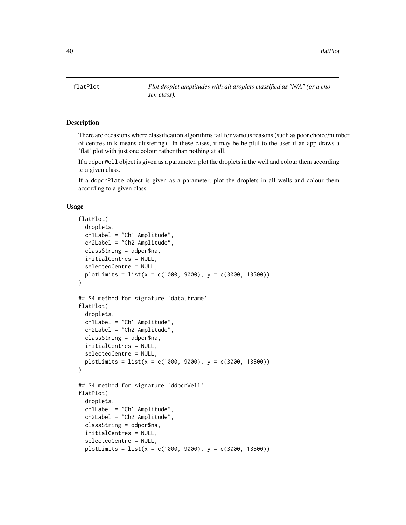flatPlot *Plot droplet amplitudes with all droplets classified as "N/A" (or a chosen class).*

## Description

There are occasions where classification algorithms fail for various reasons (such as poor choice/number of centres in k-means clustering). In these cases, it may be helpful to the user if an app draws a 'flat' plot with just one colour rather than nothing at all.

If a ddpcrWell object is given as a parameter, plot the droplets in the well and colour them according to a given class.

If a ddpcrPlate object is given as a parameter, plot the droplets in all wells and colour them according to a given class.

## Usage

```
flatPlot(
  droplets,
  ch1Label = "Ch1 Amplitude",
  ch2Label = "Ch2 Amplitude",
 classString = ddpcr$na,
  initialCentres = NULL,
  selectedCentre = NULL,
 plotLimits = list(x = c(1000, 9000), y = c(3000, 13500))\lambda## S4 method for signature 'data.frame'
flatPlot(
  droplets,
  ch1Label = "Ch1 Amplitude",
  ch2Label = "Ch2 Amplitude",
  classString = ddpcr$na,
  initialCentres = NULL,
  selectedCentre = NULL,
 plotLimits = list(x = c(1000, 9000), y = c(3000, 13500)))
## S4 method for signature 'ddpcrWell'
flatPlot(
  droplets,
  ch1Label = "Ch1 Amplitude",
  ch2Label = "Ch2 Amplitude",
  classString = ddpcr$na,
  initialCentres = NULL,
  selectedCentre = NULL,
  plotLimits = list(x = c(1000, 9000), y = c(3000, 13500))
```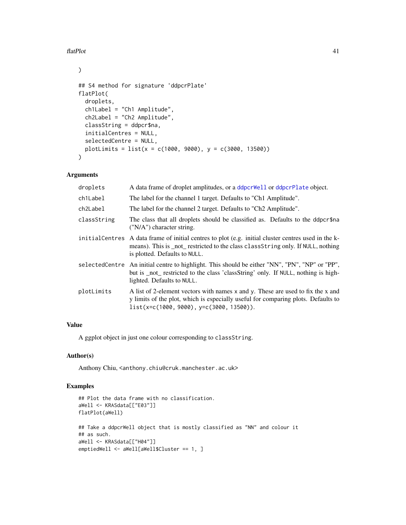## flatPlot 41

 $\mathcal{L}$ 

```
## S4 method for signature 'ddpcrPlate'
flatPlot(
 droplets,
 ch1Label = "Ch1 Amplitude",
 ch2Label = "Ch2 Amplitude",
 classString = ddpcr$na,
 initialCentres = NULL,
 selectedCentre = NULL,
 plotLimits = list(x = c(1000, 9000), y = c(3000, 13500)))
```
# Arguments

| droplets    | A data frame of droplet amplitudes, or a ddpcr Well or ddpcr Plate object.                                                                                                                                               |
|-------------|--------------------------------------------------------------------------------------------------------------------------------------------------------------------------------------------------------------------------|
| ch1Label    | The label for the channel 1 target. Defaults to "Ch1 Amplitude".                                                                                                                                                         |
| ch2Label    | The label for the channel 2 target. Defaults to "Ch <sub>2</sub> Amplitude".                                                                                                                                             |
| classString | The class that all droplets should be classified as. Defaults to the ddpcr\$na<br>("N/A") character string.                                                                                                              |
|             | initial Centres A data frame of initial centres to plot (e.g. initial cluster centres used in the k-<br>means). This is not restricted to the class class String only. If NULL, nothing<br>is plotted. Defaults to NULL. |
|             | selectedCentre An initial centre to highlight. This should be either "NN", "PN", "NP" or "PP",<br>but is _not_ restricted to the class 'classString' only. If NULL, nothing is high-<br>lighted. Defaults to NULL.       |
| plotLimits  | A list of 2-element vectors with names x and y. These are used to fix the x and<br>y limits of the plot, which is especially useful for comparing plots. Defaults to<br>list(x=c(1000, 9000), y=c(3000, 13500)).         |

# Value

A ggplot object in just one colour corresponding to classString.

# Author(s)

Anthony Chiu, <anthony.chiu@cruk.manchester.ac.uk>

```
## Plot the data frame with no classification.
aWell <- KRASdata[["E03"]]
flatPlot(aWell)
## Take a ddpcrWell object that is mostly classified as "NN" and colour it
## as such.
aWell <- KRASdata[["H04"]]
emptiedWell <- aWell[aWell$Cluster == 1, ]
```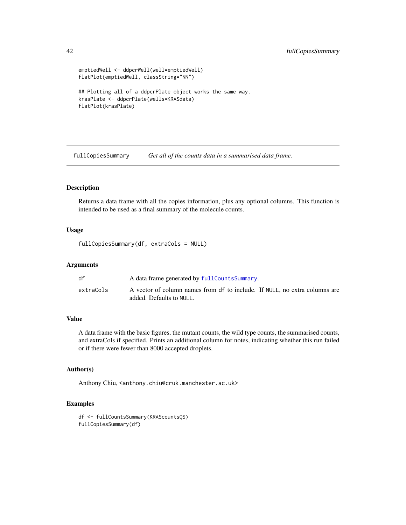```
emptiedWell <- ddpcrWell(well=emptiedWell)
flatPlot(emptiedWell, classString="NN")
## Plotting all of a ddpcrPlate object works the same way.
krasPlate <- ddpcrPlate(wells=KRASdata)
flatPlot(krasPlate)
```
fullCopiesSummary *Get all of the counts data in a summarised data frame.*

## Description

Returns a data frame with all the copies information, plus any optional columns. This function is intended to be used as a final summary of the molecule counts.

# Usage

fullCopiesSummary(df, extraCols = NULL)

## Arguments

| df        | A data frame generated by fullCountsSummary.                                                           |
|-----------|--------------------------------------------------------------------------------------------------------|
| extraCols | A vector of column names from df to include. If NULL, no extra columns are<br>added. Defaults to NULL. |

# Value

A data frame with the basic figures, the mutant counts, the wild type counts, the summarised counts, and extraCols if specified. Prints an additional column for notes, indicating whether this run failed or if there were fewer than 8000 accepted droplets.

## Author(s)

Anthony Chiu, <anthony.chiu@cruk.manchester.ac.uk>

```
df <- fullCountsSummary(KRAScountsQS)
fullCopiesSummary(df)
```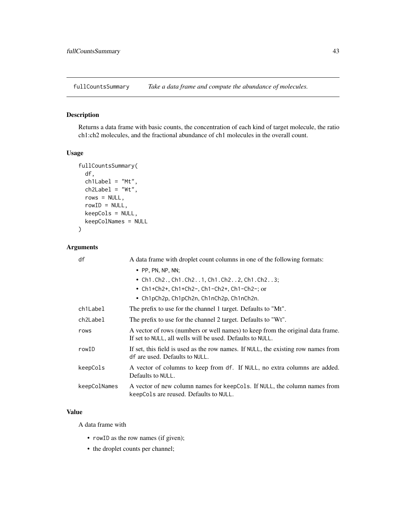<span id="page-42-0"></span>fullCountsSummary *Take a data frame and compute the abundance of molecules.*

# Description

Returns a data frame with basic counts, the concentration of each kind of target molecule, the ratio ch1:ch2 molecules, and the fractional abundance of ch1 molecules in the overall count.

# Usage

```
fullCountsSummary(
 df,
 ch1Label = "Mt",ch2Label = "Wt",rows = NULL,rowID = NULL,keepCols = NULL,
 keepColNames = NULL
)
```
# Arguments

| df           | A data frame with droplet count columns in one of the following formats:                                                                    |
|--------------|---------------------------------------------------------------------------------------------------------------------------------------------|
|              | $\bullet$ PP, PN, NP, NN;                                                                                                                   |
|              | • Ch1. Ch2., Ch1. Ch21, Ch1. Ch22, Ch1. Ch23;                                                                                               |
|              | • Ch1+Ch2+, Ch1+Ch2-, Ch1-Ch2+, Ch1-Ch2-; or                                                                                                |
|              | • Ch1pCh2p, Ch1pCh2n, Ch1nCh2p, Ch1nCh2n.                                                                                                   |
| ch1Label     | The prefix to use for the channel 1 target. Defaults to "Mt".                                                                               |
| ch2Label     | The prefix to use for the channel 2 target. Defaults to "Wt".                                                                               |
| rows         | A vector of rows (numbers or well names) to keep from the original data frame.<br>If set to NULL, all wells will be used. Defaults to NULL. |
| rowID        | If set, this field is used as the row names. If NULL, the existing row names from<br>df are used. Defaults to NULL.                         |
| keepCols     | A vector of columns to keep from df. If NULL, no extra columns are added.<br>Defaults to NULL.                                              |
| keepColNames | A vector of new column names for keepCols. If NULL, the column names from<br>keepCols are reused. Defaults to NULL.                         |

# Value

A data frame with

- rowID as the row names (if given);
- the droplet counts per channel;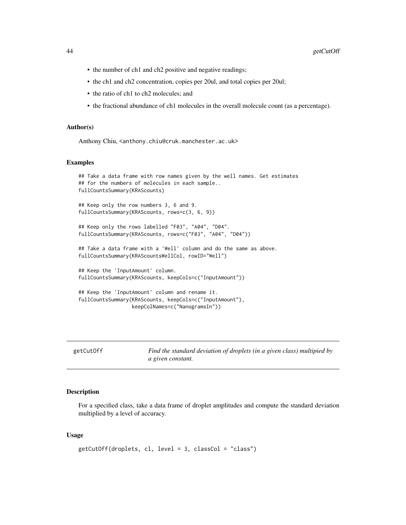- the number of ch1 and ch2 positive and negative readings;
- the ch1 and ch2 concentration, copies per 20ul, and total copies per 20ul;
- the ratio of ch1 to ch2 molecules; and
- the fractional abundance of ch1 molecules in the overall molecule count (as a percentage).

#### Author(s)

Anthony Chiu, <anthony.chiu@cruk.manchester.ac.uk>

#### Examples

```
## Take a data frame with row names given by the well names. Get estimates
## for the numbers of molecules in each sample..
fullCountsSummary(KRAScounts)
## Keep only the row numbers 3, 6 and 9.
fullCountsSummary(KRAScounts, rows=c(3, 6, 9))
## Keep only the rows labelled "F03", "A04", "D04".
fullCountsSummary(KRAScounts, rows=c("F03", "A04", "D04"))
## Take a data frame with a 'Well' column and do the same as above.
fullCountsSummary(KRAScountsWellCol, rowID="Well")
## Keep the 'InputAmount' column.
fullCountsSummary(KRAScounts, keepCols=c("InputAmount"))
## Keep the 'InputAmount' column and rename it.
fullCountsSummary(KRAScounts, keepCols=c("InputAmount"),
                  keepColNames=c("NanogramsIn"))
```
getCutOff *Find the standard deviation of droplets (in a given class) multipied by a given constant.*

#### Description

For a specified class, take a data frame of droplet amplitudes and compute the standard deviation multiplied by a level of accuracy.

### Usage

```
getCutOff(droplets, cl, level = 3, classCol = "class")
```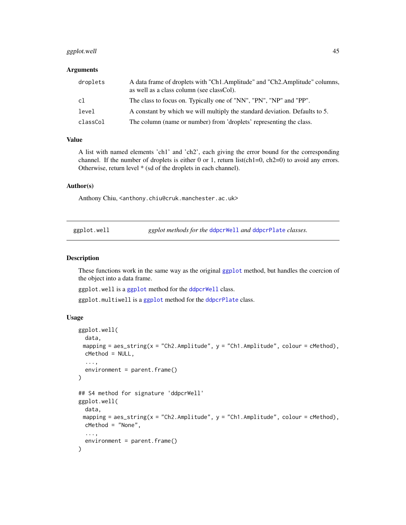# ggplot.well 45

## **Arguments**

| droplets | A data frame of droplets with "Ch1.Amplitude" and "Ch2.Amplitude" columns,<br>as well as a class column (see classCol). |
|----------|-------------------------------------------------------------------------------------------------------------------------|
| c1       | The class to focus on. Typically one of "NN", "PN", "NP" and "PP".                                                      |
| level    | A constant by which we will multiply the standard deviation. Defaults to 5.                                             |
| classCol | The column (name or number) from 'droplets' representing the class.                                                     |

### Value

A list with named elements 'ch1' and 'ch2', each giving the error bound for the corresponding channel. If the number of droplets is either 0 or 1, return list(ch1=0, ch2=0) to avoid any errors. Otherwise, return level \* (sd of the droplets in each channel).

# Author(s)

Anthony Chiu, <anthony.chiu@cruk.manchester.ac.uk>

|  | ggplot.well |
|--|-------------|

ggplot methods for the [ddpcrWell](#page-26-0) and [ddpcrPlate](#page-25-0) *classes*.

#### Description

These functions work in the same way as the original [ggplot](#page-0-0) method, but handles the coercion of the object into a data frame.

ggplot.well is a [ggplot](#page-0-0) method for the [ddpcrWell](#page-26-0) class.

ggplot.multiwell is a [ggplot](#page-0-0) method for the [ddpcrPlate](#page-25-0) class.

# Usage

```
ggplot.well(
 data,
 mapping = aes\_string(x = "Ch2.Amplitude", y = "Ch1.Amplitude", colour = cMethod),cMethod = NULL,
  ...,
 environment = parent.frame()
)
## S4 method for signature 'ddpcrWell'
ggplot.well(
 data,
 mapping = aes_string(x = "Ch2.Amplitude", y = "Ch1.Amplitude", colour = cMethod),
 cMethod = "None",
  ...,
  environment = parent.frame()
)
```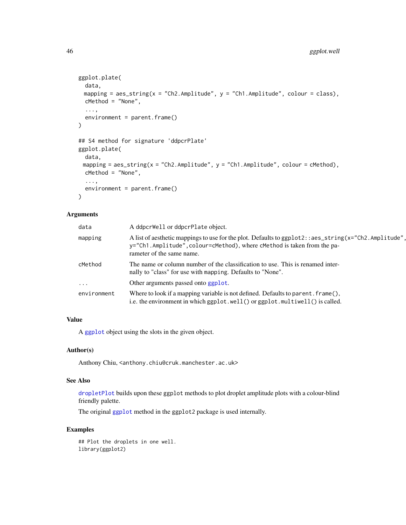```
ggplot.plate(
  data,
 mapping = aes\_string(x = "Ch2.Amplitude", y = "Ch1.Amplitude", colour = class),cMethod = "None",
  ...,
 environment = parent.frame()
)
## S4 method for signature 'ddpcrPlate'
ggplot.plate(
 data,
 mapping = aes\_string(x = "Ch2.Amplitude", y = "Ch1.Amplitude", colour = cMethod),cMethod = "None",
  ...,
 environment = parent.frame()
\mathcal{L}
```
## Arguments

| data        | A ddpcrWell or ddpcrPlate object.                                                                                                                                                                            |
|-------------|--------------------------------------------------------------------------------------------------------------------------------------------------------------------------------------------------------------|
| mapping     | A list of aesthetic mappings to use for the plot. Defaults to ggplot2::aes_string(x="Ch2.Amplitude",<br>y="Ch1.Amplitude", colour=cMethod), where cMethod is taken from the pa-<br>rameter of the same name. |
| cMethod     | The name or column number of the classification to use. This is renamed inter-<br>nally to "class" for use with mapping. Defaults to "None".                                                                 |
| $\cdots$    | Other arguments passed onto ggplot.                                                                                                                                                                          |
| environment | Where to look if a mapping variable is not defined. Defaults to parent. frame(),<br>i.e. the environment in which ggplot.well() or ggplot.multiwell() is called.                                             |

# Value

A [ggplot](#page-0-0) object using the slots in the given object.

# Author(s)

Anthony Chiu, <anthony.chiu@cruk.manchester.ac.uk>

# See Also

[dropletPlot](#page-28-0) builds upon these ggplot methods to plot droplet amplitude plots with a colour-blind friendly palette.

The original [ggplot](#page-0-0) method in the ggplot2 package is used internally.

# Examples

## Plot the droplets in one well. library(ggplot2)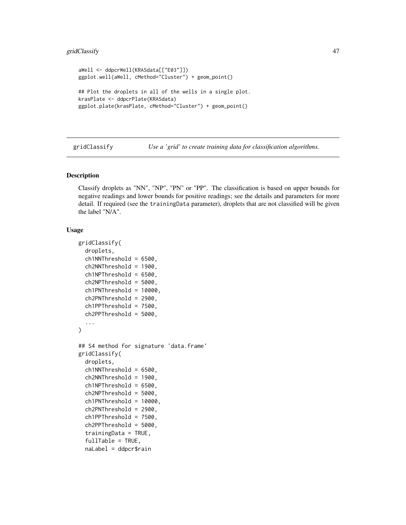# gridClassify 47

```
aWell <- ddpcrWell(KRASdata[["E03"]])
ggplot.well(aWell, cMethod="Cluster") + geom_point()
## Plot the droplets in all of the wells in a single plot.
krasPlate <- ddpcrPlate(KRASdata)
ggplot.plate(krasPlate, cMethod="Cluster") + geom_point()
```
gridClassify *Use a 'grid' to create training data for classification algorithms.*

# Description

Classify droplets as "NN", "NP", "PN" or "PP". The classification is based on upper bounds for negative readings and lower bounds for positive readings; see the details and parameters for more detail. If required (see the trainingData parameter), droplets that are not classified will be given the label "N/A".

# Usage

```
gridClassify(
  droplets,
  ch1NNThreshold = 6500,
  ch2NNThreshold = 1900,
  ch1NPThreshold = 6500,
  ch2NPThreshold = 5000,
  ch1PNThreshold = 10000,
  ch2PNThreshold = 2900,
  ch1PPThreshold = 7500,
  ch2PPThreshold = 5000,
  ...
)
## S4 method for signature 'data.frame'
gridClassify(
  droplets,
  ch1NNIhreshold = 6500,ch2NNThreshold = 1900,ch1NPThreshold = 6500,ch2NPThreshold = 5000,
  ch1PNThreshold = 10000,ch2PNThreshold = 2900,
  ch1PPThreshold = 7500,
  ch2PPThreshold = 5000,
  trainingData = TRUE,
  fullTable = TRUE,
  naLabel = ddpcr$rain
```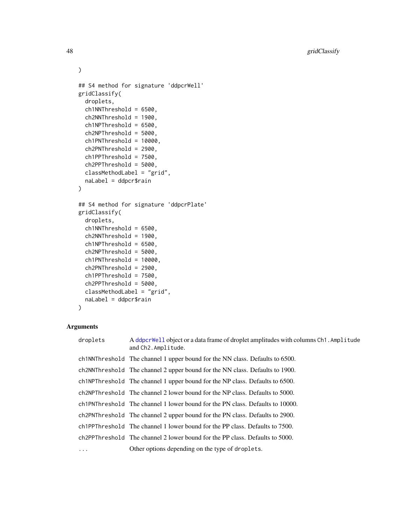```
\mathcal{L}## S4 method for signature 'ddpcrWell'
gridClassify(
 droplets,
  ch1NNThreshold = 6500,
  ch2NNThreshold = 1900,
  ch1NPThreshold = 6500,
  ch2NPThreshold = 5000,
  ch1PNThreshold = 10000,
  ch2PNThreshold = 2900,
  ch1PPThreshold = 7500,
  ch2PPThreshold = 5000,
  classMethodLabel = "grid",
 naLabel = ddpcr$rain
)
## S4 method for signature 'ddpcrPlate'
gridClassify(
  droplets,
  ch1NNThreshold = 6500,
  ch2NNThreshold = 1900,
  ch1NPThreshold = 6500,
  ch2NPThreshold = 5000,
  ch1PNThreshold = 10000,
  ch2PNThreshold = 2900,
  ch1PPThreshold = 7500,
  ch2PPThreshold = 5000,
  classMethodLabel = "grid",
 naLabel = ddpcr$rain
```

```
)
```
## Arguments

| droplets   | A ddpcrWell object or a data frame of droplet amplitudes with columns Ch1. Amplitude<br>and Ch2. Amplitude. |
|------------|-------------------------------------------------------------------------------------------------------------|
|            | ch in NTh resolution of the channel 1 upper bound for the NN class. Defaults to 6500.                       |
|            | ch2NNThreshold The channel 2 upper bound for the NN class. Defaults to 1900.                                |
|            | ch INPThreshold The channel 1 upper bound for the NP class. Defaults to 6500.                               |
|            | ch2NPThreshold The channel 2 lower bound for the NP class. Defaults to 5000.                                |
|            | ch1PNThreshold The channel 1 lower bound for the PN class. Defaults to 10000.                               |
|            | ch <sub>2</sub> PNThreshold The channel 2 upper bound for the PN class. Defaults to 2900.                   |
|            | ch <sub>1</sub> PPThreshold The channel 1 lower bound for the PP class. Defaults to 7500.                   |
|            | ch2PPThreshold The channel 2 lower bound for the PP class. Defaults to 5000.                                |
| $\ddots$ . | Other options depending on the type of droplets.                                                            |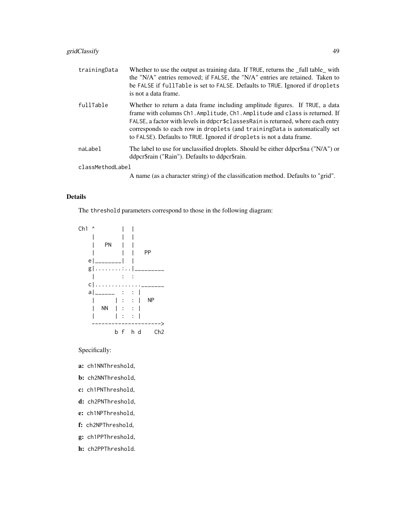# gridClassify 49

| trainingData     | Whether to use the output as training data. If TRUE, returns the _full table_with<br>the "N/A" entries removed; if FALSE, the "N/A" entries are retained. Taken to<br>be FALSE if fullTable is set to FALSE. Defaults to TRUE. Ignored if droplets<br>is not a data frame.                                                                                                                            |
|------------------|-------------------------------------------------------------------------------------------------------------------------------------------------------------------------------------------------------------------------------------------------------------------------------------------------------------------------------------------------------------------------------------------------------|
| fullTable        | Whether to return a data frame including amplitude figures. If TRUE, a data<br>frame with columns Ch1. Amplitude, Ch1. Amplitude and class is returned. If<br>FALSE, a factor with levels in ddpcr\$classesRain is returned, where each entry<br>corresponds to each row in droplets (and training Data is automatically set<br>to FALSE). Defaults to TRUE. Ignored if droplets is not a data frame. |
| naLabel          | The label to use for unclassified droplets. Should be either ddpcr\$na ("N/A") or<br>ddpcr\$rain ("Rain"). Defaults to ddpcr\$rain.                                                                                                                                                                                                                                                                   |
| classMethodLabel |                                                                                                                                                                                                                                                                                                                                                                                                       |

A name (as a character string) of the classification method. Defaults to "grid".

# Details

The threshold parameters correspond to those in the following diagram:



Specifically:

- a: ch1NNThreshold,
- b: ch2NNThreshold,
- c: ch1PNThreshold,
- d: ch2PNThreshold,
- e: ch1NPThreshold,
- f: ch2NPThreshold,
- g: ch1PPThreshold,
- h: ch2PPThreshold.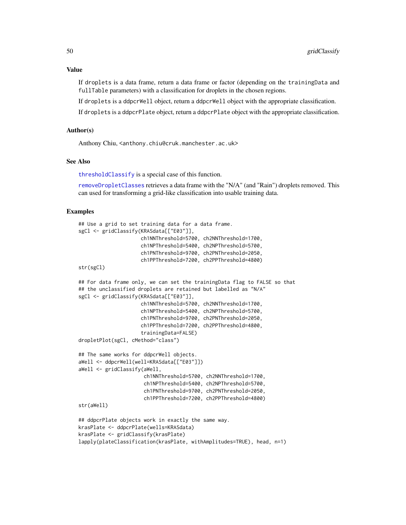#### Value

If droplets is a data frame, return a data frame or factor (depending on the trainingData and fullTable parameters) with a classification for droplets in the chosen regions.

If droplets is a ddpcrWell object, return a ddpcrWell object with the appropriate classification.

If droplets is a ddpcrPlate object, return a ddpcrPlate object with the appropriate classification.

# Author(s)

Anthony Chiu, <anthony.chiu@cruk.manchester.ac.uk>

## See Also

[thresholdClassify](#page-83-0) is a special case of this function.

[removeDropletClasses](#page-72-0) retrieves a data frame with the "N/A" (and "Rain") droplets removed. This can used for transforming a grid-like classification into usable training data.

```
## Use a grid to set training data for a data frame.
sgCl <- gridClassify(KRASdata[["E03"]],
                     ch1NNThreshold=5700, ch2NNThreshold=1700,
                     ch1NPThreshold=5400, ch2NPThreshold=5700,
                     ch1PNThreshold=9700, ch2PNThreshold=2050,
                     ch1PPThreshold=7200, ch2PPThreshold=4800)
str(sgCl)
## For data frame only, we can set the trainingData flag to FALSE so that
## the unclassified droplets are retained but labelled as "N/A"
sgCl <- gridClassify(KRASdata[["E03"]],
                     ch1NNThreshold=5700, ch2NNThreshold=1700,
                     ch1NPThreshold=5400, ch2NPThreshold=5700,
                     ch1PNThreshold=9700, ch2PNThreshold=2050,
                     ch1PPThreshold=7200, ch2PPThreshold=4800,
                     trainingData=FALSE)
dropletPlot(sgCl, cMethod="class")
## The same works for ddpcrWell objects.
aWell <- ddpcrWell(well=KRASdata[["E03"]])
aWell <- gridClassify(aWell,
                      ch1NNThreshold=5700, ch2NNThreshold=1700,
                      ch1NPThreshold=5400, ch2NPThreshold=5700,
                      ch1PNThreshold=9700, ch2PNThreshold=2050,
                      ch1PPThreshold=7200, ch2PPThreshold=4800)
str(aWell)
## ddpcrPlate objects work in exactly the same way.
krasPlate <- ddpcrPlate(wells=KRASdata)
krasPlate <- gridClassify(krasPlate)
lapply(plateClassification(krasPlate, withAmplitudes=TRUE), head, n=1)
```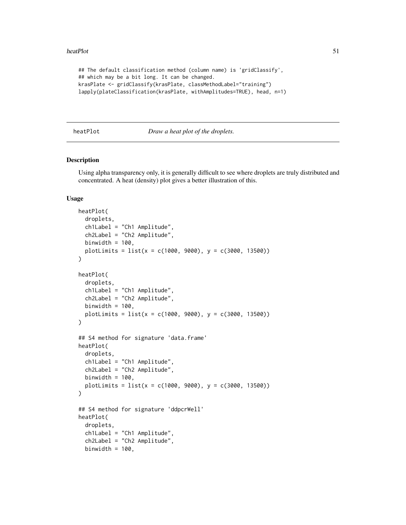```
## The default classification method (column name) is 'gridClassify',
## which may be a bit long. It can be changed.
krasPlate <- gridClassify(krasPlate, classMethodLabel="training")
lapply(plateClassification(krasPlate, withAmplitudes=TRUE), head, n=1)
```
## <span id="page-50-0"></span>heatPlot *Draw a heat plot of the droplets.*

## Description

Using alpha transparency only, it is generally difficult to see where droplets are truly distributed and concentrated. A heat (density) plot gives a better illustration of this.

#### Usage

```
heatPlot(
  droplets,
  ch1Label = "Ch1 Amplitude",
  ch2Label = "Ch2 Amplitude",
  binwidth = 100,
  plotLimits = list(x = c(1000, 9000), y = c(3000, 13500)))
heatPlot(
  droplets,
  ch1Label = "Ch1 Amplitude",
  ch2Label = "Ch2 Amplitude",
  binwidth = 100,
  plotLimits = list(x = c(1000, 9000), y = c(3000, 13500))\lambda## S4 method for signature 'data.frame'
heatPlot(
  droplets,
  ch1Label = "Ch1 Amplitude",
  ch2Label = "Ch2 Amplitude",
  binwidth = 100,
  plotLimits = list(x = c(1000, 9000), y = c(3000, 13500)))
## S4 method for signature 'ddpcrWell'
heatPlot(
  droplets,
  ch1Label = "Ch1 Amplitude",
  ch2Label = "Ch2 Amplitude",
  binwidth = 100,
```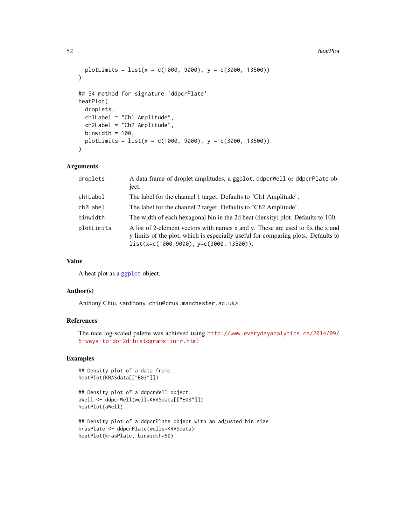#### 52 heatPlot

```
plotLimits = list(x = c(1000, 9000), y = c(3000, 13500))\lambda## S4 method for signature 'ddpcrPlate'
heatPlot(
  droplets,
  ch1Label = "Ch1 Amplitude",
  ch2Label = "Ch2 Amplitude",
 binwidth = 100,
 plotLimits = list(x = c(1000, 9000), y = c(3000, 13500))\mathcal{L}
```
# Arguments

| droplets   | A data frame of droplet amplitudes, a ggplot, ddpcrWell or ddpcrPlate ob-<br>ject.                                                                                                                                 |
|------------|--------------------------------------------------------------------------------------------------------------------------------------------------------------------------------------------------------------------|
| ch1Label   | The label for the channel 1 target. Defaults to "Ch1 Amplitude".                                                                                                                                                   |
| ch2Label   | The label for the channel 2 target. Defaults to "Ch <sub>2</sub> Amplitude".                                                                                                                                       |
| binwidth   | The width of each hexagonal bin in the 2d heat (density) plot. Defaults to 100.                                                                                                                                    |
| plotLimits | A list of 2-element vectors with names x and y. These are used to fix the x and<br>y limits of the plot, which is especially useful for comparing plots. Defaults to<br>$list(x=c(1000, 9000), y=c(3000, 13500)).$ |

#### Value

A heat plot as a [ggplot](#page-0-0) object.

## Author(s)

Anthony Chiu, <anthony.chiu@cruk.manchester.ac.uk>

# References

The nice log-scaled palette was achieved using [http://www.everydayanalytics.ca/2014/09/](http://www.everydayanalytics.ca/2014/09/5-ways-to-do-2d-histograms-in-r.html) [5-ways-to-do-2d-histograms-in-r.html](http://www.everydayanalytics.ca/2014/09/5-ways-to-do-2d-histograms-in-r.html)

```
## Density plot of a data frame.
heatPlot(KRASdata[["E03"]])
```

```
## Density plot of a ddpcrWell object.
aWell <- ddpcrWell(well=KRASdata[["E03"]])
heatPlot(aWell)
```

```
## Density plot of a ddpcrPlate object with an adjusted bin size.
krasPlate <- ddpcrPlate(wells=KRASdata)
heatPlot(krasPlate, binwidth=50)
```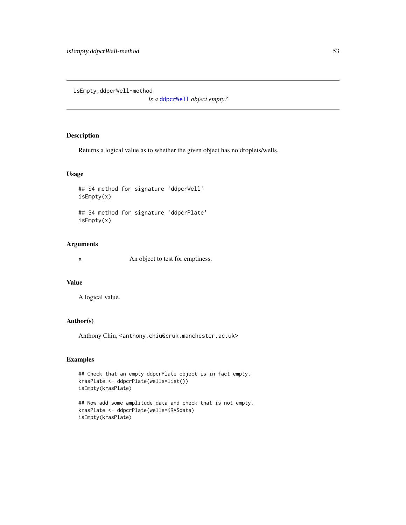isEmpty,ddpcrWell-method

*Is a* [ddpcrWell](#page-26-0) *object empty?*

# Description

Returns a logical value as to whether the given object has no droplets/wells.

## Usage

## S4 method for signature 'ddpcrWell' isEmpty(x)

## S4 method for signature 'ddpcrPlate' isEmpty(x)

# Arguments

x An object to test for emptiness.

## Value

A logical value.

# Author(s)

Anthony Chiu, <anthony.chiu@cruk.manchester.ac.uk>

```
## Check that an empty ddpcrPlate object is in fact empty.
krasPlate <- ddpcrPlate(wells=list())
isEmpty(krasPlate)
```

```
## Now add some amplitude data and check that is not empty.
krasPlate <- ddpcrPlate(wells=KRASdata)
isEmpty(krasPlate)
```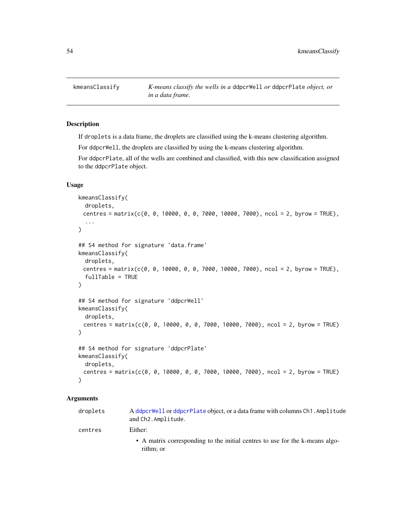## Description

If droplets is a data frame, the droplets are classified using the k-means clustering algorithm.

For ddpcrWell, the droplets are classified by using the k-means clustering algorithm.

For ddpcrPlate, all of the wells are combined and classified, with this new classification assigned to the ddpcrPlate object.

## Usage

```
kmeansClassify(
  droplets,
 centres = matrix(c(0, 0, 10000, 0, 0, 7000, 10000, 7000), ncol = 2, byrow = TRUE),
  ...
)
## S4 method for signature 'data.frame'
kmeansClassify(
 droplets,
 centres = matrix(c(0, 0, 10000, 0, 0, 7000, 10000, 7000), ncol = 2, byrow = TRUE),
  fullTable = TRUE
)
## S4 method for signature 'ddpcrWell'
kmeansClassify(
 droplets,
 centres = matrix(c(0, 0, 10000, 0, 0, 7000, 10000, 7000), ncol = 2, byrow = TRUE)
\lambda## S4 method for signature 'ddpcrPlate'
kmeansClassify(
 droplets,
 centres = matrix(c(0, 0, 10000, 0, 0, 7000, 10000, 7000), ncol = 2, byrow = TRUE)
\lambda
```
#### Arguments

| droplets | A ddpcrWell or ddpcrPlate object, or a data frame with columns Ch1. Amplitude<br>and Ch2. Amplitude. |
|----------|------------------------------------------------------------------------------------------------------|
| centres  | Either:                                                                                              |
|          | • A matrix corresponding to the initial centres to use for the k-means algo-<br>rithm; or            |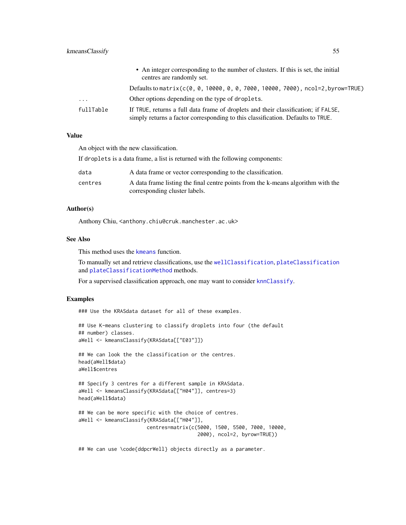|                         | • An integer corresponding to the number of clusters. If this is set, the initial<br>centres are randomly set.                                                        |
|-------------------------|-----------------------------------------------------------------------------------------------------------------------------------------------------------------------|
|                         | Defaults to matrix (c(0, 0, 10000, 0, 0, 7000, 10000, 7000), ncol=2, byrow=TRUE)                                                                                      |
| $\cdot$ $\cdot$ $\cdot$ | Other options depending on the type of droplets.                                                                                                                      |
| fullTable               | If TRUE, returns a full data frame of droplets and their classification; if FALSE,<br>simply returns a factor corresponding to this classification. Defaults to TRUE. |

# Value

An object with the new classification.

If droplets is a data frame, a list is returned with the following components:

| data    | A data frame or vector corresponding to the classification.                      |
|---------|----------------------------------------------------------------------------------|
| centres | A data frame listing the final centre points from the k-means algorithm with the |
|         | corresponding cluster labels.                                                    |

# Author(s)

Anthony Chiu, <anthony.chiu@cruk.manchester.ac.uk>

## See Also

This method uses the [kmeans](#page-0-0) function.

To manually set and retrieve classifications, use the [wellClassification](#page-85-0), [plateClassification](#page-64-0) and [plateClassificationMethod](#page-66-0) methods.

For a supervised classification approach, one may want to consider [knnClassify](#page-55-0).

# Examples

### Use the KRASdata dataset for all of these examples.

```
## Use K-means clustering to classify droplets into four (the default
## number) classes.
aWell <- kmeansClassify(KRASdata[["E03"]])
## We can look the the classification or the centres.
head(aWell$data)
aWell$centres
## Specify 3 centres for a different sample in KRASdata.
aWell <- kmeansClassify(KRASdata[["H04"]], centres=3)
head(aWell$data)
## We can be more specific with the choice of centres.
aWell <- kmeansClassify(KRASdata[["H04"]],
                       centres=matrix(c(5000, 1500, 5500, 7000, 10000,
                                        2000), ncol=2, byrow=TRUE))
```
## We can use \code{ddpcrWell} objects directly as a parameter.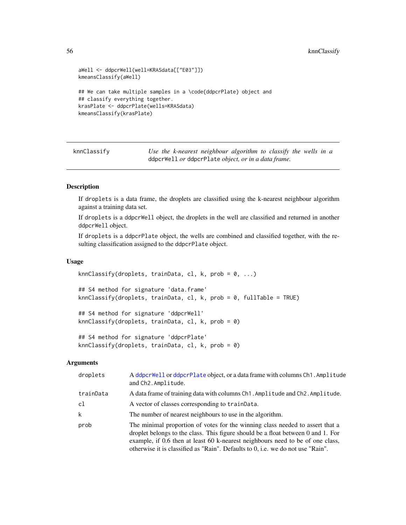## 56 knnClassify knnClassify

```
aWell <- ddpcrWell(well=KRASdata[["E03"]])
kmeansClassify(aWell)
## We can take multiple samples in a \code{ddpcrPlate} object and
## classify everything together.
krasPlate <- ddpcrPlate(wells=KRASdata)
kmeansClassify(krasPlate)
```
<span id="page-55-0"></span>knnClassify *Use the k-nearest neighbour algorithm to classify the wells in a* ddpcrWell *or* ddpcrPlate *object, or in a data frame.*

## Description

If droplets is a data frame, the droplets are classified using the k-nearest neighbour algorithm against a training data set.

If droplets is a ddpcrWell object, the droplets in the well are classified and returned in another ddpcrWell object.

If droplets is a ddpcrPlate object, the wells are combined and classified together, with the resulting classification assigned to the ddpcrPlate object.

#### Usage

```
knnClassify(droplets, trainData, cl, k, prob = 0, ...)
## S4 method for signature 'data.frame'
knnClassify(droplets, trainData, cl, k, prob = 0, fullTable = TRUE)
## S4 method for signature 'ddpcrWell'
knnClassify(droplets, trainData, cl, k, prob = 0)
## S4 method for signature 'ddpcrPlate'
knnClassify(droplets, trainData, cl, k, prob = 0)
```
## Arguments

| droplets  | A ddpcrWell or ddpcrPlate object, or a data frame with columns Ch1. Amplitude<br>and Ch2. Amplitude.                                                                                                                                                                                                                                      |
|-----------|-------------------------------------------------------------------------------------------------------------------------------------------------------------------------------------------------------------------------------------------------------------------------------------------------------------------------------------------|
| trainData | A data frame of training data with columns Ch1. Amplitude and Ch2. Amplitude.                                                                                                                                                                                                                                                             |
| cl        | A vector of classes corresponding to trainData.                                                                                                                                                                                                                                                                                           |
| k         | The number of nearest neighbours to use in the algorithm.                                                                                                                                                                                                                                                                                 |
| prob      | The minimal proportion of votes for the winning class needed to assert that a<br>droplet belongs to the class. This figure should be a float between 0 and 1. For<br>example, if 0.6 then at least 60 k-nearest neighbours need to be of one class,<br>otherwise it is classified as "Rain". Defaults to $0$ , i.e. we do not use "Rain". |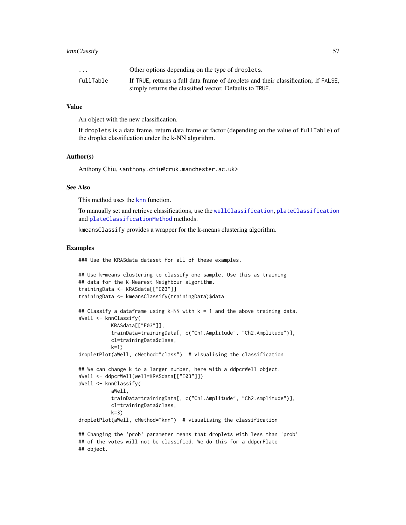# knnClassify 57

| $\cdot$ $\cdot$ $\cdot$ | Other options depending on the type of droplets.                                   |
|-------------------------|------------------------------------------------------------------------------------|
| fullTable               | If TRUE, returns a full data frame of droplets and their classification; if FALSE, |
|                         | simply returns the classified vector. Defaults to TRUE.                            |

#### Value

An object with the new classification.

If droplets is a data frame, return data frame or factor (depending on the value of fullTable) of the droplet classification under the k-NN algorithm.

## Author(s)

Anthony Chiu, <anthony.chiu@cruk.manchester.ac.uk>

#### See Also

This method uses the [knn](#page-0-0) function.

To manually set and retrieve classifications, use the [wellClassification](#page-85-0), [plateClassification](#page-64-0) and [plateClassificationMethod](#page-66-0) methods.

kmeansClassify provides a wrapper for the k-means clustering algorithm.

#### Examples

### Use the KRASdata dataset for all of these examples.

```
## Use k-means clustering to classify one sample. Use this as training
## data for the K-Nearest Neighbour algorithm.
trainingData <- KRASdata[["E03"]]
trainingData <- kmeansClassify(trainingData)$data
## Classify a dataframe using k-NN with k = 1 and the above training data.
aWell <- knnClassify(
           KRASdata[["F03"]],
           trainData=trainingData[, c("Ch1.Amplitude", "Ch2.Amplitude")],
           cl=trainingData$class,
           k=1)
dropletPlot(aWell, cMethod="class") # visualising the classification
## We can change k to a larger number, here with a ddpcrWell object.
aWell <- ddpcrWell(well=KRASdata[["E03"]])
aWell <- knnClassify(
           aWell,
           trainData=trainingData[, c("Ch1.Amplitude", "Ch2.Amplitude")],
           cl=trainingData$class,
           k=3)
dropletPlot(aWell, cMethod="knn") # visualising the classification
## Changing the 'prob' parameter means that droplets with less than 'prob'
## of the votes will not be classified. We do this for a ddpcrPlate
## object.
```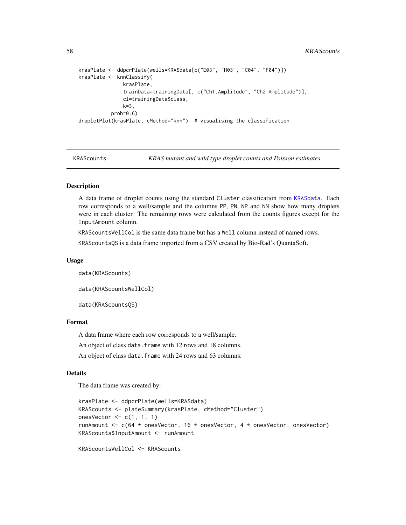#### 58 KRAScounts

```
krasPlate <- ddpcrPlate(wells=KRASdata[c("E03", "H03", "C04", "F04")])
krasPlate <- knnClassify(
              krasPlate,
              trainData=trainingData[, c("Ch1.Amplitude", "Ch2.Amplitude")],
              cl=trainingData$class,
              k=3,prob=0.6)
dropletPlot(krasPlate, cMethod="knn") # visualising the classification
```
KRAScounts *KRAS mutant and wild type droplet counts and Poisson estimates.*

# **Description**

A data frame of droplet counts using the standard Cluster classification from [KRASdata](#page-58-0). Each row corresponds to a well/sample and the columns PP, PN, NP and NN show how many droplets were in each cluster. The remaining rows were calculated from the counts figures except for the InputAmount column.

KRAScountsWellCol is the same data frame but has a Well column instead of named rows.

KRAScountsQS is a data frame imported from a CSV created by Bio-Rad's QuantaSoft.

#### Usage

```
data(KRAScounts)
```
data(KRAScountsWellCol)

data(KRAScountsQS)

## Format

A data frame where each row corresponds to a well/sample.

An object of class data.frame with 12 rows and 18 columns.

An object of class data. frame with 24 rows and 63 columns.

#### Details

The data frame was created by:

```
krasPlate <- ddpcrPlate(wells=KRASdata)
KRAScounts <- plateSummary(krasPlate, cMethod="Cluster")
onesVector \leq c(1, 1, 1)runAmount \leq c(64 \star onesVector, 16 \star onesVector, 4 \star onesVector, onesVector)
KRAScounts$InputAmount <- runAmount
```

```
KRAScountsWellCol <- KRAScounts
```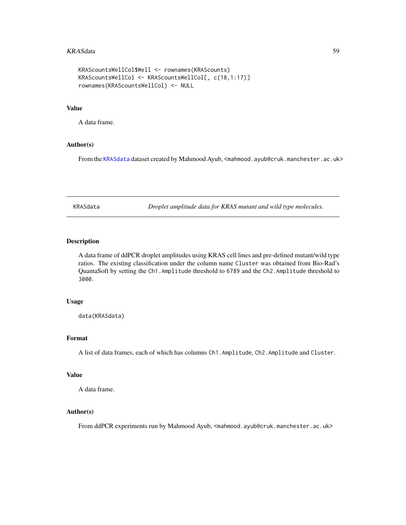#### KRASdata 59

```
KRAScountsWellCol$Well <- rownames(KRAScounts)
KRAScountsWellCol <- KRAScountsWellCol[, c(18,1:17)]
rownames(KRAScountsWellCol) <- NULL
```
#### Value

A data frame.

## Author(s)

From the [KRASdata](#page-58-0) dataset created by Mahmood Ayub, <mahmood.ayub@cruk.manchester.ac.uk>

<span id="page-58-0"></span>KRASdata *Droplet amplitude data for KRAS mutant and wild type molecules.*

# Description

A data frame of ddPCR droplet amplitudes using KRAS cell lines and pre-defined mutant/wild type ratios. The existing classification under the column name Cluster was obtained from Bio-Rad's QuantaSoft by setting the Ch1.Amplitude threshold to 6789 and the Ch2.Amplitude threshold to 3000.

## Usage

data(KRASdata)

# Format

A list of data frames, each of which has columns Ch1.Amplitude, Ch2.Amplitude and Cluster.

## Value

A data frame.

# Author(s)

From ddPCR experiments run by Mahmood Ayub, <mahmood.ayub@cruk.manchester.ac.uk>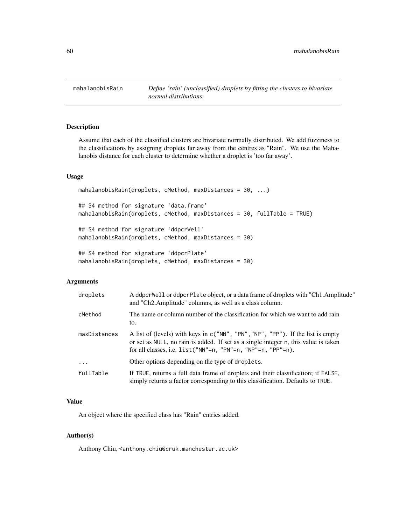mahalanobisRain *Define 'rain' (unclassified) droplets by fitting the clusters to bivariate normal distributions.*

## Description

Assume that each of the classified clusters are bivariate normally distributed. We add fuzziness to the classifications by assigning droplets far away from the centres as "Rain". We use the Mahalanobis distance for each cluster to determine whether a droplet is 'too far away'.

#### Usage

mahalanobisRain(droplets, cMethod, maxDistances = 30, ...)

## S4 method for signature 'data.frame' mahalanobisRain(droplets, cMethod, maxDistances = 30, fullTable = TRUE)

## S4 method for signature 'ddpcrWell' mahalanobisRain(droplets, cMethod, maxDistances = 30)

## S4 method for signature 'ddpcrPlate' mahalanobisRain(droplets, cMethod, maxDistances = 30)

## Arguments

| droplets     | A ddpcrWell or ddpcrPlate object, or a data frame of droplets with "Ch1.Amplitude"<br>and "Ch2.Amplitude" columns, as well as a class column.                                                                                          |
|--------------|----------------------------------------------------------------------------------------------------------------------------------------------------------------------------------------------------------------------------------------|
| cMethod      | The name or column number of the classification for which we want to add rain<br>to.                                                                                                                                                   |
| maxDistances | A list of (levels) with keys in c("NN", "PN", "NP", "PP"). If the list is empty<br>or set as NULL, no rain is added. If set as a single integer n, this value is taken<br>for all classes, i.e. list ("NN"=n, "PN"=n, "NP"=n, "PP"=n). |
| $\cdots$     | Other options depending on the type of droplets.                                                                                                                                                                                       |
| fullTable    | If TRUE, returns a full data frame of droplets and their classification; if FALSE,<br>simply returns a factor corresponding to this classification. Defaults to TRUE.                                                                  |

# Value

An object where the specified class has "Rain" entries added.

#### Author(s)

Anthony Chiu, <anthony.chiu@cruk.manchester.ac.uk>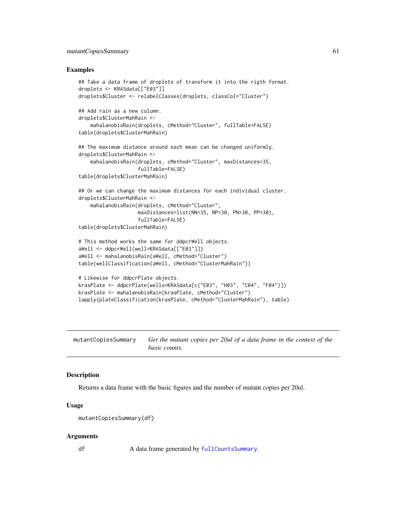## mutantCopiesSummary 61

### Examples

```
## Take a data frame of droplets of transform it into the rigth format.
droplets <- KRASdata[["E03"]]
droplets$Cluster <- relabelClasses(droplets, classCol="Cluster")
## Add rain as a new column.
droplets$ClusterMahRain <-
    mahalanobisRain(droplets, cMethod="Cluster", fullTable=FALSE)
table(droplets$ClusterMahRain)
## The maximum distance around each mean can be changed uniformly.
droplets$ClusterMahRain <-
   mahalanobisRain(droplets, cMethod="Cluster", maxDistances=35,
                    fullTable=FALSE)
table(droplets$ClusterMahRain)
## Or we can change the maximum distances for each individual cluster.
droplets$ClusterMahRain <-
    mahalanobisRain(droplets, cMethod="Cluster",
                    maxDistances=list(NN=35, NP=30, PN=30, PP=30),
                    fullTable=FALSE)
table(droplets$ClusterMahRain)
# This method works the same for ddpcrWell objects.
aWell <- ddpcrWell(well=KRASdata[["E03"]])
aWell <- mahalanobisRain(aWell, cMethod="Cluster")
table(wellClassification(aWell, cMethod="ClusterMahRain"))
# Likewise for ddpcrPlate objects.
krasPlate <- ddpcrPlate(wells=KRASdata[c("E03", "H03", "C04", "F04")])
krasPlate <- mahalanobisRain(krasPlate, cMethod="Cluster")
lapply(plateClassification(krasPlate, cMethod="ClusterMahRain"), table)
```
mutantCopiesSummary *Get the mutant copies per 20ul of a data frame in the context of the basic counts.*

## **Description**

Returns a data frame with the basic figures and the number of mutant copies per 20ul.

## Usage

```
mutantCopiesSummary(df)
```
## Arguments

df A data frame generated by [fullCountsSummary](#page-42-0).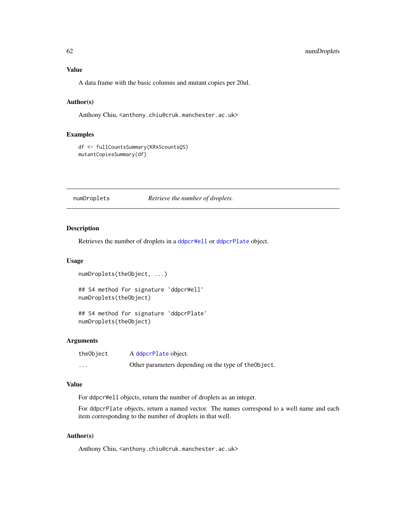# Value

A data frame with the basic columns and mutant copies per 20ul.

# Author(s)

Anthony Chiu, <anthony.chiu@cruk.manchester.ac.uk>

# Examples

df <- fullCountsSummary(KRAScountsQS) mutantCopiesSummary(df)

numDroplets *Retrieve the number of droplets.*

# Description

Retrieves the number of droplets in a [ddpcrWell](#page-26-0) or [ddpcrPlate](#page-25-0) object.

## Usage

```
numDroplets(theObject, ...)
```
## S4 method for signature 'ddpcrWell' numDroplets(theObject)

## S4 method for signature 'ddpcrPlate' numDroplets(theObject)

#### Arguments

| theObject | A ddpcrPlate object.                                  |
|-----------|-------------------------------------------------------|
| .         | Other parameters depending on the type of the Object. |

## Value

For ddpcrWell objects, return the number of droplets as an integer.

For ddpcrPlate objects, return a named vector. The names correspond to a well name and each item corresponding to the number of droplets in that well.

## Author(s)

Anthony Chiu, <anthony.chiu@cruk.manchester.ac.uk>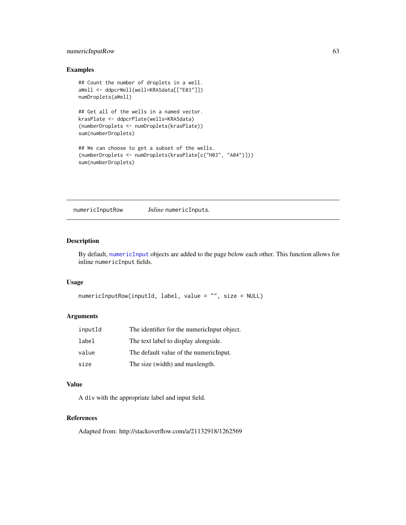# numericInputRow 63

# Examples

```
## Count the number of droplets in a well.
aWell <- ddpcrWell(well=KRASdata[["E03"]])
numDroplets(aWell)
## Get all of the wells in a named vector.
krasPlate <- ddpcrPlate(wells=KRASdata)
(numberDroplets <- numDroplets(krasPlate))
sum(numberDroplets)
## We can choose to get a subset of the wells.
(numberDroplets <- numDroplets(krasPlate[c("H03", "A04")]))
sum(numberDroplets)
```
numericInputRow *Inline* numericInputs*.*

# Description

By default, [numericInput](#page-0-0) objects are added to the page below each other. This function allows for inline numericInput fields.

## Usage

```
numericInputRow(inputId, label, value = "", size = NULL)
```
## Arguments

| inputId | The identifier for the numericInput object. |
|---------|---------------------------------------------|
| label   | The text label to display alongside.        |
| value   | The default value of the numeric Input.     |
| size    | The size (width) and maxlength.             |

# Value

A div with the appropriate label and input field.

#### References

Adapted from: http://stackoverflow.com/a/21132918/1262569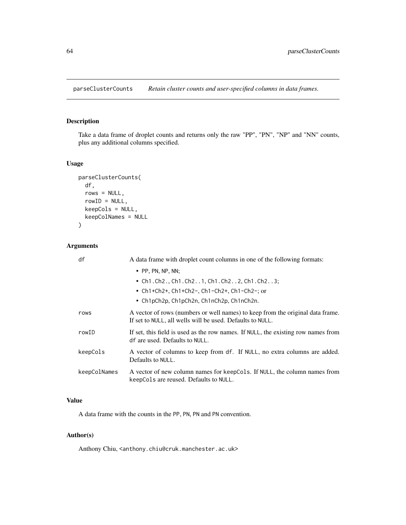parseClusterCounts *Retain cluster counts and user-specified columns in data frames.*

# Description

Take a data frame of droplet counts and returns only the raw "PP", "PN", "NP" and "NN" counts, plus any additional columns specified.

# Usage

```
parseClusterCounts(
 df,
 rows = NULL,rowID = NULL,keepCols = NULL,
 keepColNames = NULL
)
```
# Arguments

| df           | A data frame with droplet count columns in one of the following formats:                                                                    |
|--------------|---------------------------------------------------------------------------------------------------------------------------------------------|
|              | $\bullet$ PP, PN, NP, NN;                                                                                                                   |
|              | • Ch1. Ch2., Ch1. Ch21, Ch1. Ch22, Ch1. Ch23;                                                                                               |
|              | • $Ch1+Ch2+$ , $Ch1+Ch2-$ , $Ch1-Ch2+$ , $Ch1-Ch2-$ ; or                                                                                    |
|              | • $Ch1pCh2p, Ch1pCh2n, Ch1nCh2p, Ch1nCh2n.$                                                                                                 |
| rows         | A vector of rows (numbers or well names) to keep from the original data frame.<br>If set to NULL, all wells will be used. Defaults to NULL. |
| rowID        | If set, this field is used as the row names. If NULL, the existing row names from<br>df are used. Defaults to NULL.                         |
| keepCols     | A vector of columns to keep from df. If NULL, no extra columns are added.<br>Defaults to NULL.                                              |
| keepColNames | A vector of new column names for keepCols. If NULL, the column names from<br>keepCols are reused. Defaults to NULL.                         |

# Value

A data frame with the counts in the PP, PN, PN and PN convention.

# Author(s)

Anthony Chiu, <anthony.chiu@cruk.manchester.ac.uk>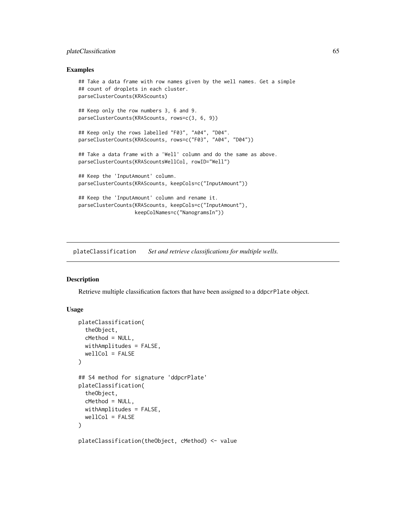## plateClassification 65

### Examples

```
## Take a data frame with row names given by the well names. Get a simple
## count of droplets in each cluster.
parseClusterCounts(KRAScounts)
## Keep only the row numbers 3, 6 and 9.
parseClusterCounts(KRAScounts, rows=c(3, 6, 9))
## Keep only the rows labelled "F03", "A04", "D04".
parseClusterCounts(KRAScounts, rows=c("F03", "A04", "D04"))
## Take a data frame with a 'Well' column and do the same as above.
parseClusterCounts(KRAScountsWellCol, rowID="Well")
## Keep the 'InputAmount' column.
parseClusterCounts(KRAScounts, keepCols=c("InputAmount"))
## Keep the 'InputAmount' column and rename it.
parseClusterCounts(KRAScounts, keepCols=c("InputAmount"),
                   keepColNames=c("NanogramsIn"))
```
<span id="page-64-0"></span>plateClassification *Set and retrieve classifications for multiple wells.*

#### Description

Retrieve multiple classification factors that have been assigned to a ddpcrPlate object.

## Usage

```
plateClassification(
  theObject,
  cMethod = NULL,
  withAmplitudes = FALSE,
  wellCol = FALSE
)
## S4 method for signature 'ddpcrPlate'
plateClassification(
  theObject,
  cMethod = NULL,
  withAmplitudes = FALSE,
  wellCol = FALSE)
plateClassification(theObject, cMethod) <- value
```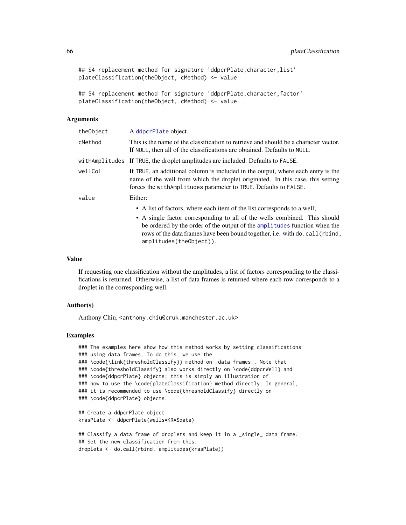```
## S4 replacement method for signature 'ddpcrPlate, character, list'
plateClassification(theObject, cMethod) <- value
```

```
## S4 replacement method for signature 'ddpcrPlate, character, factor'
plateClassification(theObject, cMethod) <- value
```
## Arguments

| theObject | A ddpcrPlate object.                                                                                                                                                                                                                                                                                                                         |
|-----------|----------------------------------------------------------------------------------------------------------------------------------------------------------------------------------------------------------------------------------------------------------------------------------------------------------------------------------------------|
| cMethod   | This is the name of the classification to retrieve and should be a character vector.<br>If NULL, then all of the classifications are obtained. Defaults to NULL.                                                                                                                                                                             |
|           | with Amplitudes If TRUE, the droplet amplitudes are included. Defaults to FALSE.                                                                                                                                                                                                                                                             |
| wellCol   | If TRUE, an additional column is included in the output, where each entry is the<br>name of the well from which the droplet originated. In this case, this setting<br>forces the with Amplitudes parameter to TRUE. Defaults to FALSE.                                                                                                       |
| value     | Either:                                                                                                                                                                                                                                                                                                                                      |
|           | • A list of factors, where each item of the list corresponds to a well;<br>• A single factor corresponding to all of the wells combined. This should<br>be ordered by the order of the output of the amplitudes function when the<br>rows of the data frames have been bound together, i.e. with do. call (rbind,<br>amplitudes(theObject)). |

## Value

If requesting one classification without the amplitudes, a list of factors corresponding to the classifications is returned. Otherwise, a list of data frames is returned where each row corresponds to a droplet in the corresponding well.

## Author(s)

Anthony Chiu, <anthony.chiu@cruk.manchester.ac.uk>

```
### The examples here show how this method works by setting classifications
### using data frames. To do this, we use the
### \code{\link{thresholdClassify}} method on _data frames_. Note that
### \code{thresholdClassify} also works directly on \code{ddpcrWell} and
### \code{ddpcrPlate} objects; this is simply an illustration of
### how to use the \code{plateClassification} method directly. In general,
### it is recommended to use \code{thresholdClassify} directly on
### \code{ddpcrPlate} objects.
## Create a ddpcrPlate object.
krasPlate <- ddpcrPlate(wells=KRASdata)
## Classify a data frame of droplets and keep it in a _single_ data frame.
```

```
## Set the new classification from this.
droplets <- do.call(rbind, amplitudes(krasPlate))
```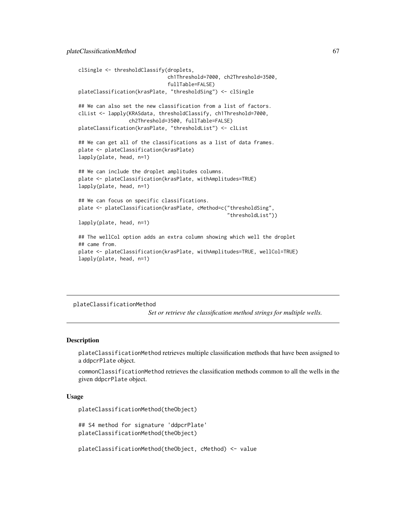```
clSingle <- thresholdClassify(droplets,
                              ch1Threshold=7000, ch2Threshold=3500,
                              fullTable=FALSE)
plateClassification(krasPlate, "thresholdSing") <- clSingle
## We can also set the new classification from a list of factors.
clList <- lapply(KRASdata, thresholdClassify, ch1Threshold=7000,
                 ch2Threshold=3500, fullTable=FALSE)
plateClassification(krasPlate, "thresholdList") <- clList
## We can get all of the classifications as a list of data frames.
plate <- plateClassification(krasPlate)
lapply(plate, head, n=1)
## We can include the droplet amplitudes columns.
plate <- plateClassification(krasPlate, withAmplitudes=TRUE)
lapply(plate, head, n=1)
## We can focus on specific classifications.
plate <- plateClassification(krasPlate, cMethod=c("thresholdSing",
                                                  "thresholdList"))
lapply(plate, head, n=1)
## The wellCol option adds an extra column showing which well the droplet
## came from.
plate <- plateClassification(krasPlate, withAmplitudes=TRUE, wellCol=TRUE)
lapply(plate, head, n=1)
```
#### <span id="page-66-0"></span>plateClassificationMethod

*Set or retrieve the classification method strings for multiple wells.*

## **Description**

plateClassificationMethod retrieves multiple classification methods that have been assigned to a ddpcrPlate object.

commonClassificationMethod retrieves the classification methods common to all the wells in the given ddpcrPlate object.

## Usage

```
plateClassificationMethod(theObject)
```
## S4 method for signature 'ddpcrPlate' plateClassificationMethod(theObject)

plateClassificationMethod(theObject, cMethod) <- value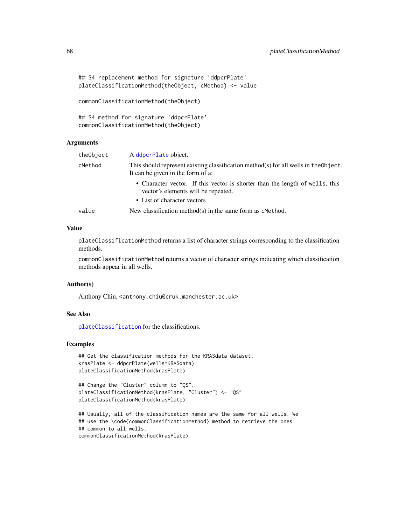```
## S4 replacement method for signature 'ddpcrPlate'
plateClassificationMethod(theObject, cMethod) <- value
```

```
commonClassificationMethod(theObject)
```

```
## S4 method for signature 'ddpcrPlate'
commonClassificationMethod(theObject)
```
## Arguments

| theObject | A ddpcrPlate object.                                                                                                                                |
|-----------|-----------------------------------------------------------------------------------------------------------------------------------------------------|
| cMethod   | This should represent existing classification method(s) for all wells in the Object.<br>It can be given in the form of a:                           |
|           | • Character vector. If this vector is shorter than the length of wells, this<br>vector's elements will be repeated.<br>• List of character vectors. |
| value     | New classification method(s) in the same form as $c$ Method.                                                                                        |

## Value

plateClassificationMethod returns a list of character strings corresponding to the classification methods.

commonClassificationMethod returns a vector of character strings indicating which classification methods appear in all wells.

## Author(s)

Anthony Chiu, <anthony.chiu@cruk.manchester.ac.uk>

# See Also

[plateClassification](#page-64-0) for the classifications.

```
## Get the classification methods for the KRASdata dataset.
krasPlate <- ddpcrPlate(wells=KRASdata)
plateClassificationMethod(krasPlate)
```

```
## Change the "Cluster" column to "QS".
plateClassificationMethod(krasPlate, "Cluster") <- "QS"
plateClassificationMethod(krasPlate)
```

```
## Usually, all of the classification names are the same for all wells. We
## use the \code{commonClassificationMethod} method to retrieve the ones
## common to all wells.
commonClassificationMethod(krasPlate)
```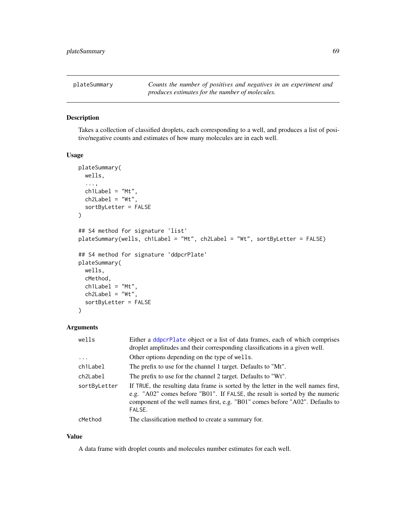## Description

Takes a collection of classified droplets, each corresponding to a well, and produces a list of positive/negative counts and estimates of how many molecules are in each well.

## Usage

```
plateSummary(
 wells,
  ...,
 ch1Label = "Mt",ch2Label = "Wt",sortByLetter = FALSE
)
## S4 method for signature 'list'
plateSummary(wells, ch1Label = "Mt", ch2Label = "Wt", sortByLetter = FALSE)
## S4 method for signature 'ddpcrPlate'
plateSummary(
 wells,
  cMethod,
  ch1Label = "Mt",ch2Label = "Wt",sortByLetter = FALSE
\mathcal{E}
```
# Arguments

| wells        | Either a ddpcrPlate object or a list of data frames, each of which comprises<br>droplet amplitudes and their corresponding classifications in a given well.                                                                                                   |
|--------------|---------------------------------------------------------------------------------------------------------------------------------------------------------------------------------------------------------------------------------------------------------------|
| $\ddots$     | Other options depending on the type of wells.                                                                                                                                                                                                                 |
| ch1Label     | The prefix to use for the channel 1 target. Defaults to "Mt".                                                                                                                                                                                                 |
| ch2Label     | The prefix to use for the channel 2 target. Defaults to "Wt".                                                                                                                                                                                                 |
| sortByLetter | If TRUE, the resulting data frame is sorted by the letter in the well names first,<br>e.g. "A02" comes before "B01". If FALSE, the result is sorted by the numeric<br>component of the well names first, e.g. "B01" comes before "A02". Defaults to<br>FALSE. |
| cMethod      | The classification method to create a summary for.                                                                                                                                                                                                            |

## Value

A data frame with droplet counts and molecules number estimates for each well.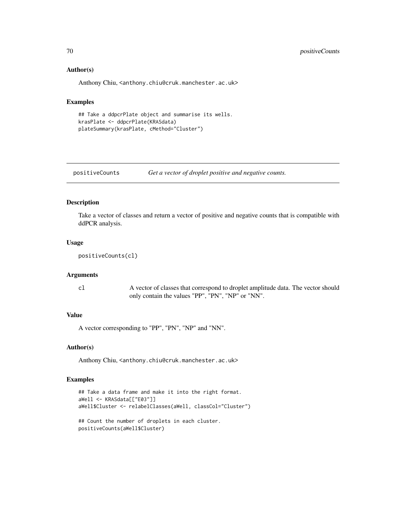## Author(s)

Anthony Chiu, <anthony.chiu@cruk.manchester.ac.uk>

# Examples

```
## Take a ddpcrPlate object and summarise its wells.
krasPlate <- ddpcrPlate(KRASdata)
plateSummary(krasPlate, cMethod="Cluster")
```

```
positiveCounts Get a vector of droplet positive and negative counts.
```
## Description

Take a vector of classes and return a vector of positive and negative counts that is compatible with ddPCR analysis.

## Usage

```
positiveCounts(cl)
```
#### Arguments

cl A vector of classes that correspond to droplet amplitude data. The vector should only contain the values "PP", "PN", "NP" or "NN".

#### Value

A vector corresponding to "PP", "PN", "NP" and "NN".

# Author(s)

Anthony Chiu, <anthony.chiu@cruk.manchester.ac.uk>

```
## Take a data frame and make it into the right format.
aWell <- KRASdata[["E03"]]
aWell$Cluster <- relabelClasses(aWell, classCol="Cluster")
## Count the number of droplets in each cluster.
positiveCounts(aWell$Cluster)
```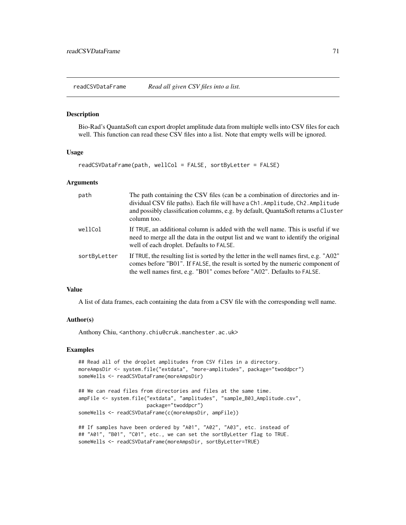readCSVDataFrame *Read all given CSV files into a list.*

#### Description

Bio-Rad's QuantaSoft can export droplet amplitude data from multiple wells into CSV files for each well. This function can read these CSV files into a list. Note that empty wells will be ignored.

## Usage

readCSVDataFrame(path, wellCol = FALSE, sortByLetter = FALSE)

#### Arguments

| path         | The path containing the CSV files (can be a combination of directories and in-<br>dividual CSV file paths). Each file will have a Ch1. Amplitude, Ch2. Amplitude<br>and possibly classification columns, e.g. by default, QuantaSoft returns a Cluster<br>column too. |
|--------------|-----------------------------------------------------------------------------------------------------------------------------------------------------------------------------------------------------------------------------------------------------------------------|
| wellCol      | If TRUE, an additional column is added with the well name. This is useful if we<br>need to merge all the data in the output list and we want to identify the original<br>well of each droplet. Defaults to FALSE.                                                     |
| sortByLetter | If TRUE, the resulting list is sorted by the letter in the well names first, e.g. " $A02$ "<br>comes before "B01". If FALSE, the result is sorted by the numeric component of<br>the well names first, e.g. "B01" comes before "A02". Defaults to FALSE.              |

## Value

A list of data frames, each containing the data from a CSV file with the corresponding well name.

#### Author(s)

Anthony Chiu, <anthony.chiu@cruk.manchester.ac.uk>

```
## Read all of the droplet amplitudes from CSV files in a directory.
moreAmpsDir <- system.file("extdata", "more-amplitudes", package="twoddpcr")
someWells <- readCSVDataFrame(moreAmpsDir)
```

```
## We can read files from directories and files at the same time.
ampFile <- system.file("extdata", "amplitudes", "sample_B03_Amplitude.csv",
                       package="twoddpcr")
someWells <- readCSVDataFrame(c(moreAmpsDir, ampFile))
```

```
## If samples have been ordered by "A01", "A02", "A03", etc. instead of
## "A01", "B01", "C01", etc., we can set the sortByLetter flag to TRUE.
someWells <- readCSVDataFrame(moreAmpsDir, sortByLetter=TRUE)
```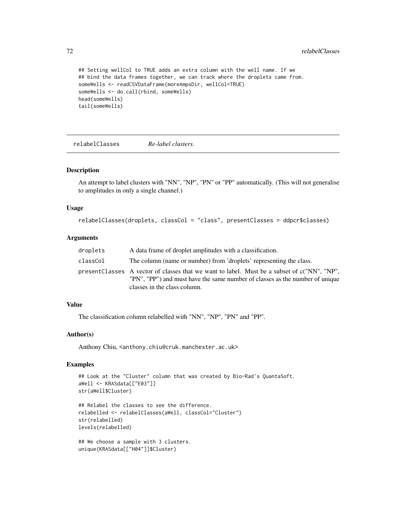72 relabelClasses

```
## Setting wellCol to TRUE adds an extra column with the well name. If we
## bind the data frames together, we can track where the droplets came from.
someWells <- readCSVDataFrame(moreAmpsDir, wellCol=TRUE)
someWells <- do.call(rbind, someWells)
head(someWells)
tail(someWells)
```
relabelClasses *Re-label clusters.*

#### Description

An attempt to label clusters with "NN", "NP", "PN" or "PP" automatically. (This will not generalise to amplitudes in only a single channel.)

## Usage

```
relabelClasses(droplets, classCol = "class", presentClasses = ddpcr$classes)
```
## Arguments

| droplets | A data frame of droplet amplitudes with a classification.                                                                                                                                                   |
|----------|-------------------------------------------------------------------------------------------------------------------------------------------------------------------------------------------------------------|
| classCol | The column (name or number) from 'droplets' representing the class.                                                                                                                                         |
|          | presentClasses A vector of classes that we want to label. Must be a subset of c("NN", "NP",<br>"PN", "PP") and must have the same number of classes as the number of unique<br>classes in the class column. |

## Value

The classification column relabelled with "NN", "NP", "PN" and "PP".

## Author(s)

Anthony Chiu, <anthony.chiu@cruk.manchester.ac.uk>

```
## Look at the "Cluster" column that was created by Bio-Rad's QuantaSoft.
aWell <- KRASdata[["E03"]]
str(aWell$Cluster)
```

```
## Relabel the classes to see the difference.
relabelled <- relabelClasses(aWell, classCol="Cluster")
str(relabelled)
levels(relabelled)
```

```
## We choose a sample with 3 clusters.
unique(KRASdata[["H04"]]$Cluster)
```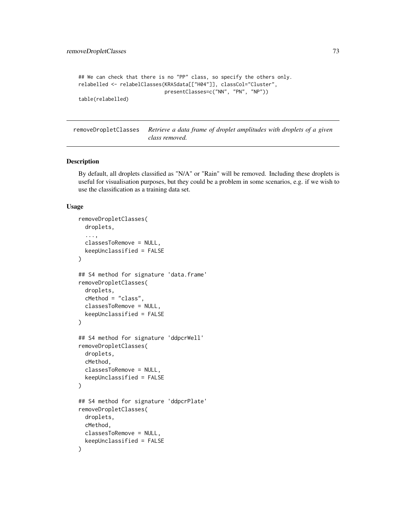```
## We can check that there is no "PP" class, so specify the others only.
relabelled <- relabelClasses(KRASdata[["H04"]], classCol="Cluster",
                             presentClasses=c("NN", "PN", "NP"))
table(relabelled)
```
removeDropletClasses *Retrieve a data frame of droplet amplitudes with droplets of a given class removed.*

#### Description

By default, all droplets classified as "N/A" or "Rain" will be removed. Including these droplets is useful for visualisation purposes, but they could be a problem in some scenarios, e.g. if we wish to use the classification as a training data set.

#### Usage

```
removeDropletClasses(
  droplets,
  ...,
 classesToRemove = NULL,
 keepUnclassified = FALSE
)
## S4 method for signature 'data.frame'
removeDropletClasses(
  droplets,
  cMethod = "class",
  classesToRemove = NULL,
 keepUnclassified = FALSE
\lambda## S4 method for signature 'ddpcrWell'
removeDropletClasses(
  droplets,
  cMethod,
 classesToRemove = NULL,
  keepUnclassified = FALSE
)
## S4 method for signature 'ddpcrPlate'
removeDropletClasses(
  droplets,
  cMethod,
 classesToRemove = NULL,
  keepUnclassified = FALSE
)
```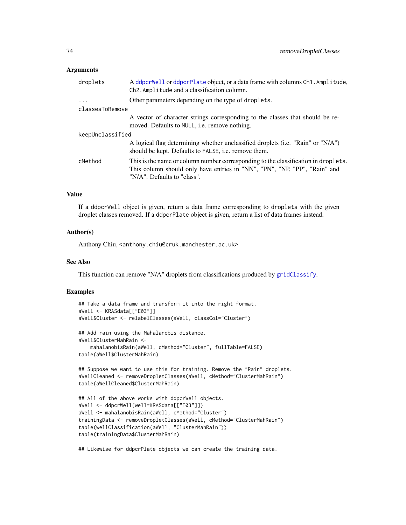## <span id="page-73-0"></span>Arguments

| A ddpcrWell or ddpcrPlate object, or a data frame with columns Ch1. Amplitude,<br>Ch <sub>2</sub> . Amplitude and a classification column.                                                     |
|------------------------------------------------------------------------------------------------------------------------------------------------------------------------------------------------|
| Other parameters depending on the type of droplets.                                                                                                                                            |
|                                                                                                                                                                                                |
| A vector of character strings corresponding to the classes that should be re-<br>moved. Defaults to NULL, <i>i.e.</i> remove nothing.                                                          |
| keepUnclassified                                                                                                                                                                               |
| A logical flag determining whether unclassified droplets (i.e. "Rain" or "N/A")<br>should be kept. Defaults to FALSE, i.e. remove them.                                                        |
| This is the name or column number corresponding to the classification in droplets.<br>This column should only have entries in "NN", "PN", "NP, "PP", "Rain" and<br>"N/A". Defaults to "class". |
|                                                                                                                                                                                                |

#### Value

If a ddpcrWell object is given, return a data frame corresponding to droplets with the given droplet classes removed. If a ddpcrPlate object is given, return a list of data frames instead.

#### Author(s)

Anthony Chiu, <anthony.chiu@cruk.manchester.ac.uk>

## See Also

This function can remove "N/A" droplets from classifications produced by [gridClassify](#page-46-0).

#### Examples

```
## Take a data frame and transform it into the right format.
aWell <- KRASdata[["E03"]]
aWell$Cluster <- relabelClasses(aWell, classCol="Cluster")
## Add rain using the Mahalanobis distance.
aWell$ClusterMahRain <-
    mahalanobisRain(aWell, cMethod="Cluster", fullTable=FALSE)
table(aWell$ClusterMahRain)
## Suppose we want to use this for training. Remove the "Rain" droplets.
```

```
aWellCleaned <- removeDropletClasses(aWell, cMethod="ClusterMahRain")
table(aWellCleaned$ClusterMahRain)
```

```
## All of the above works with ddpcrWell objects.
aWell <- ddpcrWell(well=KRASdata[["E03"]])
aWell <- mahalanobisRain(aWell, cMethod="Cluster")
trainingData <- removeDropletClasses(aWell, cMethod="ClusterMahRain")
table(wellClassification(aWell, "ClusterMahRain"))
table(trainingData$ClusterMahRain)
```
## Likewise for ddpcrPlate objects we can create the training data.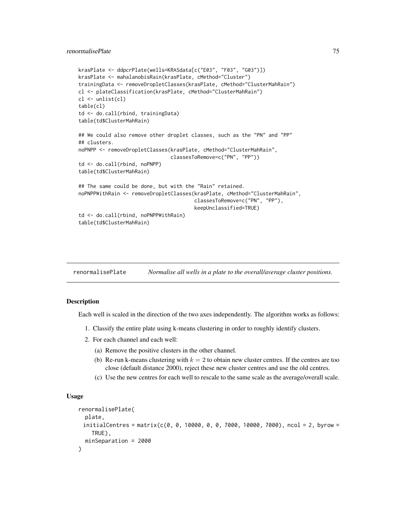## <span id="page-74-0"></span>renormalisePlate 75

```
krasPlate <- ddpcrPlate(wells=KRASdata[c("E03", "F03", "G03")])
krasPlate <- mahalanobisRain(krasPlate, cMethod="Cluster")
trainingData <- removeDropletClasses(krasPlate, cMethod="ClusterMahRain")
cl <- plateClassification(krasPlate, cMethod="ClusterMahRain")
cl <- unlist(cl)
table(cl)
td <- do.call(rbind, trainingData)
table(td$ClusterMahRain)
## We could also remove other droplet classes, such as the "PN" and "PP"
## clusters.
noPNPP <- removeDropletClasses(krasPlate, cMethod="ClusterMahRain",
                               classesToRemove=c("PN", "PP"))
td <- do.call(rbind, noPNPP)
table(td$ClusterMahRain)
## The same could be done, but with the "Rain" retained.
noPNPPWithRain <- removeDropletClasses(krasPlate, cMethod="ClusterMahRain",
                                       classesToRemove=c("PN", "PP"),
                                       keepUnclassified=TRUE)
td <- do.call(rbind, noPNPPWithRain)
table(td$ClusterMahRain)
```

| renormalisePlate | Normalise all wells in a plate to the overall/average cluster positions. |  |  |  |
|------------------|--------------------------------------------------------------------------|--|--|--|
|------------------|--------------------------------------------------------------------------|--|--|--|

## Description

Each well is scaled in the direction of the two axes independently. The algorithm works as follows:

- 1. Classify the entire plate using k-means clustering in order to roughly identify clusters.
- 2. For each channel and each well:
	- (a) Remove the positive clusters in the other channel.
	- (b) Re-run k-means clustering with  $k = 2$  to obtain new cluster centres. If the centres are too close (default distance 2000), reject these new cluster centres and use the old centres.
	- (c) Use the new centres for each well to rescale to the same scale as the average/overall scale.

#### Usage

```
renormalisePlate(
 plate,
 initialCentres = matrix(c(0, 0, 10000, 0, 0, 7000, 10000, 7000), ncol = 2, byrow =
    TRUE),
 minSeparation = 2000
)
```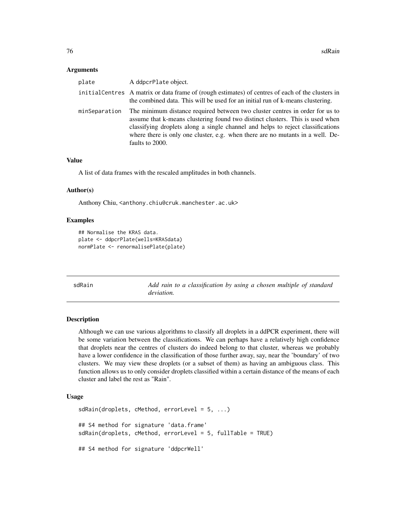#### <span id="page-75-0"></span>**Arguments**

| plate         | A ddpcrPlate object.                                                                                                                                                                                                                                                                                                                                  |
|---------------|-------------------------------------------------------------------------------------------------------------------------------------------------------------------------------------------------------------------------------------------------------------------------------------------------------------------------------------------------------|
|               | initial Centres A matrix or data frame of (rough estimates) of centres of each of the clusters in<br>the combined data. This will be used for an initial run of k-means clustering.                                                                                                                                                                   |
| minSeparation | The minimum distance required between two cluster centres in order for us to<br>assume that k-means clustering found two distinct clusters. This is used when<br>classifying droplets along a single channel and helps to reject classifications<br>where there is only one cluster, e.g. when there are no mutants in a well. De-<br>faults to 2000. |

# Value

A list of data frames with the rescaled amplitudes in both channels.

#### Author(s)

Anthony Chiu, <anthony.chiu@cruk.manchester.ac.uk>

#### Examples

```
## Normalise the KRAS data.
plate <- ddpcrPlate(wells=KRASdata)
normPlate <- renormalisePlate(plate)
```

| sdRain | Add rain to a classification by using a chosen multiple of standard |
|--------|---------------------------------------------------------------------|
|        | <i>deviation.</i>                                                   |

# Description

Although we can use various algorithms to classify all droplets in a ddPCR experiment, there will be some variation between the classifications. We can perhaps have a relatively high confidence that droplets near the centres of clusters do indeed belong to that cluster, whereas we probably have a lower confidence in the classification of those further away, say, near the 'boundary' of two clusters. We may view these droplets (or a subset of them) as having an ambiguous class. This function allows us to only consider droplets classified within a certain distance of the means of each cluster and label the rest as "Rain".

## Usage

```
sdRain(droplets, cMethod, errorLevel = 5, ...)## S4 method for signature 'data.frame'
sdRain(droplets, cMethod, errorLevel = 5, fullTable = TRUE)
## S4 method for signature 'ddpcrWell'
```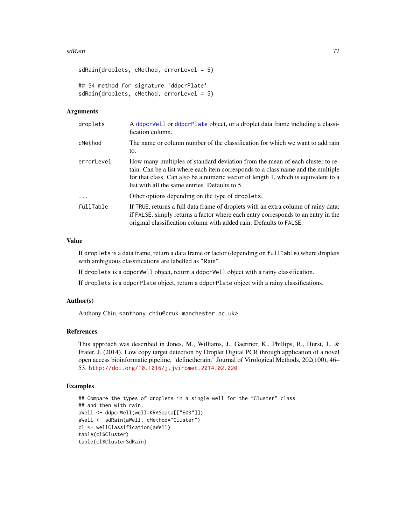#### <span id="page-76-0"></span>sdRain 77 **and 2012 12:00 and 2013 12:00 and 2013 12:00 and 2013 12:00 and 2013 12:00 and 2013**

```
sdRain(droplets, cMethod, errorLevel = 5)
## S4 method for signature 'ddpcrPlate'
sdRain(droplets, cMethod, errorLevel = 5)
```
## Arguments

| droplets   | A ddpcrWell or ddpcrPlate object, or a droplet data frame including a classi-<br>fication column.                                                                                                                                                                                                         |
|------------|-----------------------------------------------------------------------------------------------------------------------------------------------------------------------------------------------------------------------------------------------------------------------------------------------------------|
| cMethod    | The name or column number of the classification for which we want to add rain<br>to.                                                                                                                                                                                                                      |
| errorLevel | How many multiples of standard deviation from the mean of each cluster to re-<br>tain. Can be a list where each item corresponds to a class name and the multiple<br>for that class. Can also be a numeric vector of length 1, which is equivalent to a<br>list with all the same entries. Defaults to 5. |
| $\cdot$    | Other options depending on the type of droplets.                                                                                                                                                                                                                                                          |
| fullTable  | If TRUE, returns a full data frame of droplets with an extra column of rainy data;<br>if FALSE, simply returns a factor where each entry corresponds to an entry in the<br>original classification column with added rain. Defaults to FALSE.                                                             |

# Value

If droplets is a data frame, return a data frame or factor (depending on fullTable) where droplets with ambiguous classifications are labelled as "Rain".

If droplets is a ddpcrWell object, return a ddpcrWell object with a rainy classification.

If droplets is a ddpcrPlate object, return a ddpcrPlate object with a rainy classifications.

## Author(s)

Anthony Chiu, <anthony.chiu@cruk.manchester.ac.uk>

# References

This approach was described in Jones, M., Williams, J., Gaertner, K., Phillips, R., Hurst, J., & Frater, J. (2014). Low copy target detection by Droplet Digital PCR through application of a novel open access bioinformatic pipeline, "definetherain." Journal of Virological Methods, 202(100), 46– 53. <http://doi.org/10.1016/j.jviromet.2014.02.020>

## Examples

```
## Compare the types of droplets in a single well for the "Cluster" class
## and then with rain.
aWell <- ddpcrWell(well=KRASdata[["E03"]])
aWell <- sdRain(aWell, cMethod="Cluster")
cl <- wellClassification(aWell)
table(cl$Cluster)
table(cl$ClusterSdRain)
```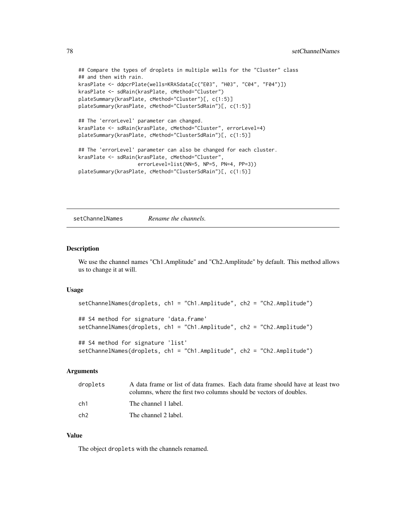```
## Compare the types of droplets in multiple wells for the "Cluster" class
## and then with rain.
krasPlate <- ddpcrPlate(wells=KRASdata[c("E03", "H03", "C04", "F04")])
krasPlate <- sdRain(krasPlate, cMethod="Cluster")
plateSummary(krasPlate, cMethod="Cluster")[, c(1:5)]
plateSummary(krasPlate, cMethod="ClusterSdRain")[, c(1:5)]
## The 'errorLevel' parameter can changed.
krasPlate <- sdRain(krasPlate, cMethod="Cluster", errorLevel=4)
plateSummary(krasPlate, cMethod="ClusterSdRain")[, c(1:5)]
## The 'errorLevel' parameter can also be changed for each cluster.
krasPlate <- sdRain(krasPlate, cMethod="Cluster",
                    errorLevel=list(NN=5, NP=5, PN=4, PP=3))
plateSummary(krasPlate, cMethod="ClusterSdRain")[, c(1:5)]
```
setChannelNames *Rename the channels.*

#### **Description**

We use the channel names "Ch1.Amplitude" and "Ch2.Amplitude" by default. This method allows us to change it at will.

#### Usage

```
setChannelNames(droplets, ch1 = "Ch1.Amplitude", ch2 = "Ch2.Amplitude")
## S4 method for signature 'data.frame'
setChannelNames(droplets, ch1 = "Ch1.Amplitude", ch2 = "Ch2.Amplitude")
## S4 method for signature 'list'
setChannelNames(droplets, ch1 = "Ch1.Amplitude", ch2 = "Ch2.Amplitude")
```
## Arguments

| droplets | A data frame or list of data frames. Each data frame should have at least two<br>columns, where the first two columns should be vectors of doubles. |
|----------|-----------------------------------------------------------------------------------------------------------------------------------------------------|
| ch1      | The channel 1 label.                                                                                                                                |
| ch2      | The channel 2 label.                                                                                                                                |

#### Value

The object droplets with the channels renamed.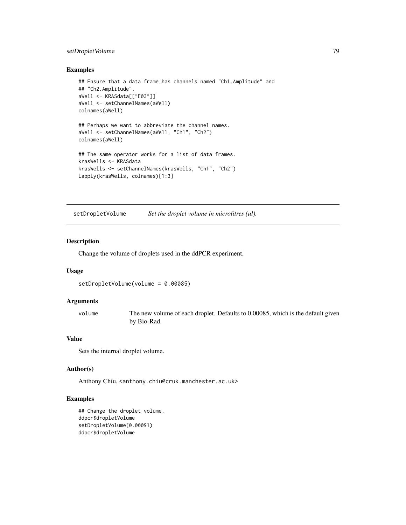# <span id="page-78-0"></span>setDropletVolume 79

#### Examples

```
## Ensure that a data frame has channels named "Ch1.Amplitude" and
## "Ch2.Amplitude".
aWell <- KRASdata[["E03"]]
aWell <- setChannelNames(aWell)
colnames(aWell)
## Perhaps we want to abbreviate the channel names.
aWell <- setChannelNames(aWell, "Ch1", "Ch2")
colnames(aWell)
## The same operator works for a list of data frames.
krasWells <- KRASdata
krasWells <- setChannelNames(krasWells, "Ch1", "Ch2")
lapply(krasWells, colnames)[1:3]
```
setDropletVolume *Set the droplet volume in microlitres (ul).*

#### Description

Change the volume of droplets used in the ddPCR experiment.

#### Usage

setDropletVolume(volume = 0.00085)

## Arguments

volume The new volume of each droplet. Defaults to 0.00085, which is the default given by Bio-Rad.

# Value

Sets the internal droplet volume.

# Author(s)

Anthony Chiu, <anthony.chiu@cruk.manchester.ac.uk>

## Examples

```
## Change the droplet volume.
ddpcr$dropletVolume
setDropletVolume(0.00091)
ddpcr$dropletVolume
```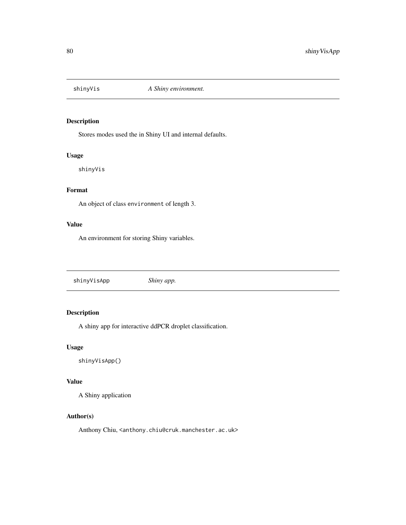<span id="page-79-0"></span>

# Description

Stores modes used the in Shiny UI and internal defaults.

#### Usage

shinyVis

# Format

An object of class environment of length 3.

# Value

An environment for storing Shiny variables.

shinyVisApp *Shiny app.*

# Description

A shiny app for interactive ddPCR droplet classification.

## Usage

shinyVisApp()

# Value

A Shiny application

## Author(s)

Anthony Chiu, <anthony.chiu@cruk.manchester.ac.uk>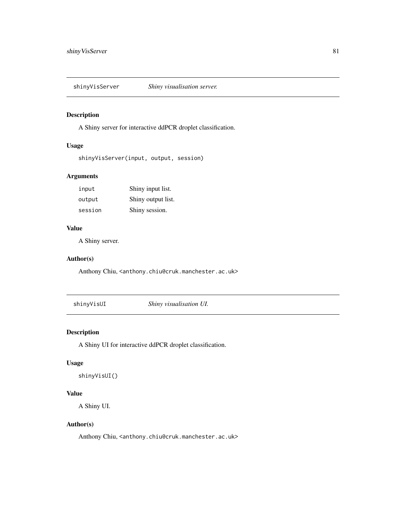<span id="page-80-0"></span>shinyVisServer *Shiny visualisation server.*

# Description

A Shiny server for interactive ddPCR droplet classification.

# Usage

```
shinyVisServer(input, output, session)
```
# Arguments

| input   | Shiny input list.  |
|---------|--------------------|
| output  | Shiny output list. |
| session | Shiny session.     |

## Value

A Shiny server.

## Author(s)

Anthony Chiu, <anthony.chiu@cruk.manchester.ac.uk>

shinyVisUI *Shiny visualisation UI.*

# Description

A Shiny UI for interactive ddPCR droplet classification.

# Usage

shinyVisUI()

# Value

A Shiny UI.

# Author(s)

Anthony Chiu, <anthony.chiu@cruk.manchester.ac.uk>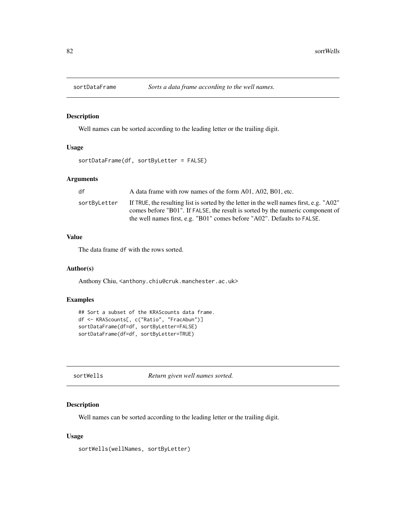<span id="page-81-0"></span>

# Description

Well names can be sorted according to the leading letter or the trailing digit.

## Usage

```
sortDataFrame(df, sortByLetter = FALSE)
```
# Arguments

| df           | A data frame with row names of the form A01, A02, B01, etc.                                 |
|--------------|---------------------------------------------------------------------------------------------|
| sortByLetter | If TRUE, the resulting list is sorted by the letter in the well names first, e.g. " $A02$ " |
|              | comes before "B01". If FALSE, the result is sorted by the numeric component of              |
|              | the well names first, e.g. "B01" comes before "A02". Defaults to FALSE.                     |

# Value

The data frame df with the rows sorted.

## Author(s)

Anthony Chiu, <anthony.chiu@cruk.manchester.ac.uk>

# Examples

```
## Sort a subset of the KRAScounts data frame.
df <- KRAScounts[, c("Ratio", "FracAbun")]
sortDataFrame(df=df, sortByLetter=FALSE)
sortDataFrame(df=df, sortByLetter=TRUE)
```
sortWells *Return given well names sorted.*

# Description

Well names can be sorted according to the leading letter or the trailing digit.

## Usage

sortWells(wellNames, sortByLetter)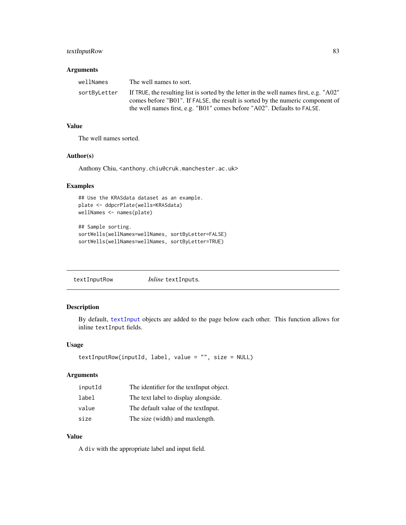# <span id="page-82-0"></span>textInputRow 83

## Arguments

| wellNames    | The well names to sort.                                                                     |
|--------------|---------------------------------------------------------------------------------------------|
| sortBvLetter | If TRUE, the resulting list is sorted by the letter in the well names first, e.g. " $A02$ " |
|              | comes before "B01". If FALSE, the result is sorted by the numeric component of              |
|              | the well names first, e.g. "B01" comes before "A02". Defaults to FALSE.                     |

#### Value

The well names sorted.

#### Author(s)

Anthony Chiu, <anthony.chiu@cruk.manchester.ac.uk>

# Examples

```
## Use the KRASdata dataset as an example.
plate <- ddpcrPlate(wells=KRASdata)
wellNames <- names(plate)
```

```
## Sample sorting.
sortWells(wellNames=wellNames, sortByLetter=FALSE)
sortWells(wellNames=wellNames, sortByLetter=TRUE)
```

| textInputRow | <i>Inline</i> textInputs. |
|--------------|---------------------------|
|--------------|---------------------------|

# Description

By default, [textInput](#page-0-0) objects are added to the page below each other. This function allows for inline textInput fields.

#### Usage

```
textInputRow(inputId, label, value = "", size = NULL)
```
#### Arguments

| inputId | The identifier for the text Input object. |
|---------|-------------------------------------------|
| label   | The text label to display alongside.      |
| value   | The default value of the textInput.       |
| size    | The size (width) and maxlength.           |

# Value

A div with the appropriate label and input field.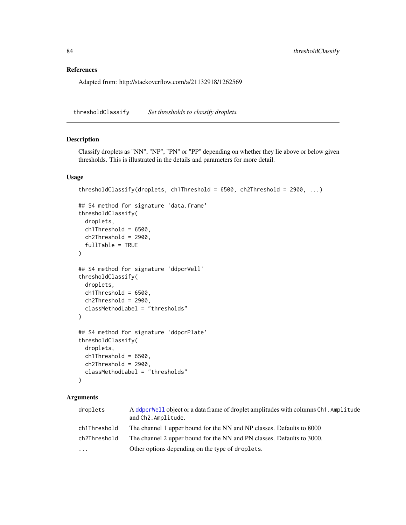# <span id="page-83-0"></span>References

Adapted from: http://stackoverflow.com/a/21132918/1262569

thresholdClassify *Set thresholds to classify droplets.*

#### Description

Classify droplets as "NN", "NP", "PN" or "PP" depending on whether they lie above or below given thresholds. This is illustrated in the details and parameters for more detail.

## Usage

```
thresholdClassify(droplets, ch1Threshold = 6500, ch2Threshold = 2900, ...)
```

```
## S4 method for signature 'data.frame'
thresholdClassify(
 droplets,
 ch1Threshold = 6500,ch2Threshold = 2900,
  fullTable = TRUE
)
## S4 method for signature 'ddpcrWell'
thresholdClassify(
 droplets,
 ch1Threshold = 6500,ch2Threshold = 2900,
  classMethodLabel = "thresholds"
\lambda## S4 method for signature 'ddpcrPlate'
thresholdClassify(
  droplets,
 ch1Threshold = 6500,ch2Threshold = 2900,classMethodLabel = "thresholds"
\lambda
```
# Arguments

| droplets     | A ddpcrWell object or a data frame of droplet amplitudes with columns Ch1. Amplitude<br>and Ch2. Amplitude. |
|--------------|-------------------------------------------------------------------------------------------------------------|
| ch1Threshold | The channel 1 upper bound for the NN and NP classes. Defaults to 8000                                       |
| ch2Threshold | The channel 2 upper bound for the NN and PN classes. Defaults to 3000.                                      |
| $\cdots$     | Other options depending on the type of droplets.                                                            |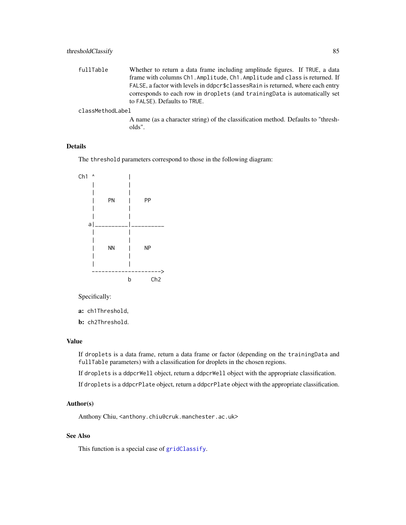<span id="page-84-0"></span>fullTable Whether to return a data frame including amplitude figures. If TRUE, a data frame with columns Ch1.Amplitude, Ch1.Amplitude and class is returned. If FALSE, a factor with levels in ddpcr\$classesRain is returned, where each entry corresponds to each row in droplets (and trainingData is automatically set to FALSE). Defaults to TRUE.

#### classMethodLabel

A name (as a character string) of the classification method. Defaults to "thresholds".

# Details

The threshold parameters correspond to those in the following diagram:



Specifically:

a: ch1Threshold,

b: ch2Threshold.

#### Value

If droplets is a data frame, return a data frame or factor (depending on the trainingData and fullTable parameters) with a classification for droplets in the chosen regions.

If droplets is a ddpcrWell object, return a ddpcrWell object with the appropriate classification.

If droplets is a ddpcrPlate object, return a ddpcrPlate object with the appropriate classification.

#### Author(s)

Anthony Chiu, <anthony.chiu@cruk.manchester.ac.uk>

## See Also

This function is a special case of [gridClassify](#page-46-0).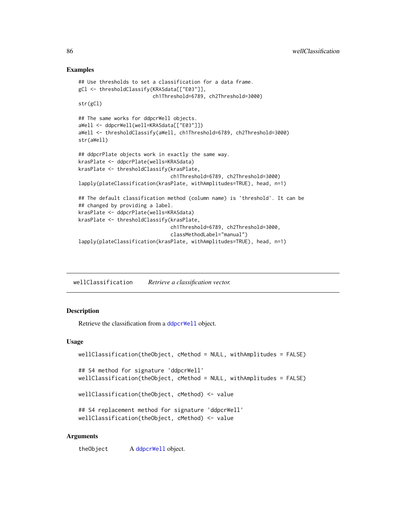## Examples

```
## Use thresholds to set a classification for a data frame.
gCl <- thresholdClassify(KRASdata[["E03"]],
                         ch1Threshold=6789, ch2Threshold=3000)
str(gCl)
## The same works for ddpcrWell objects.
aWell <- ddpcrWell(well=KRASdata[["E03"]])
aWell <- thresholdClassify(aWell, ch1Threshold=6789, ch2Threshold=3000)
str(aWell)
## ddpcrPlate objects work in exactly the same way.
krasPlate <- ddpcrPlate(wells=KRASdata)
krasPlate <- thresholdClassify(krasPlate,
                               ch1Threshold=6789, ch2Threshold=3000)
lapply(plateClassification(krasPlate, withAmplitudes=TRUE), head, n=1)
## The default classification method (column name) is 'threshold'. It can be
## changed by providing a label.
krasPlate <- ddpcrPlate(wells=KRASdata)
krasPlate <- thresholdClassify(krasPlate,
                               ch1Threshold=6789, ch2Threshold=3000,
                               classMethodLabel="manual")
lapply(plateClassification(krasPlate, withAmplitudes=TRUE), head, n=1)
```
<span id="page-85-0"></span>wellClassification *Retrieve a classification vector.*

## Description

Retrieve the classification from a [ddpcrWell](#page-26-0) object.

## Usage

```
wellClassification(theObject, cMethod = NULL, withAmplitudes = FALSE)
## S4 method for signature 'ddpcrWell'
wellClassification(theObject, cMethod = NULL, withAmplitudes = FALSE)
wellClassification(theObject, cMethod) <- value
## S4 replacement method for signature 'ddpcrWell'
wellClassification(theObject, cMethod) <- value
```
#### Arguments

theObject A [ddpcrWell](#page-26-0) object.

<span id="page-85-1"></span>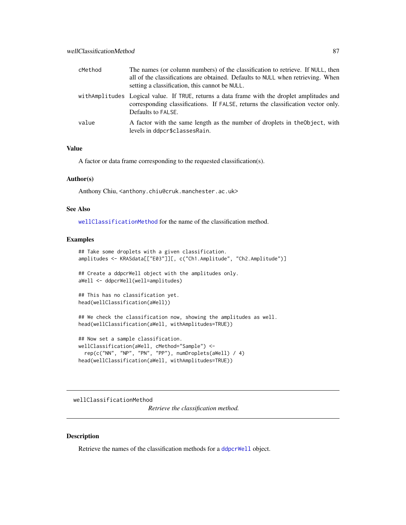<span id="page-86-1"></span>

| cMethod | The names (or column numbers) of the classification to retrieve. If NULL, then<br>all of the classifications are obtained. Defaults to NULL when retrieving. When<br>setting a classification, this cannot be NULL. |
|---------|---------------------------------------------------------------------------------------------------------------------------------------------------------------------------------------------------------------------|
|         | with Amplitudes Logical value. If TRUE, returns a data frame with the droplet amplitudes and<br>corresponding classifications. If FALSE, returns the classification vector only.<br>Defaults to FALSE.              |
| value   | A factor with the same length as the number of droplets in the Object, with<br>levels in ddpcr\$classesRain.                                                                                                        |

#### Value

A factor or data frame corresponding to the requested classification(s).

# Author(s)

Anthony Chiu, <anthony.chiu@cruk.manchester.ac.uk>

## See Also

[wellClassificationMethod](#page-86-0) for the name of the classification method.

#### Examples

```
## Take some droplets with a given classification.
amplitudes <- KRASdata[["E03"]][, c("Ch1.Amplitude", "Ch2.Amplitude")]
## Create a ddpcrWell object with the amplitudes only.
aWell <- ddpcrWell(well=amplitudes)
## This has no classification yet.
head(wellClassification(aWell))
## We check the classification now, showing the amplitudes as well.
head(wellClassification(aWell, withAmplitudes=TRUE))
## Now set a sample classification.
wellClassification(aWell, cMethod="Sample") <-
  rep(c("NN", "NP", "PN", "PP"), numDroplets(aWell) / 4)
head(wellClassification(aWell, withAmplitudes=TRUE))
```
<span id="page-86-0"></span>wellClassificationMethod

*Retrieve the classification method.*

# Description

Retrieve the names of the classification methods for a [ddpcrWell](#page-26-0) object.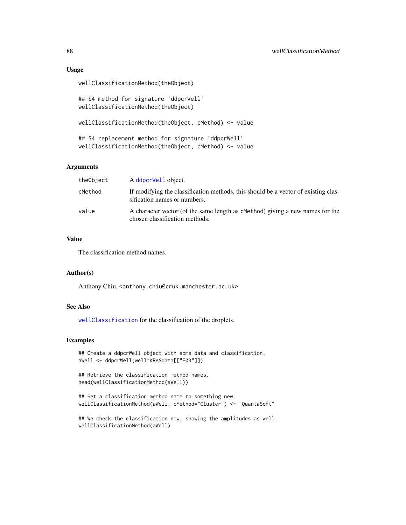#### Usage

```
wellClassificationMethod(theObject)
```

```
## S4 method for signature 'ddpcrWell'
wellClassificationMethod(theObject)
```
wellClassificationMethod(theObject, cMethod) <- value

```
## S4 replacement method for signature 'ddpcrWell'
wellClassificationMethod(theObject, cMethod) <- value
```
## Arguments

| theObject | A ddpcrWell object.                                                                                                |
|-----------|--------------------------------------------------------------------------------------------------------------------|
| cMethod   | If modifying the classification methods, this should be a vector of existing clas-<br>sification names or numbers. |
| value     | A character vector (of the same length as cMethod) giving a new names for the<br>chosen classification methods.    |

#### Value

The classification method names.

#### Author(s)

Anthony Chiu, <anthony.chiu@cruk.manchester.ac.uk>

## See Also

[wellClassification](#page-85-0) for the classification of the droplets.

#### Examples

```
## Create a ddpcrWell object with some data and classification.
aWell <- ddpcrWell(well=KRASdata[["E03"]])
```

```
## Retrieve the classification method names.
head(wellClassificationMethod(aWell))
```

```
## Set a classification method name to something new.
wellClassificationMethod(aWell, cMethod="Cluster") <- "QuantaSoft"
```

```
## We check the classification now, showing the amplitudes as well.
wellClassificationMethod(aWell)
```
<span id="page-87-0"></span>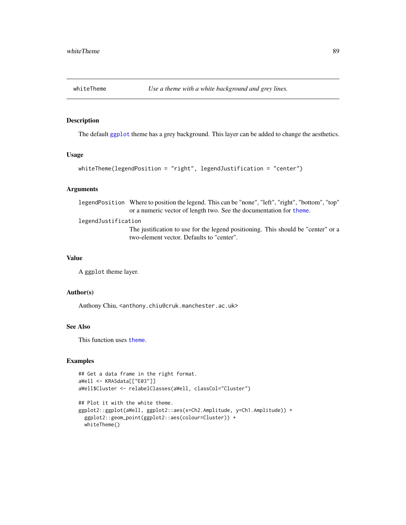<span id="page-88-0"></span>

# Description

The default [ggplot](#page-0-0) theme has a grey background. This layer can be added to change the aesthetics.

#### Usage

```
whiteTheme(legendPosition = "right", legendJustification = "center")
```
# Arguments

legendPosition Where to position the legend. This can be "none", "left", "right", "bottom", "top" or a numeric vector of length two. See the documentation for [theme](#page-0-0).

legendJustification

The justification to use for the legend positioning. This should be "center" or a two-element vector. Defaults to "center".

#### Value

A ggplot theme layer.

#### Author(s)

Anthony Chiu, <anthony.chiu@cruk.manchester.ac.uk>

# See Also

This function uses [theme](#page-0-0).

# Examples

```
## Get a data frame in the right format.
aWell <- KRASdata[["E03"]]
aWell$Cluster <- relabelClasses(aWell, classCol="Cluster")
```

```
## Plot it with the white theme.
ggplot2::ggplot(aWell, ggplot2::aes(x=Ch2.Amplitude, y=Ch1.Amplitude)) +
 ggplot2::geom_point(ggplot2::aes(colour=Cluster)) +
 whiteTheme()
```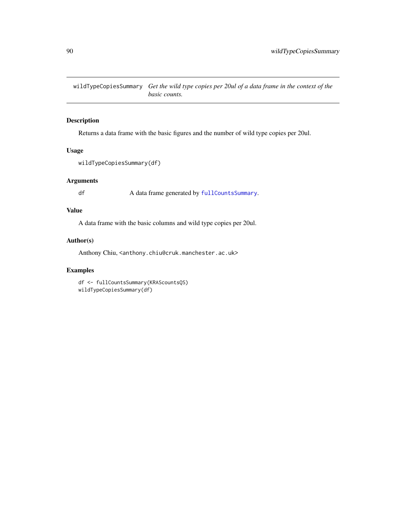<span id="page-89-0"></span>wildTypeCopiesSummary *Get the wild type copies per 20ul of a data frame in the context of the basic counts.*

# Description

Returns a data frame with the basic figures and the number of wild type copies per 20ul.

## Usage

```
wildTypeCopiesSummary(df)
```
# Arguments

df A data frame generated by [fullCountsSummary](#page-42-0).

# Value

A data frame with the basic columns and wild type copies per 20ul.

# Author(s)

Anthony Chiu, <anthony.chiu@cruk.manchester.ac.uk>

# Examples

df <- fullCountsSummary(KRAScountsQS) wildTypeCopiesSummary(df)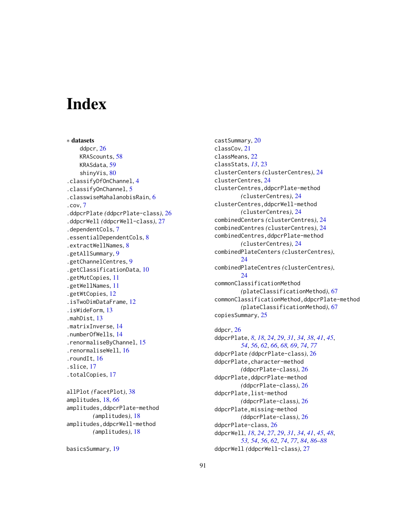# **Index**

∗ datasets ddpcr, [26](#page-25-1) KRAScounts, [58](#page-57-0) KRASdata, [59](#page-58-0) shinyVis, [80](#page-79-0) .classifyDfOnChannel, [4](#page-3-0) .classifyOnChannel, [5](#page-4-0) .classwiseMahalanobisRain, [6](#page-5-0) .cov, [7](#page-6-0) .ddpcrPlate *(*ddpcrPlate-class*)*, [26](#page-25-1) .ddpcrWell *(*ddpcrWell-class*)*, [27](#page-26-1) .dependentCols, [7](#page-6-0) .essentialDependentCols, [8](#page-7-0) .extractWellNames, [8](#page-7-0) .getAllSummary, [9](#page-8-0) .getChannelCentres, [9](#page-8-0) .getClassificationData, [10](#page-9-0) .getMutCopies, [11](#page-10-0) .getWellNames, [11](#page-10-0) .getWtCopies, [12](#page-11-0) .isTwoDimDataFrame, [12](#page-11-0) .isWideForm, [13](#page-12-0) .mahDist, [13](#page-12-0) .matrixInverse, [14](#page-13-0) .numberOfWells, [14](#page-13-0) .renormaliseByChannel, [15](#page-14-0) .renormaliseWell, [16](#page-15-0) .roundIt, [16](#page-15-0) .slice, [17](#page-16-0) .totalCopies, [17](#page-16-0)

allPlot *(*facetPlot*)*, [38](#page-37-0) amplitudes, [18,](#page-17-0) *[66](#page-65-0)* amplitudes,ddpcrPlate-method *(*amplitudes*)*, [18](#page-17-0) amplitudes,ddpcrWell-method *(*amplitudes*)*, [18](#page-17-0)

```
basicsSummary, 19
```
castSummary, [20](#page-19-0) classCov, [21](#page-20-0) classMeans, [22](#page-21-0) classStats, *[13](#page-12-0)*, [23](#page-22-0) clusterCenters *(*clusterCentres*)*, [24](#page-23-0) clusterCentres, [24](#page-23-0) clusterCentres,ddpcrPlate-method *(*clusterCentres*)*, [24](#page-23-0) clusterCentres,ddpcrWell-method *(*clusterCentres*)*, [24](#page-23-0) combinedCenters *(*clusterCentres*)*, [24](#page-23-0) combinedCentres *(*clusterCentres*)*, [24](#page-23-0) combinedCentres,ddpcrPlate-method *(*clusterCentres*)*, [24](#page-23-0) combinedPlateCenters *(*clusterCentres*)*, [24](#page-23-0) combinedPlateCentres *(*clusterCentres*)*,  $24$ commonClassificationMethod *(*plateClassificationMethod*)*, [67](#page-66-0) commonClassificationMethod,ddpcrPlate-method *(*plateClassificationMethod*)*, [67](#page-66-0) copiesSummary, [25](#page-24-0)

# ddpcr, [26](#page-25-1) ddpcrPlate, *[8](#page-7-0)*, *[18](#page-17-0)*, *[24](#page-23-0)*, *[29](#page-28-0)*, *[31](#page-30-0)*, *[34](#page-33-0)*, *[38](#page-37-0)*, *[41](#page-40-0)*, *[45](#page-44-0)*, *[54](#page-53-0)*, *[56](#page-55-0)*, *[62](#page-61-0)*, *[66](#page-65-0)*, *[68,](#page-67-0) [69](#page-68-0)*, *[74](#page-73-0)*, *[77](#page-76-0)* ddpcrPlate *(*ddpcrPlate-class*)*, [26](#page-25-1)

ddpcrPlate, character-method *(*ddpcrPlate-class*)*, [26](#page-25-1) ddpcrPlate,ddpcrPlate-method *(*ddpcrPlate-class*)*, [26](#page-25-1) ddpcrPlate,list-method *(*ddpcrPlate-class*)*, [26](#page-25-1) ddpcrPlate,missing-method *(*ddpcrPlate-class*)*, [26](#page-25-1) ddpcrPlate-class, [26](#page-25-1) ddpcrWell, *[18](#page-17-0)*, *[24](#page-23-0)*, *[27](#page-26-1)*, *[29](#page-28-0)*, *[31](#page-30-0)*, *[34](#page-33-0)*, *[41](#page-40-0)*, *[45](#page-44-0)*, *[48](#page-47-0)*, *[53,](#page-52-0) [54](#page-53-0)*, *[56](#page-55-0)*, *[62](#page-61-0)*, *[74](#page-73-0)*, *[77](#page-76-0)*, *[84](#page-83-0)*, *[86](#page-85-1)[–88](#page-87-0)* ddpcrWell *(*ddpcrWell-class*)*, [27](#page-26-1)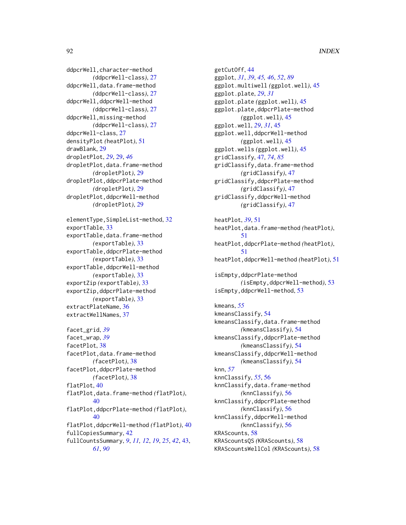ddpcrWell, character-method *(*ddpcrWell-class*)*, [27](#page-26-1) ddpcrWell,data.frame-method *(*ddpcrWell-class*)*, [27](#page-26-1) ddpcrWell,ddpcrWell-method *(*ddpcrWell-class*)*, [27](#page-26-1) ddpcrWell,missing-method *(*ddpcrWell-class*)*, [27](#page-26-1) ddpcrWell-class, [27](#page-26-1) densityPlot *(*heatPlot*)*, [51](#page-50-0) drawBlank, [29](#page-28-0) dropletPlot, *[29](#page-28-0)*, [29,](#page-28-0) *[46](#page-45-0)* dropletPlot,data.frame-method *(*dropletPlot*)*, [29](#page-28-0) dropletPlot,ddpcrPlate-method *(*dropletPlot*)*, [29](#page-28-0) dropletPlot,ddpcrWell-method *(*dropletPlot*)*, [29](#page-28-0)

```
elementType,SimpleList-method, 32
exportTable, 33
exportTable,data.frame-method
        (exportTable), 33
exportTable,ddpcrPlate-method
        (exportTable), 33
exportTable,ddpcrWell-method
        (exportTable), 33
exportZip (exportTable), 33
exportZip,ddpcrPlate-method
        (exportTable), 33
extractPlateName, 36
extractWellNames, 37
```

```
facet_grid, 39
facet_wrap, 39
facetPlot, 38
facetPlot,data.frame-method
        (facetPlot), 38
facetPlot,ddpcrPlate-method
        (facetPlot), 38
flatPlot, 40
flatPlot,data.frame-method (flatPlot),
        40flatPlot,ddpcrPlate-method (flatPlot),
        40
flatPlot,ddpcrWell-method (flatPlot), 40
fullCopiesSummary, 42
fullCountsSummary, 9, 11, 12, 19, 25, 42, 43,
        61, 90
```
getCutOff, [44](#page-43-0) ggplot, *[31](#page-30-0)*, *[39](#page-38-0)*, *[45,](#page-44-0) [46](#page-45-0)*, *[52](#page-51-0)*, *[89](#page-88-0)* ggplot.multiwell *(*ggplot.well*)*, [45](#page-44-0) ggplot.plate, *[29](#page-28-0)*, *[31](#page-30-0)* ggplot.plate *(*ggplot.well*)*, [45](#page-44-0) ggplot.plate,ddpcrPlate-method *(*ggplot.well*)*, [45](#page-44-0) ggplot.well, *[29](#page-28-0)*, *[31](#page-30-0)*, [45](#page-44-0) ggplot.well,ddpcrWell-method *(*ggplot.well*)*, [45](#page-44-0) ggplot.wells *(*ggplot.well*)*, [45](#page-44-0) gridClassify, [47,](#page-46-1) *[74](#page-73-0)*, *[85](#page-84-0)* gridClassify,data.frame-method *(*gridClassify*)*, [47](#page-46-1) gridClassify,ddpcrPlate-method *(*gridClassify*)*, [47](#page-46-1) gridClassify,ddpcrWell-method *(*gridClassify*)*, [47](#page-46-1)

heatPlot, *[39](#page-38-0)*, [51](#page-50-0) heatPlot,data.frame-method *(*heatPlot*)*, [51](#page-50-0) heatPlot,ddpcrPlate-method *(*heatPlot*)*, [51](#page-50-0) heatPlot,ddpcrWell-method *(*heatPlot*)*, [51](#page-50-0)

```
isEmpty,ddpcrPlate-method
        (isEmpty,ddpcrWell-method), 53
isEmpty,ddpcrWell-method, 53
```
kmeans, *[55](#page-54-0)* kmeansClassify, [54](#page-53-0) kmeansClassify,data.frame-method *(*kmeansClassify*)*, [54](#page-53-0) kmeansClassify,ddpcrPlate-method *(*kmeansClassify*)*, [54](#page-53-0) kmeansClassify,ddpcrWell-method *(*kmeansClassify*)*, [54](#page-53-0) knn, *[57](#page-56-0)* knnClassify, *[55](#page-54-0)*, [56](#page-55-0) knnClassify,data.frame-method *(*knnClassify*)*, [56](#page-55-0) knnClassify,ddpcrPlate-method *(*knnClassify*)*, [56](#page-55-0) knnClassify,ddpcrWell-method *(*knnClassify*)*, [56](#page-55-0) KRAScounts, [58](#page-57-0) KRAScountsQS *(*KRAScounts*)*, [58](#page-57-0) KRAScountsWellCol *(*KRAScounts*)*, [58](#page-57-0)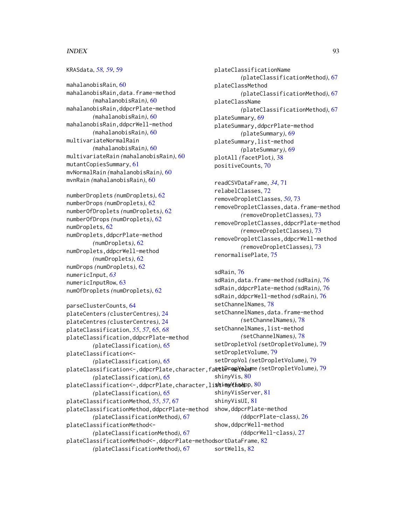#### INDEX  $\sim$  93

## KRASdata, *[58,](#page-57-0) [59](#page-58-0)*, [59](#page-58-0)

mahalanobisRain, [60](#page-59-0) mahalanobisRain,data.frame-method *(*mahalanobisRain*)*, [60](#page-59-0) mahalanobisRain,ddpcrPlate-method *(*mahalanobisRain*)*, [60](#page-59-0) mahalanobisRain,ddpcrWell-method *(*mahalanobisRain*)*, [60](#page-59-0) multivariateNormalRain *(*mahalanobisRain*)*, [60](#page-59-0) multivariateRain *(*mahalanobisRain*)*, [60](#page-59-0) mutantCopiesSummary, [61](#page-60-0) mvNormalRain *(*mahalanobisRain*)*, [60](#page-59-0) mvnRain *(*mahalanobisRain*)*, [60](#page-59-0)

numberDroplets *(*numDroplets*)*, [62](#page-61-0) numberDrops *(*numDroplets*)*, [62](#page-61-0) numberOfDroplets *(*numDroplets*)*, [62](#page-61-0) numberOfDrops *(*numDroplets*)*, [62](#page-61-0) numDroplets, [62](#page-61-0) numDroplets,ddpcrPlate-method *(*numDroplets*)*, [62](#page-61-0) numDroplets,ddpcrWell-method *(*numDroplets*)*, [62](#page-61-0) numDrops *(*numDroplets*)*, [62](#page-61-0) numericInput, *[63](#page-62-0)* numericInputRow, [63](#page-62-0) numOfDroplets *(*numDroplets*)*, [62](#page-61-0)

```
parseClusterCounts, 64
plateCenters (clusterCentres), 24
plateCentres (clusterCentres), 24
plateClassification, 55, 57, 65, 68
plateClassification,ddpcrPlate-method
        (plateClassification), 65
plateClassification<-
        (plateClassification), 65
plateClassification<-,ddpcrPlate,character,fa&t&PF@@YQbd79
        (plateClassification), 65
<code>plateClassification</code><-,ddpcr<code>Plate,character,li</code>st80</code>
        (plateClassification), 65
plateClassificationMethod, 55, 57, 67
plateClassificationMethod,ddpcrPlate-method
        (plateClassificationMethod), 67
plateClassificationMethod<-
        (plateClassificationMethod), 67
plateClassificationMethod<-,ddpcrPlate-method
sortDataFrame, 82
                                               setChannelNames, 78
                                               setDropletVolume, 79
                                               shinyVis, 80
                                               shinyVisServer, 81
                                               shinyVisUI, 81
                                               show,ddpcrPlate-method
                                               show,ddpcrWell-method
```

```
(plateClassificationMethod), 67
```

```
plateClassificationName
        (plateClassificationMethod), 67
plateClassMethod
        (plateClassificationMethod), 67
plateClassName
        (plateClassificationMethod), 67
plateSummary, 69
plateSummary,ddpcrPlate-method
        (plateSummary), 69
plateSummary,list-method
        (plateSummary), 69
plotAll (facetPlot), 38
positiveCounts, 70
```
readCSVDataFrame, *[34](#page-33-0)*, [71](#page-70-0) relabelClasses, [72](#page-71-0) removeDropletClasses, *[50](#page-49-0)*, [73](#page-72-0) removeDropletClasses,data.frame-method *(*removeDropletClasses*)*, [73](#page-72-0) removeDropletClasses,ddpcrPlate-method *(*removeDropletClasses*)*, [73](#page-72-0) removeDropletClasses,ddpcrWell-method *(*removeDropletClasses*)*, [73](#page-72-0) renormalisePlate, [75](#page-74-0)

```
sdRain, 76
```

```
sdRain,data.frame-method (sdRain), 76
sdRain,ddpcrPlate-method (sdRain), 76
sdRain,ddpcrWell-method (sdRain), 76
setChannelNames,data.frame-method
        (setChannelNames), 78
setChannelNames, list-method
        (setChannelNames), 78
setDropletVol (setDropletVolume), 79
setDropVol (setDropletVolume), 79
        (ddpcrPlate-class), 26
        (ddpcrWell-class), 27
sortWells, 82
```